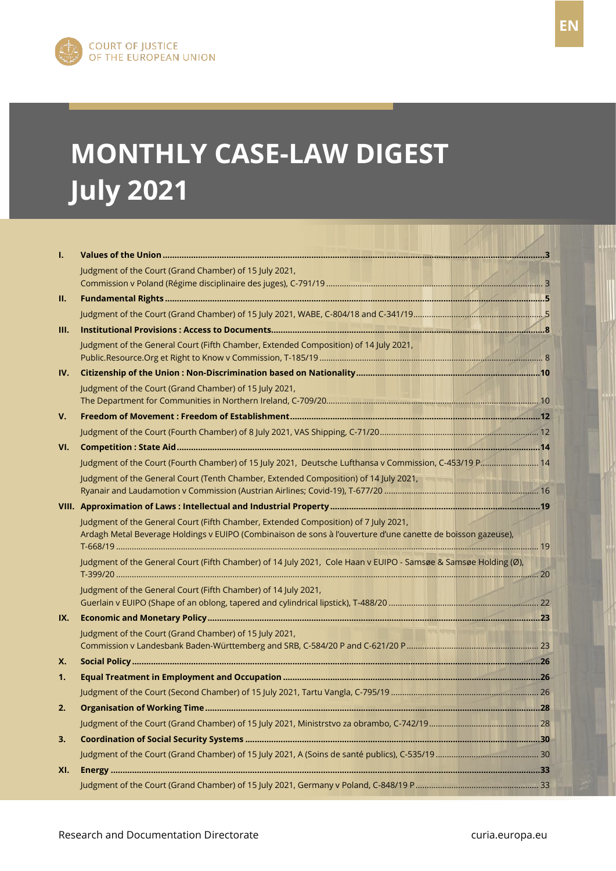

FR

# **MONTHLY CASE-LAW DIGEST July 2021**

| Τ.   |                                                                                                                                                                                                     |  |
|------|-----------------------------------------------------------------------------------------------------------------------------------------------------------------------------------------------------|--|
|      | Judgment of the Court (Grand Chamber) of 15 July 2021,                                                                                                                                              |  |
| II.  |                                                                                                                                                                                                     |  |
|      |                                                                                                                                                                                                     |  |
| III. |                                                                                                                                                                                                     |  |
|      | Judgment of the General Court (Fifth Chamber, Extended Composition) of 14 July 2021,                                                                                                                |  |
| IV.  |                                                                                                                                                                                                     |  |
|      | Judgment of the Court (Grand Chamber) of 15 July 2021,                                                                                                                                              |  |
| V.   |                                                                                                                                                                                                     |  |
|      |                                                                                                                                                                                                     |  |
| VI.  |                                                                                                                                                                                                     |  |
|      | Judgment of the Court (Fourth Chamber) of 15 July 2021, Deutsche Lufthansa v Commission, C-453/19 P 14                                                                                              |  |
|      | Judgment of the General Court (Tenth Chamber, Extended Composition) of 14 July 2021,                                                                                                                |  |
|      |                                                                                                                                                                                                     |  |
|      | Judgment of the General Court (Fifth Chamber, Extended Composition) of 7 July 2021,<br>Ardagh Metal Beverage Holdings v EUIPO (Combinaison de sons à l'ouverture d'une canette de boisson gazeuse), |  |
|      | Judgment of the General Court (Fifth Chamber) of 14 July 2021, Cole Haan v EUIPO - Samsøe & Samsøe Holding (Ø),                                                                                     |  |
|      | Judgment of the General Court (Fifth Chamber) of 14 July 2021,                                                                                                                                      |  |
| IX.  |                                                                                                                                                                                                     |  |
|      | Judgment of the Court (Grand Chamber) of 15 July 2021,                                                                                                                                              |  |
| Х.   |                                                                                                                                                                                                     |  |
| 1.   |                                                                                                                                                                                                     |  |
|      |                                                                                                                                                                                                     |  |
| 2.   |                                                                                                                                                                                                     |  |
|      |                                                                                                                                                                                                     |  |
| 3.   |                                                                                                                                                                                                     |  |
|      |                                                                                                                                                                                                     |  |
| XI.  |                                                                                                                                                                                                     |  |
|      |                                                                                                                                                                                                     |  |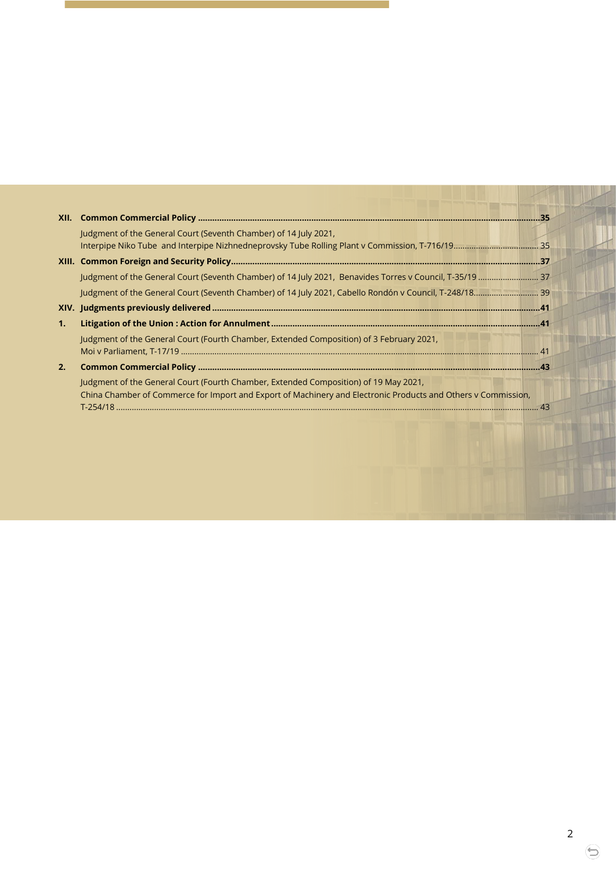| XII. |                                                                                                                                                                                                                     |  |
|------|---------------------------------------------------------------------------------------------------------------------------------------------------------------------------------------------------------------------|--|
|      | Judgment of the General Court (Seventh Chamber) of 14 July 2021,                                                                                                                                                    |  |
|      |                                                                                                                                                                                                                     |  |
|      |                                                                                                                                                                                                                     |  |
|      |                                                                                                                                                                                                                     |  |
|      |                                                                                                                                                                                                                     |  |
| 1.   |                                                                                                                                                                                                                     |  |
|      | Judgment of the General Court (Fourth Chamber, Extended Composition) of 3 February 2021,                                                                                                                            |  |
| 2.   |                                                                                                                                                                                                                     |  |
|      | Judgment of the General Court (Fourth Chamber, Extended Composition) of 19 May 2021,<br>China Chamber of Commerce for Import and Export of Machinery and Electronic Products and Others v Commission,<br>$T-254/18$ |  |

 $\Theta$ 

I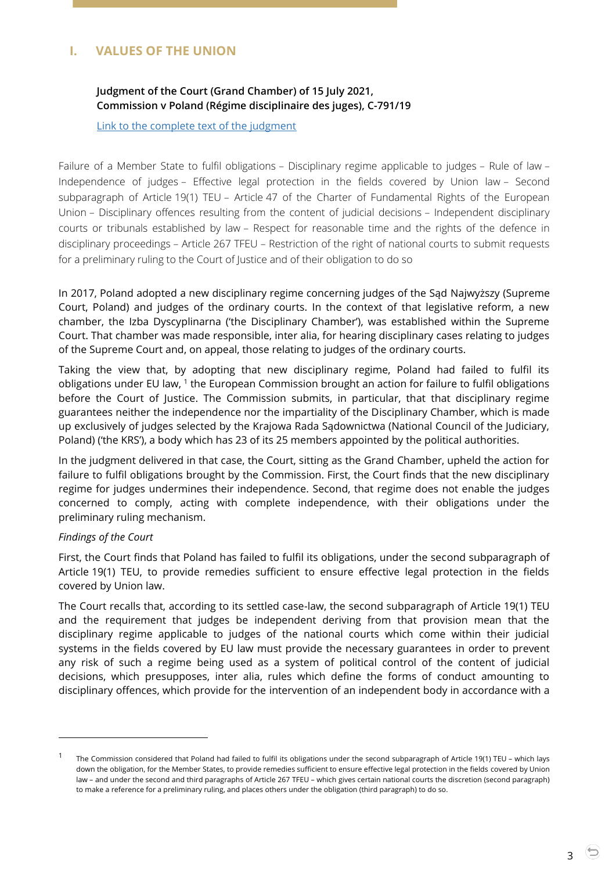# <span id="page-2-1"></span><span id="page-2-0"></span>**I. VALUES OF THE UNION**

# **Judgment of the Court (Grand Chamber) of 15 July 2021, Commission v Poland (Régime disciplinaire des juges), C-791/19**

[Link to the complete text of the judgment](https://curia.europa.eu/juris/document/document.jsf;jsessionid=B34426E6156FA26C8ED3A717C3A3B293?text=&docid=244185&pageIndex=0&doclang=en&mode=lst&dir=&occ=first&part=1&cid=3491875)

Failure of a Member State to fulfil obligations – Disciplinary regime applicable to judges – Rule of law – Independence of judges – Effective legal protection in the fields covered by Union law – Second subparagraph of Article 19(1) TEU – Article 47 of the Charter of Fundamental Rights of the European Union – Disciplinary offences resulting from the content of judicial decisions – Independent disciplinary courts or tribunals established by law – Respect for reasonable time and the rights of the defence in disciplinary proceedings – Article 267 TFEU – Restriction of the right of national courts to submit requests for a preliminary ruling to the Court of Justice and of their obligation to do so

In 2017, Poland adopted a new disciplinary regime concerning judges of the Sąd Najwyższy (Supreme Court, Poland) and judges of the ordinary courts. In the context of that legislative reform, a new chamber, the Izba Dyscyplinarna ('the Disciplinary Chamber'), was established within the Supreme Court. That chamber was made responsible, inter alia, for hearing disciplinary cases relating to judges of the Supreme Court and, on appeal, those relating to judges of the ordinary courts.

Taking the view that, by adopting that new disciplinary regime, Poland had failed to fulfil its obligations under EU law, <sup>1</sup> the European Commission brought an action for failure to fulfil obligations before the Court of Justice. The Commission submits, in particular, that that disciplinary regime guarantees neither the independence nor the impartiality of the Disciplinary Chamber, which is made up exclusively of judges selected by the Krajowa Rada Sądownictwa (National Council of the Judiciary, Poland) ('the KRS'), a body which has 23 of its 25 members appointed by the political authorities.

In the judgment delivered in that case, the Court, sitting as the Grand Chamber, upheld the action for failure to fulfil obligations brought by the Commission. First, the Court finds that the new disciplinary regime for judges undermines their independence. Second, that regime does not enable the judges concerned to comply, acting with complete independence, with their obligations under the preliminary ruling mechanism.

#### *Findings of the Court*

-

First, the Court finds that Poland has failed to fulfil its obligations, under the second subparagraph of Article 19(1) TEU, to provide remedies sufficient to ensure effective legal protection in the fields covered by Union law.

The Court recalls that, according to its settled case-law, the second subparagraph of Article 19(1) TEU and the requirement that judges be independent deriving from that provision mean that the disciplinary regime applicable to judges of the national courts which come within their judicial systems in the fields covered by EU law must provide the necessary guarantees in order to prevent any risk of such a regime being used as a system of political control of the content of judicial decisions, which presupposes, inter alia, rules which define the forms of conduct amounting to disciplinary offences, which provide for the intervention of an independent body in accordance with a

<sup>1</sup> The Commission considered that Poland had failed to fulfil its obligations under the second subparagraph of Article 19(1) TEU – which lays down the obligation, for the Member States, to provide remedies sufficient to ensure effective legal protection in the fields covered by Union law – and under the second and third paragraphs of Article 267 TFEU – which gives certain national courts the discretion (second paragraph) to make a reference for a preliminary ruling, and places others under the obligation (third paragraph) to do so.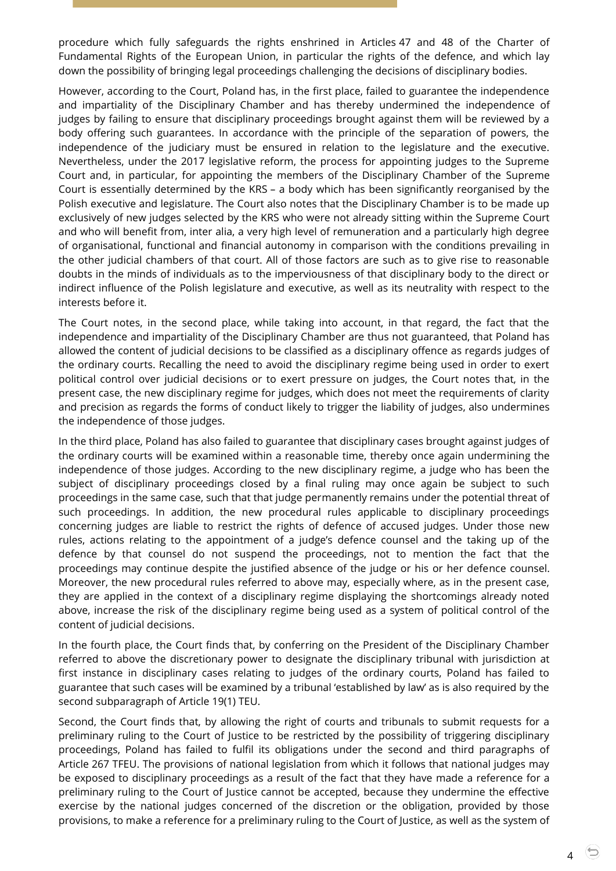procedure which fully safeguards the rights enshrined in Articles 47 and 48 of the Charter of Fundamental Rights of the European Union, in particular the rights of the defence, and which lay down the possibility of bringing legal proceedings challenging the decisions of disciplinary bodies.

However, according to the Court, Poland has, in the first place, failed to guarantee the independence and impartiality of the Disciplinary Chamber and has thereby undermined the independence of judges by failing to ensure that disciplinary proceedings brought against them will be reviewed by a body offering such guarantees. In accordance with the principle of the separation of powers, the independence of the judiciary must be ensured in relation to the legislature and the executive. Nevertheless, under the 2017 legislative reform, the process for appointing judges to the Supreme Court and, in particular, for appointing the members of the Disciplinary Chamber of the Supreme Court is essentially determined by the KRS – a body which has been significantly reorganised by the Polish executive and legislature. The Court also notes that the Disciplinary Chamber is to be made up exclusively of new judges selected by the KRS who were not already sitting within the Supreme Court and who will benefit from, inter alia, a very high level of remuneration and a particularly high degree of organisational, functional and financial autonomy in comparison with the conditions prevailing in the other judicial chambers of that court. All of those factors are such as to give rise to reasonable doubts in the minds of individuals as to the imperviousness of that disciplinary body to the direct or indirect influence of the Polish legislature and executive, as well as its neutrality with respect to the interests before it.

The Court notes, in the second place, while taking into account, in that regard, the fact that the independence and impartiality of the Disciplinary Chamber are thus not guaranteed, that Poland has allowed the content of judicial decisions to be classified as a disciplinary offence as regards judges of the ordinary courts. Recalling the need to avoid the disciplinary regime being used in order to exert political control over judicial decisions or to exert pressure on judges, the Court notes that, in the present case, the new disciplinary regime for judges, which does not meet the requirements of clarity and precision as regards the forms of conduct likely to trigger the liability of judges, also undermines the independence of those judges.

In the third place, Poland has also failed to guarantee that disciplinary cases brought against judges of the ordinary courts will be examined within a reasonable time, thereby once again undermining the independence of those judges. According to the new disciplinary regime, a judge who has been the subject of disciplinary proceedings closed by a final ruling may once again be subject to such proceedings in the same case, such that that judge permanently remains under the potential threat of such proceedings. In addition, the new procedural rules applicable to disciplinary proceedings concerning judges are liable to restrict the rights of defence of accused judges. Under those new rules, actions relating to the appointment of a judge's defence counsel and the taking up of the defence by that counsel do not suspend the proceedings, not to mention the fact that the proceedings may continue despite the justified absence of the judge or his or her defence counsel. Moreover, the new procedural rules referred to above may, especially where, as in the present case, they are applied in the context of a disciplinary regime displaying the shortcomings already noted above, increase the risk of the disciplinary regime being used as a system of political control of the content of judicial decisions.

In the fourth place, the Court finds that, by conferring on the President of the Disciplinary Chamber referred to above the discretionary power to designate the disciplinary tribunal with jurisdiction at first instance in disciplinary cases relating to judges of the ordinary courts, Poland has failed to guarantee that such cases will be examined by a tribunal 'established by law' as is also required by the second subparagraph of Article 19(1) TEU.

Second, the Court finds that, by allowing the right of courts and tribunals to submit requests for a preliminary ruling to the Court of Justice to be restricted by the possibility of triggering disciplinary proceedings, Poland has failed to fulfil its obligations under the second and third paragraphs of Article 267 TFEU. The provisions of national legislation from which it follows that national judges may be exposed to disciplinary proceedings as a result of the fact that they have made a reference for a preliminary ruling to the Court of Justice cannot be accepted, because they undermine the effective exercise by the national judges concerned of the discretion or the obligation, provided by those provisions, to make a reference for a preliminary ruling to the Court of Justice, as well as the system of

4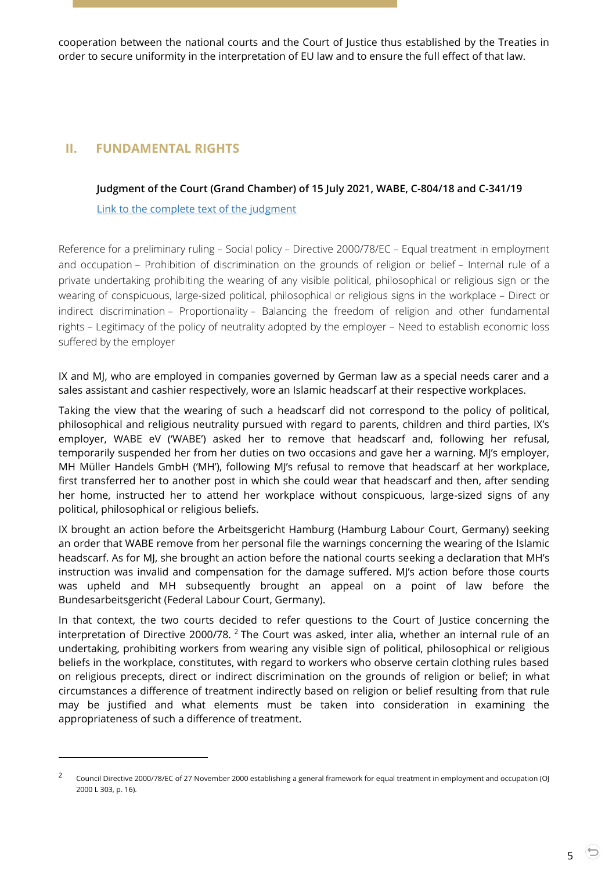cooperation between the national courts and the Court of Justice thus established by the Treaties in order to secure uniformity in the interpretation of EU law and to ensure the full effect of that law.

# <span id="page-4-1"></span><span id="page-4-0"></span>**II. FUNDAMENTAL RIGHTS**

-

## **Judgment of the Court (Grand Chamber) of 15 July 2021, WABE, C-804/18 and C-341/19**

[Link to the complete text of the judgment](https://curia.europa.eu/juris/document/document.jsf?text=&docid=244180&pageIndex=0&doclang=EN&mode=lst&dir=&occ=first&part=1&cid=3493879)

Reference for a preliminary ruling – Social policy – Directive 2000/78/EC – Equal treatment in employment and occupation – Prohibition of discrimination on the grounds of religion or belief – Internal rule of a private undertaking prohibiting the wearing of any visible political, philosophical or religious sign or the wearing of conspicuous, large-sized political, philosophical or religious signs in the workplace – Direct or indirect discrimination – Proportionality – Balancing the freedom of religion and other fundamental rights – Legitimacy of the policy of neutrality adopted by the employer – Need to establish economic loss suffered by the employer

IX and MJ, who are employed in companies governed by German law as a special needs carer and a sales assistant and cashier respectively, wore an Islamic headscarf at their respective workplaces.

Taking the view that the wearing of such a headscarf did not correspond to the policy of political, philosophical and religious neutrality pursued with regard to parents, children and third parties, IX's employer, WABE eV ('WABE') asked her to remove that headscarf and, following her refusal, temporarily suspended her from her duties on two occasions and gave her a warning. MJ's employer, MH Müller Handels GmbH ('MH'), following MJ's refusal to remove that headscarf at her workplace, first transferred her to another post in which she could wear that headscarf and then, after sending her home, instructed her to attend her workplace without conspicuous, large-sized signs of any political, philosophical or religious beliefs.

IX brought an action before the Arbeitsgericht Hamburg (Hamburg Labour Court, Germany) seeking an order that WABE remove from her personal file the warnings concerning the wearing of the Islamic headscarf. As for MJ, she brought an action before the national courts seeking a declaration that MH's instruction was invalid and compensation for the damage suffered. MI's action before those courts was upheld and MH subsequently brought an appeal on a point of law before the Bundesarbeitsgericht (Federal Labour Court, Germany).

In that context, the two courts decided to refer questions to the Court of Justice concerning the interpretation of Directive 2000/78.<sup>2</sup> The Court was asked, inter alia, whether an internal rule of an undertaking, prohibiting workers from wearing any visible sign of political, philosophical or religious beliefs in the workplace, constitutes, with regard to workers who observe certain clothing rules based on religious precepts, direct or indirect discrimination on the grounds of religion or belief; in what circumstances a difference of treatment indirectly based on religion or belief resulting from that rule may be justified and what elements must be taken into consideration in examining the appropriateness of such a difference of treatment.

<sup>2</sup> Council Directive 2000/78/EC of 27 November 2000 establishing a general framework for equal treatment in employment and occupation (OJ 2000 L 303, p. 16).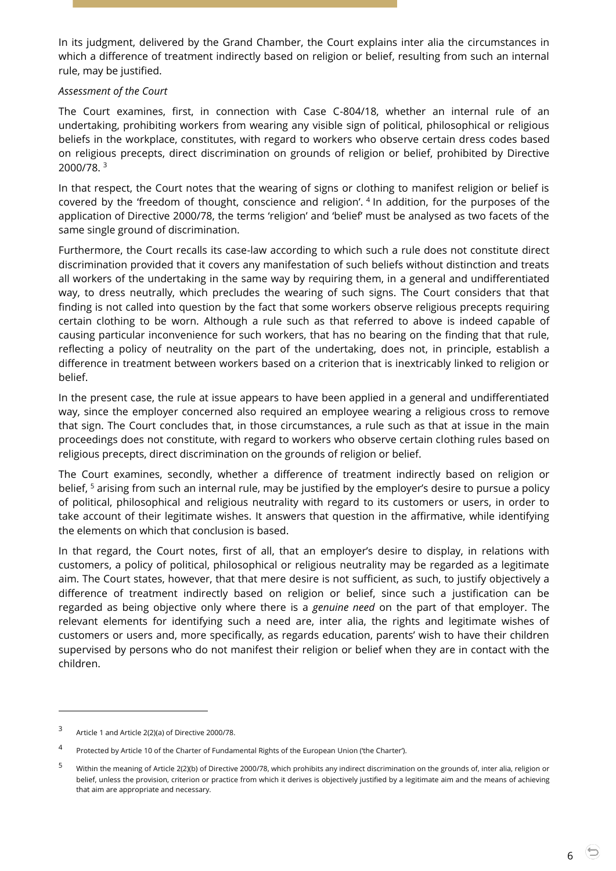In its judgment, delivered by the Grand Chamber, the Court explains inter alia the circumstances in which a difference of treatment indirectly based on religion or belief, resulting from such an internal rule, may be justified.

#### *Assessment of the Court*

The Court examines, first, in connection with Case C-804/18, whether an internal rule of an undertaking, prohibiting workers from wearing any visible sign of political, philosophical or religious beliefs in the workplace, constitutes, with regard to workers who observe certain dress codes based on religious precepts, direct discrimination on grounds of religion or belief, prohibited by Directive 2000/78. <sup>3</sup>

In that respect, the Court notes that the wearing of signs or clothing to manifest religion or belief is covered by the 'freedom of thought, conscience and religion'. <sup>4</sup> In addition, for the purposes of the application of Directive 2000/78, the terms 'religion' and 'belief' must be analysed as two facets of the same single ground of discrimination.

Furthermore, the Court recalls its case-law according to which such a rule does not constitute direct discrimination provided that it covers any manifestation of such beliefs without distinction and treats all workers of the undertaking in the same way by requiring them, in a general and undifferentiated way, to dress neutrally, which precludes the wearing of such signs. The Court considers that that finding is not called into question by the fact that some workers observe religious precepts requiring certain clothing to be worn. Although a rule such as that referred to above is indeed capable of causing particular inconvenience for such workers, that has no bearing on the finding that that rule, reflecting a policy of neutrality on the part of the undertaking, does not, in principle, establish a difference in treatment between workers based on a criterion that is inextricably linked to religion or belief.

In the present case, the rule at issue appears to have been applied in a general and undifferentiated way, since the employer concerned also required an employee wearing a religious cross to remove that sign. The Court concludes that, in those circumstances, a rule such as that at issue in the main proceedings does not constitute, with regard to workers who observe certain clothing rules based on religious precepts, direct discrimination on the grounds of religion or belief.

The Court examines, secondly, whether a difference of treatment indirectly based on religion or belief, <sup>5</sup> arising from such an internal rule, may be justified by the employer's desire to pursue a policy of political, philosophical and religious neutrality with regard to its customers or users, in order to take account of their legitimate wishes. It answers that question in the affirmative, while identifying the elements on which that conclusion is based.

In that regard, the Court notes, first of all, that an employer's desire to display, in relations with customers, a policy of political, philosophical or religious neutrality may be regarded as a legitimate aim. The Court states, however, that that mere desire is not sufficient, as such, to justify objectively a difference of treatment indirectly based on religion or belief, since such a justification can be regarded as being objective only where there is a *genuine need* on the part of that employer. The relevant elements for identifying such a need are, inter alia, the rights and legitimate wishes of customers or users and, more specifically, as regards education, parents' wish to have their children supervised by persons who do not manifest their religion or belief when they are in contact with the children.

 $\overline{a}$ 

6

<sup>3</sup> Article 1 and Article 2(2)(a) of Directive 2000/78.

<sup>4</sup> Protected by Article 10 of the Charter of Fundamental Rights of the European Union ('the Charter').

<sup>5</sup> Within the meaning of Article 2(2)(b) of Directive 2000/78, which prohibits any indirect discrimination on the grounds of, inter alia, religion or belief, unless the provision, criterion or practice from which it derives is objectively justified by a legitimate aim and the means of achieving that aim are appropriate and necessary.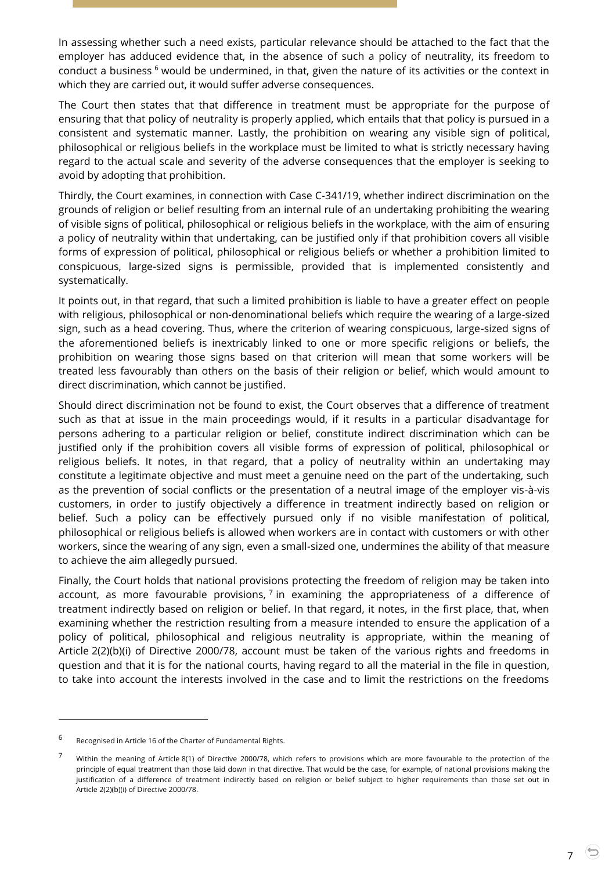In assessing whether such a need exists, particular relevance should be attached to the fact that the employer has adduced evidence that, in the absence of such a policy of neutrality, its freedom to conduct a business  $6$  would be undermined, in that, given the nature of its activities or the context in which they are carried out, it would suffer adverse consequences.

The Court then states that that difference in treatment must be appropriate for the purpose of ensuring that that policy of neutrality is properly applied, which entails that that policy is pursued in a consistent and systematic manner. Lastly, the prohibition on wearing any visible sign of political, philosophical or religious beliefs in the workplace must be limited to what is strictly necessary having regard to the actual scale and severity of the adverse consequences that the employer is seeking to avoid by adopting that prohibition.

Thirdly, the Court examines, in connection with Case C-341/19, whether indirect discrimination on the grounds of religion or belief resulting from an internal rule of an undertaking prohibiting the wearing of visible signs of political, philosophical or religious beliefs in the workplace, with the aim of ensuring a policy of neutrality within that undertaking, can be justified only if that prohibition covers all visible forms of expression of political, philosophical or religious beliefs or whether a prohibition limited to conspicuous, large-sized signs is permissible, provided that is implemented consistently and systematically.

It points out, in that regard, that such a limited prohibition is liable to have a greater effect on people with religious, philosophical or non-denominational beliefs which require the wearing of a large-sized sign, such as a head covering. Thus, where the criterion of wearing conspicuous, large-sized signs of the aforementioned beliefs is inextricably linked to one or more specific religions or beliefs, the prohibition on wearing those signs based on that criterion will mean that some workers will be treated less favourably than others on the basis of their religion or belief, which would amount to direct discrimination, which cannot be justified.

Should direct discrimination not be found to exist, the Court observes that a difference of treatment such as that at issue in the main proceedings would, if it results in a particular disadvantage for persons adhering to a particular religion or belief, constitute indirect discrimination which can be justified only if the prohibition covers all visible forms of expression of political, philosophical or religious beliefs. It notes, in that regard, that a policy of neutrality within an undertaking may constitute a legitimate objective and must meet a genuine need on the part of the undertaking, such as the prevention of social conflicts or the presentation of a neutral image of the employer vis-à-vis customers, in order to justify objectively a difference in treatment indirectly based on religion or belief. Such a policy can be effectively pursued only if no visible manifestation of political, philosophical or religious beliefs is allowed when workers are in contact with customers or with other workers, since the wearing of any sign, even a small-sized one, undermines the ability of that measure to achieve the aim allegedly pursued.

Finally, the Court holds that national provisions protecting the freedom of religion may be taken into account, as more favourable provisions,  $7$  in examining the appropriateness of a difference of treatment indirectly based on religion or belief. In that regard, it notes, in the first place, that, when examining whether the restriction resulting from a measure intended to ensure the application of a policy of political, philosophical and religious neutrality is appropriate, within the meaning of Article 2(2)(b)(i) of Directive 2000/78, account must be taken of the various rights and freedoms in question and that it is for the national courts, having regard to all the material in the file in question, to take into account the interests involved in the case and to limit the restrictions on the freedoms

-

<sup>6</sup> Recognised in Article 16 of the Charter of Fundamental Rights.

<sup>7</sup> Within the meaning of Article 8(1) of Directive 2000/78, which refers to provisions which are more favourable to the protection of the principle of equal treatment than those laid down in that directive. That would be the case, for example, of national provisions making the justification of a difference of treatment indirectly based on religion or belief subject to higher requirements than those set out in Article 2(2)(b)(i) of Directive 2000/78.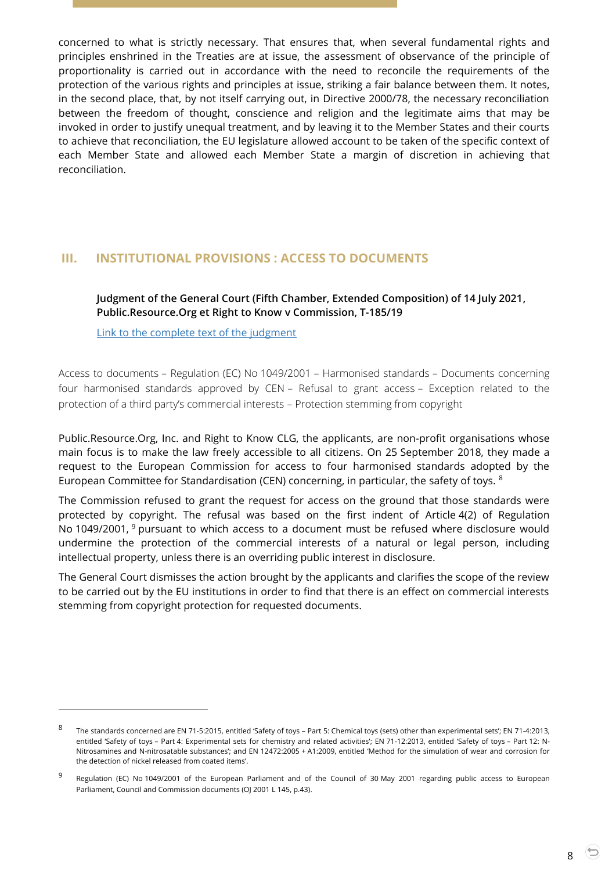concerned to what is strictly necessary. That ensures that, when several fundamental rights and principles enshrined in the Treaties are at issue, the assessment of observance of the principle of proportionality is carried out in accordance with the need to reconcile the requirements of the protection of the various rights and principles at issue, striking a fair balance between them. It notes, in the second place, that, by not itself carrying out, in Directive 2000/78, the necessary reconciliation between the freedom of thought, conscience and religion and the legitimate aims that may be invoked in order to justify unequal treatment, and by leaving it to the Member States and their courts to achieve that reconciliation, the EU legislature allowed account to be taken of the specific context of each Member State and allowed each Member State a margin of discretion in achieving that reconciliation.

# <span id="page-7-1"></span><span id="page-7-0"></span>**III. INSTITUTIONAL PROVISIONS : ACCESS TO DOCUMENTS**

## **Judgment of the General Court (Fifth Chamber, Extended Composition) of 14 July 2021, Public.Resource.Org et Right to Know v Commission, T-185/19**

[Link to the complete text of the judgment](https://curia.europa.eu/juris/document/document.jsf?text=&docid=244113&pageIndex=0&doclang=EN&mode=lst&dir=&occ=first&part=1&cid=3495752)

 $\overline{a}$ 

Access to documents – Regulation (EC) No 1049/2001 – Harmonised standards – Documents concerning four harmonised standards approved by CEN – Refusal to grant access – Exception related to the protection of a third party's commercial interests – Protection stemming from copyright

Public.Resource.Org, Inc. and Right to Know CLG, the applicants, are non-profit organisations whose main focus is to make the law freely accessible to all citizens. On 25 September 2018, they made a request to the European Commission for access to four harmonised standards adopted by the European Committee for Standardisation (CEN) concerning, in particular, the safety of toys. <sup>8</sup>

The Commission refused to grant the request for access on the ground that those standards were protected by copyright. The refusal was based on the first indent of Article 4(2) of Regulation No 1049/2001, <sup>9</sup> pursuant to which access to a document must be refused where disclosure would undermine the protection of the commercial interests of a natural or legal person, including intellectual property, unless there is an overriding public interest in disclosure.

The General Court dismisses the action brought by the applicants and clarifies the scope of the review to be carried out by the EU institutions in order to find that there is an effect on commercial interests stemming from copyright protection for requested documents.

<sup>8</sup> The standards concerned are EN 71-5:2015, entitled 'Safety of toys – Part 5: Chemical toys (sets) other than experimental sets'; EN 71-4:2013, entitled 'Safety of toys – Part 4: Experimental sets for chemistry and related activities'; EN 71-12:2013, entitled 'Safety of toys – Part 12: N-Nitrosamines and N-nitrosatable substances'; and EN 12472:2005 + A1:2009, entitled 'Method for the simulation of wear and corrosion for the detection of nickel released from coated items'.

<sup>9</sup> Regulation (EC) No 1049/2001 of the European Parliament and of the Council of 30 May 2001 regarding public access to European Parliament, Council and Commission documents (OJ 2001 L 145, p.43).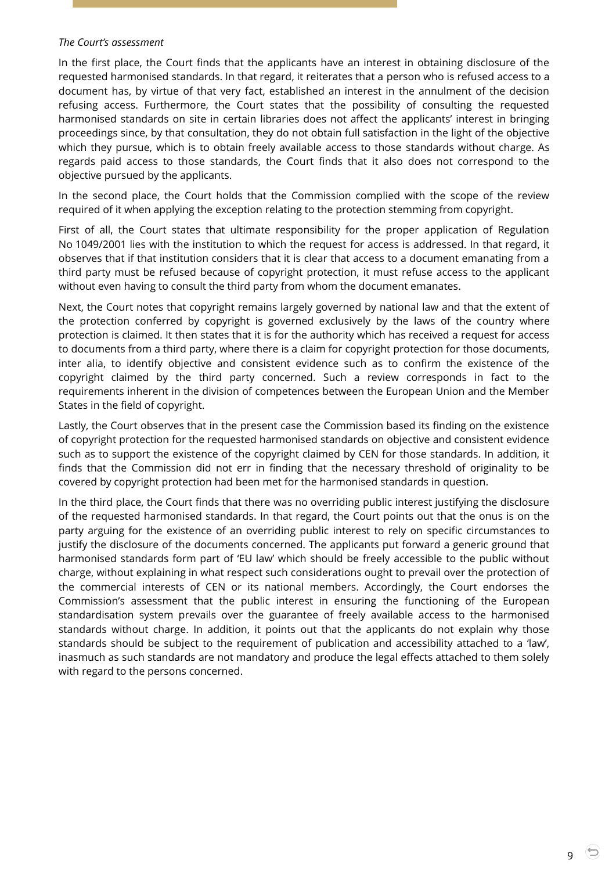#### *The Court's assessment*

In the first place, the Court finds that the applicants have an interest in obtaining disclosure of the requested harmonised standards. In that regard, it reiterates that a person who is refused access to a document has, by virtue of that very fact, established an interest in the annulment of the decision refusing access. Furthermore, the Court states that the possibility of consulting the requested harmonised standards on site in certain libraries does not affect the applicants' interest in bringing proceedings since, by that consultation, they do not obtain full satisfaction in the light of the objective which they pursue, which is to obtain freely available access to those standards without charge. As regards paid access to those standards, the Court finds that it also does not correspond to the objective pursued by the applicants.

In the second place, the Court holds that the Commission complied with the scope of the review required of it when applying the exception relating to the protection stemming from copyright.

First of all, the Court states that ultimate responsibility for the proper application of Regulation No 1049/2001 lies with the institution to which the request for access is addressed. In that regard, it observes that if that institution considers that it is clear that access to a document emanating from a third party must be refused because of copyright protection, it must refuse access to the applicant without even having to consult the third party from whom the document emanates.

Next, the Court notes that copyright remains largely governed by national law and that the extent of the protection conferred by copyright is governed exclusively by the laws of the country where protection is claimed. It then states that it is for the authority which has received a request for access to documents from a third party, where there is a claim for copyright protection for those documents, inter alia, to identify objective and consistent evidence such as to confirm the existence of the copyright claimed by the third party concerned. Such a review corresponds in fact to the requirements inherent in the division of competences between the European Union and the Member States in the field of copyright.

Lastly, the Court observes that in the present case the Commission based its finding on the existence of copyright protection for the requested harmonised standards on objective and consistent evidence such as to support the existence of the copyright claimed by CEN for those standards. In addition, it finds that the Commission did not err in finding that the necessary threshold of originality to be covered by copyright protection had been met for the harmonised standards in question.

In the third place, the Court finds that there was no overriding public interest justifying the disclosure of the requested harmonised standards. In that regard, the Court points out that the onus is on the party arguing for the existence of an overriding public interest to rely on specific circumstances to justify the disclosure of the documents concerned. The applicants put forward a generic ground that harmonised standards form part of 'EU law' which should be freely accessible to the public without charge, without explaining in what respect such considerations ought to prevail over the protection of the commercial interests of CEN or its national members. Accordingly, the Court endorses the Commission's assessment that the public interest in ensuring the functioning of the European standardisation system prevails over the guarantee of freely available access to the harmonised standards without charge. In addition, it points out that the applicants do not explain why those standards should be subject to the requirement of publication and accessibility attached to a 'law', inasmuch as such standards are not mandatory and produce the legal effects attached to them solely with regard to the persons concerned.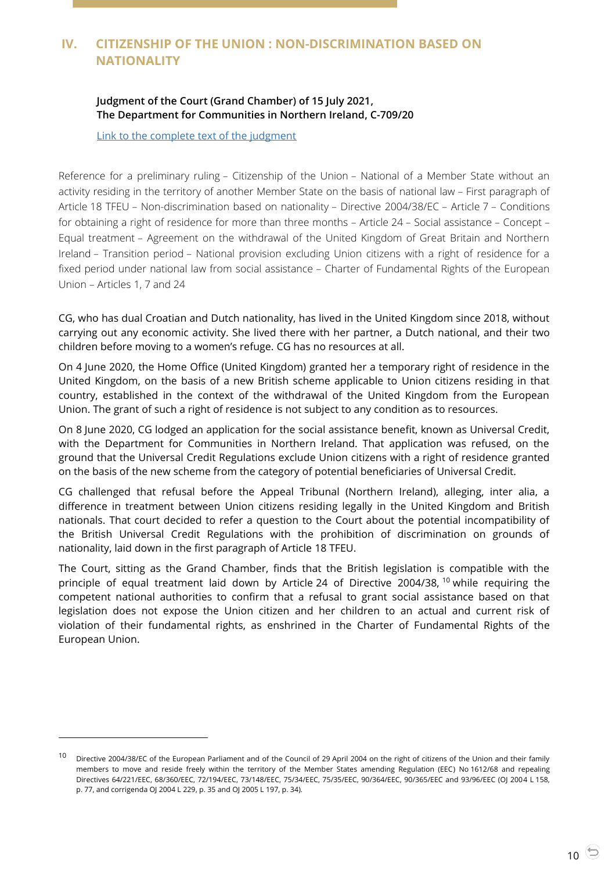# <span id="page-9-1"></span><span id="page-9-0"></span>**IV. CITIZENSHIP OF THE UNION : NON-DISCRIMINATION BASED ON NATIONALITY**

## **Judgment of the Court (Grand Chamber) of 15 July 2021, The Department for Communities in Northern Ireland, C-709/20**

[Link to the complete text of the judgment](https://curia.europa.eu/juris/document/document.jsf?text=&docid=244198&pageIndex=0&doclang=en&mode=lst&dir=&occ=first&part=1&cid=3501218)

Reference for a preliminary ruling – Citizenship of the Union – National of a Member State without an activity residing in the territory of another Member State on the basis of national law – First paragraph of Article 18 TFEU – Non-discrimination based on nationality – Directive 2004/38/EC – Article 7 – Conditions for obtaining a right of residence for more than three months – Article 24 – Social assistance – Concept – Equal treatment – Agreement on the withdrawal of the United Kingdom of Great Britain and Northern Ireland – Transition period – National provision excluding Union citizens with a right of residence for a fixed period under national law from social assistance – Charter of Fundamental Rights of the European Union – Articles 1, 7 and 24

CG, who has dual Croatian and Dutch nationality, has lived in the United Kingdom since 2018, without carrying out any economic activity. She lived there with her partner, a Dutch national, and their two children before moving to a women's refuge. CG has no resources at all.

On 4 June 2020, the Home Office (United Kingdom) granted her a temporary right of residence in the United Kingdom, on the basis of a new British scheme applicable to Union citizens residing in that country, established in the context of the withdrawal of the United Kingdom from the European Union. The grant of such a right of residence is not subject to any condition as to resources.

On 8 June 2020, CG lodged an application for the social assistance benefit, known as Universal Credit, with the Department for Communities in Northern Ireland. That application was refused, on the ground that the Universal Credit Regulations exclude Union citizens with a right of residence granted on the basis of the new scheme from the category of potential beneficiaries of Universal Credit.

CG challenged that refusal before the Appeal Tribunal (Northern Ireland), alleging, inter alia, a difference in treatment between Union citizens residing legally in the United Kingdom and British nationals. That court decided to refer a question to the Court about the potential incompatibility of the British Universal Credit Regulations with the prohibition of discrimination on grounds of nationality, laid down in the first paragraph of Article 18 TFEU.

The Court, sitting as the Grand Chamber, finds that the British legislation is compatible with the principle of equal treatment laid down by Article 24 of Directive 2004/38, <sup>10</sup> while requiring the competent national authorities to confirm that a refusal to grant social assistance based on that legislation does not expose the Union citizen and her children to an actual and current risk of violation of their fundamental rights, as enshrined in the Charter of Fundamental Rights of the European Union.

-

<sup>10</sup> Directive 2004/38/EC of the European Parliament and of the Council of 29 April 2004 on the right of citizens of the Union and their family members to move and reside freely within the territory of the Member States amending Regulation (EEC) No 1612/68 and repealing Directives 64/221/EEC, 68/360/EEC, 72/194/EEC, 73/148/EEC, 75/34/EEC, 75/35/EEC, 90/364/EEC, 90/365/EEC and 93/96/EEC (OJ 2004 L 158, p. 77, and corrigenda OJ 2004 L 229, p. 35 and OJ 2005 L 197, p. 34).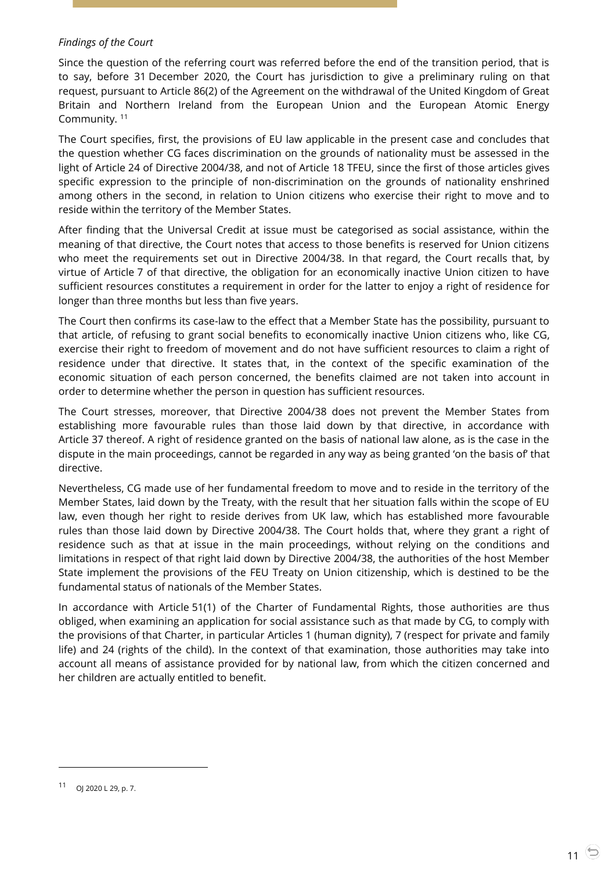## *Findings of the Court*

Since the question of the referring court was referred before the end of the transition period, that is to say, before 31 December 2020, the Court has jurisdiction to give a preliminary ruling on that request, pursuant to Article 86(2) of the Agreement on the withdrawal of the United Kingdom of Great Britain and Northern Ireland from the European Union and the European Atomic Energy Community. <sup>11</sup>

The Court specifies, first, the provisions of EU law applicable in the present case and concludes that the question whether CG faces discrimination on the grounds of nationality must be assessed in the light of Article 24 of Directive 2004/38, and not of Article 18 TFEU, since the first of those articles gives specific expression to the principle of non-discrimination on the grounds of nationality enshrined among others in the second, in relation to Union citizens who exercise their right to move and to reside within the territory of the Member States.

After finding that the Universal Credit at issue must be categorised as social assistance, within the meaning of that directive, the Court notes that access to those benefits is reserved for Union citizens who meet the requirements set out in Directive 2004/38. In that regard, the Court recalls that, by virtue of Article 7 of that directive, the obligation for an economically inactive Union citizen to have sufficient resources constitutes a requirement in order for the latter to enjoy a right of residence for longer than three months but less than five years.

The Court then confirms its case-law to the effect that a Member State has the possibility, pursuant to that article, of refusing to grant social benefits to economically inactive Union citizens who, like CG, exercise their right to freedom of movement and do not have sufficient resources to claim a right of residence under that directive. It states that, in the context of the specific examination of the economic situation of each person concerned, the benefits claimed are not taken into account in order to determine whether the person in question has sufficient resources.

The Court stresses, moreover, that Directive 2004/38 does not prevent the Member States from establishing more favourable rules than those laid down by that directive, in accordance with Article 37 thereof. A right of residence granted on the basis of national law alone, as is the case in the dispute in the main proceedings, cannot be regarded in any way as being granted 'on the basis of' that directive.

Nevertheless, CG made use of her fundamental freedom to move and to reside in the territory of the Member States, laid down by the Treaty, with the result that her situation falls within the scope of EU law, even though her right to reside derives from UK law, which has established more favourable rules than those laid down by Directive 2004/38. The Court holds that, where they grant a right of residence such as that at issue in the main proceedings, without relying on the conditions and limitations in respect of that right laid down by Directive 2004/38, the authorities of the host Member State implement the provisions of the FEU Treaty on Union citizenship, which is destined to be the fundamental status of nationals of the Member States.

In accordance with Article 51(1) of the Charter of Fundamental Rights, those authorities are thus obliged, when examining an application for social assistance such as that made by CG, to comply with the provisions of that Charter, in particular Articles 1 (human dignity), 7 (respect for private and family life) and 24 (rights of the child). In the context of that examination, those authorities may take into account all means of assistance provided for by national law, from which the citizen concerned and her children are actually entitled to benefit.

<sup>11</sup> OJ 2020 L 29, p. 7.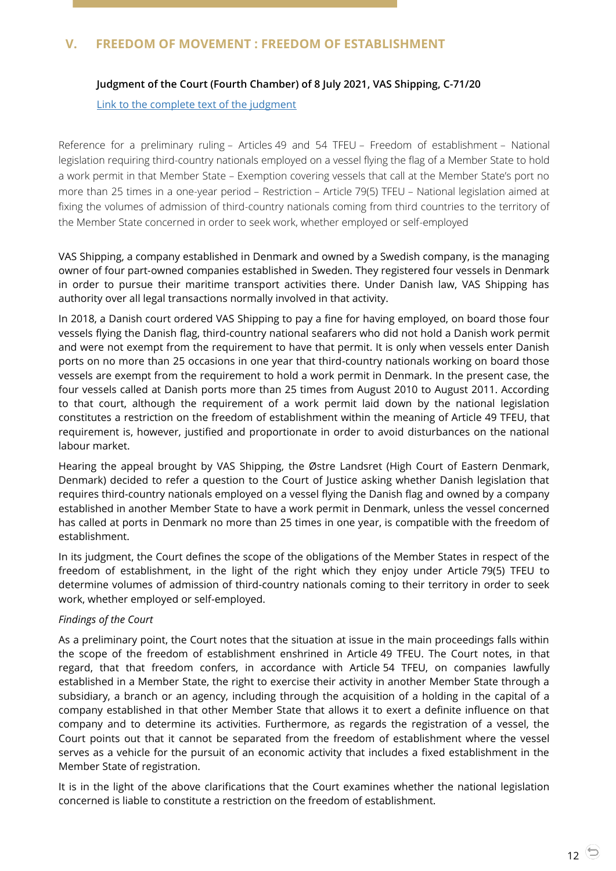# <span id="page-11-1"></span><span id="page-11-0"></span>**V. FREEDOM OF MOVEMENT : FREEDOM OF ESTABLISHMENT**

## **Judgment of the Court (Fourth Chamber) of 8 July 2021, VAS Shipping, C-71/20**

## [Link to the complete text of the judgment](https://curia.europa.eu/juris/document/document.jsf?text=&docid=243865&pageIndex=0&doclang=EN&mode=lst&dir=&occ=first&part=1&cid=3503099)

Reference for a preliminary ruling – Articles 49 and 54 TFEU – Freedom of establishment – National legislation requiring third-country nationals employed on a vessel flying the flag of a Member State to hold a work permit in that Member State – Exemption covering vessels that call at the Member State's port no more than 25 times in a one-year period – Restriction – Article 79(5) TFEU – National legislation aimed at fixing the volumes of admission of third-country nationals coming from third countries to the territory of the Member State concerned in order to seek work, whether employed or self-employed

VAS Shipping, a company established in Denmark and owned by a Swedish company, is the managing owner of four part-owned companies established in Sweden. They registered four vessels in Denmark in order to pursue their maritime transport activities there. Under Danish law, VAS Shipping has authority over all legal transactions normally involved in that activity.

In 2018, a Danish court ordered VAS Shipping to pay a fine for having employed, on board those four vessels flying the Danish flag, third-country national seafarers who did not hold a Danish work permit and were not exempt from the requirement to have that permit. It is only when vessels enter Danish ports on no more than 25 occasions in one year that third-country nationals working on board those vessels are exempt from the requirement to hold a work permit in Denmark. In the present case, the four vessels called at Danish ports more than 25 times from August 2010 to August 2011. According to that court, although the requirement of a work permit laid down by the national legislation constitutes a restriction on the freedom of establishment within the meaning of Article 49 TFEU, that requirement is, however, justified and proportionate in order to avoid disturbances on the national labour market.

Hearing the appeal brought by VAS Shipping, the Østre Landsret (High Court of Eastern Denmark, Denmark) decided to refer a question to the Court of Justice asking whether Danish legislation that requires third-country nationals employed on a vessel flying the Danish flag and owned by a company established in another Member State to have a work permit in Denmark, unless the vessel concerned has called at ports in Denmark no more than 25 times in one year, is compatible with the freedom of establishment.

In its judgment, the Court defines the scope of the obligations of the Member States in respect of the freedom of establishment, in the light of the right which they enjoy under Article 79(5) TFEU to determine volumes of admission of third-country nationals coming to their territory in order to seek work, whether employed or self-employed.

## *Findings of the Court*

As a preliminary point, the Court notes that the situation at issue in the main proceedings falls within the scope of the freedom of establishment enshrined in Article 49 TFEU. The Court notes, in that regard, that that freedom confers, in accordance with Article 54 TFEU, on companies lawfully established in a Member State, the right to exercise their activity in another Member State through a subsidiary, a branch or an agency, including through the acquisition of a holding in the capital of a company established in that other Member State that allows it to exert a definite influence on that company and to determine its activities. Furthermore, as regards the registration of a vessel, the Court points out that it cannot be separated from the freedom of establishment where the vessel serves as a vehicle for the pursuit of an economic activity that includes a fixed establishment in the Member State of registration.

It is in the light of the above clarifications that the Court examines whether the national legislation concerned is liable to constitute a restriction on the freedom of establishment.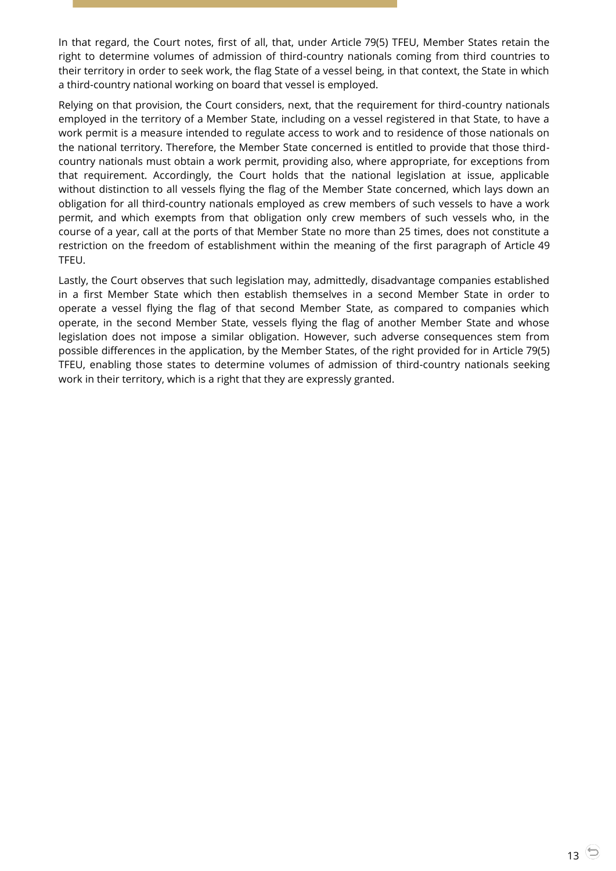In that regard, the Court notes, first of all, that, under Article 79(5) TFEU, Member States retain the right to determine volumes of admission of third-country nationals coming from third countries to their territory in order to seek work, the flag State of a vessel being, in that context, the State in which a third-country national working on board that vessel is employed.

Relying on that provision, the Court considers, next, that the requirement for third-country nationals employed in the territory of a Member State, including on a vessel registered in that State, to have a work permit is a measure intended to regulate access to work and to residence of those nationals on the national territory. Therefore, the Member State concerned is entitled to provide that those thirdcountry nationals must obtain a work permit, providing also, where appropriate, for exceptions from that requirement. Accordingly, the Court holds that the national legislation at issue, applicable without distinction to all vessels flying the flag of the Member State concerned, which lays down an obligation for all third-country nationals employed as crew members of such vessels to have a work permit, and which exempts from that obligation only crew members of such vessels who, in the course of a year, call at the ports of that Member State no more than 25 times, does not constitute a restriction on the freedom of establishment within the meaning of the first paragraph of Article 49 TFEU.

Lastly, the Court observes that such legislation may, admittedly, disadvantage companies established in a first Member State which then establish themselves in a second Member State in order to operate a vessel flying the flag of that second Member State, as compared to companies which operate, in the second Member State, vessels flying the flag of another Member State and whose legislation does not impose a similar obligation. However, such adverse consequences stem from possible differences in the application, by the Member States, of the right provided for in Article 79(5) TFEU, enabling those states to determine volumes of admission of third-country nationals seeking work in their territory, which is a right that they are expressly granted.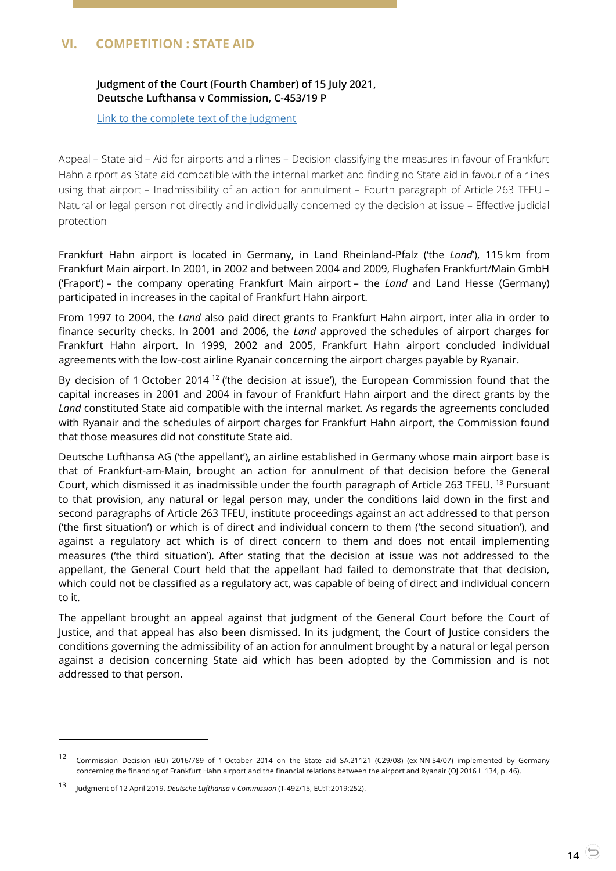# <span id="page-13-1"></span><span id="page-13-0"></span>**VI. COMPETITION : STATE AID**

# **Judgment of the Court (Fourth Chamber) of 15 July 2021, Deutsche Lufthansa v Commission, C-453/19 P**

[Link to the complete text of the judgment](https://curia.europa.eu/juris/document/document.jsf?text=&docid=244181&pageIndex=0&doclang=EN&mode=lst&dir=&occ=first&part=1&cid=3504027)

Appeal – State aid – Aid for airports and airlines – Decision classifying the measures in favour of Frankfurt Hahn airport as State aid compatible with the internal market and finding no State aid in favour of airlines using that airport – Inadmissibility of an action for annulment – Fourth paragraph of Article 263 TFEU – Natural or legal person not directly and individually concerned by the decision at issue – Effective judicial protection

Frankfurt Hahn airport is located in Germany, in Land Rheinland-Pfalz ('the *Land*'), 115 km from Frankfurt Main airport. In 2001, in 2002 and between 2004 and 2009, Flughafen Frankfurt/Main GmbH ('Fraport') – the company operating Frankfurt Main airport – the *Land* and Land Hesse (Germany) participated in increases in the capital of Frankfurt Hahn airport.

From 1997 to 2004, the *Land* also paid direct grants to Frankfurt Hahn airport, inter alia in order to finance security checks. In 2001 and 2006, the *Land* approved the schedules of airport charges for Frankfurt Hahn airport. In 1999, 2002 and 2005, Frankfurt Hahn airport concluded individual agreements with the low-cost airline Ryanair concerning the airport charges payable by Ryanair.

By decision of 1 October 2014<sup>12</sup> ('the decision at issue'), the European Commission found that the capital increases in 2001 and 2004 in favour of Frankfurt Hahn airport and the direct grants by the *Land* constituted State aid compatible with the internal market. As regards the agreements concluded with Ryanair and the schedules of airport charges for Frankfurt Hahn airport, the Commission found that those measures did not constitute State aid.

Deutsche Lufthansa AG ('the appellant'), an airline established in Germany whose main airport base is that of Frankfurt-am-Main, brought an action for annulment of that decision before the General Court, which dismissed it as inadmissible under the fourth paragraph of Article 263 TFEU. <sup>13</sup> Pursuant to that provision, any natural or legal person may, under the conditions laid down in the first and second paragraphs of Article 263 TFEU, institute proceedings against an act addressed to that person ('the first situation') or which is of direct and individual concern to them ('the second situation'), and against a regulatory act which is of direct concern to them and does not entail implementing measures ('the third situation'). After stating that the decision at issue was not addressed to the appellant, the General Court held that the appellant had failed to demonstrate that that decision, which could not be classified as a regulatory act, was capable of being of direct and individual concern to it.

The appellant brought an appeal against that judgment of the General Court before the Court of Justice, and that appeal has also been dismissed. In its judgment, the Court of Justice considers the conditions governing the admissibility of an action for annulment brought by a natural or legal person against a decision concerning State aid which has been adopted by the Commission and is not addressed to that person.

<sup>12</sup> Commission Decision (EU) 2016/789 of 1 October 2014 on the State aid SA.21121 (C29/08) (ex NN 54/07) implemented by Germany concerning the financing of Frankfurt Hahn airport and the financial relations between the airport and Ryanair (OJ 2016 L 134, p. 46).

<sup>13</sup> Judgment of 12 April 2019, *Deutsche Lufthansa* <sup>v</sup>*Commission* (T-492/15, EU:T:2019:252).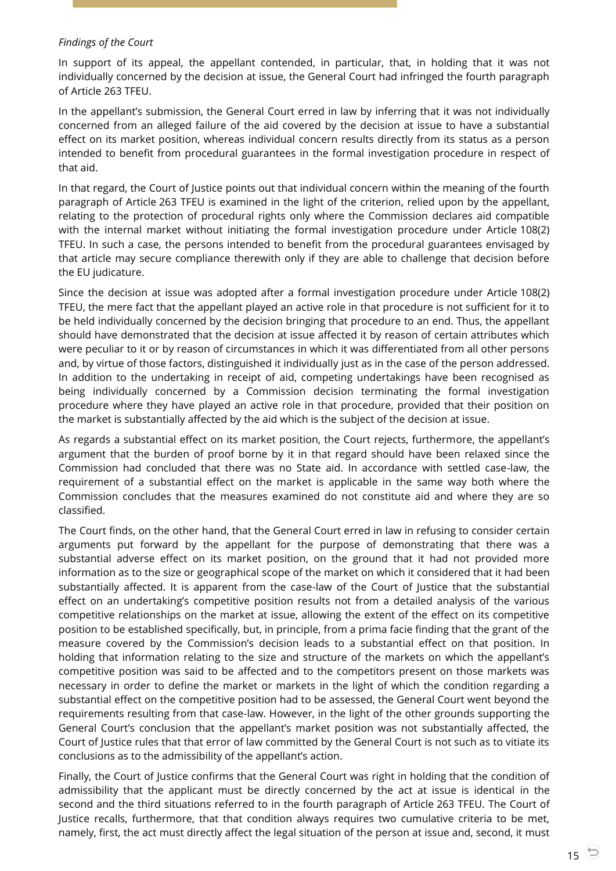#### *Findings of the Court*

In support of its appeal, the appellant contended, in particular, that, in holding that it was not individually concerned by the decision at issue, the General Court had infringed the fourth paragraph of Article 263 TFEU.

In the appellant's submission, the General Court erred in law by inferring that it was not individually concerned from an alleged failure of the aid covered by the decision at issue to have a substantial effect on its market position, whereas individual concern results directly from its status as a person intended to benefit from procedural guarantees in the formal investigation procedure in respect of that aid.

In that regard, the Court of Justice points out that individual concern within the meaning of the fourth paragraph of Article 263 TFEU is examined in the light of the criterion, relied upon by the appellant, relating to the protection of procedural rights only where the Commission declares aid compatible with the internal market without initiating the formal investigation procedure under Article 108(2) TFEU. In such a case, the persons intended to benefit from the procedural guarantees envisaged by that article may secure compliance therewith only if they are able to challenge that decision before the EU judicature.

Since the decision at issue was adopted after a formal investigation procedure under Article 108(2) TFEU, the mere fact that the appellant played an active role in that procedure is not sufficient for it to be held individually concerned by the decision bringing that procedure to an end. Thus, the appellant should have demonstrated that the decision at issue affected it by reason of certain attributes which were peculiar to it or by reason of circumstances in which it was differentiated from all other persons and, by virtue of those factors, distinguished it individually just as in the case of the person addressed. In addition to the undertaking in receipt of aid, competing undertakings have been recognised as being individually concerned by a Commission decision terminating the formal investigation procedure where they have played an active role in that procedure, provided that their position on the market is substantially affected by the aid which is the subject of the decision at issue.

As regards a substantial effect on its market position, the Court rejects, furthermore, the appellant's argument that the burden of proof borne by it in that regard should have been relaxed since the Commission had concluded that there was no State aid. In accordance with settled case-law, the requirement of a substantial effect on the market is applicable in the same way both where the Commission concludes that the measures examined do not constitute aid and where they are so classified.

The Court finds, on the other hand, that the General Court erred in law in refusing to consider certain arguments put forward by the appellant for the purpose of demonstrating that there was a substantial adverse effect on its market position, on the ground that it had not provided more information as to the size or geographical scope of the market on which it considered that it had been substantially affected. It is apparent from the case-law of the Court of Justice that the substantial effect on an undertaking's competitive position results not from a detailed analysis of the various competitive relationships on the market at issue, allowing the extent of the effect on its competitive position to be established specifically, but, in principle, from a prima facie finding that the grant of the measure covered by the Commission's decision leads to a substantial effect on that position. In holding that information relating to the size and structure of the markets on which the appellant's competitive position was said to be affected and to the competitors present on those markets was necessary in order to define the market or markets in the light of which the condition regarding a substantial effect on the competitive position had to be assessed, the General Court went beyond the requirements resulting from that case-law. However, in the light of the other grounds supporting the General Court's conclusion that the appellant's market position was not substantially affected, the Court of Justice rules that that error of law committed by the General Court is not such as to vitiate its conclusions as to the admissibility of the appellant's action.

Finally, the Court of Justice confirms that the General Court was right in holding that the condition of admissibility that the applicant must be directly concerned by the act at issue is identical in the second and the third situations referred to in the fourth paragraph of Article 263 TFEU. The Court of Justice recalls, furthermore, that that condition always requires two cumulative criteria to be met, namely, first, the act must directly affect the legal situation of the person at issue and, second, it must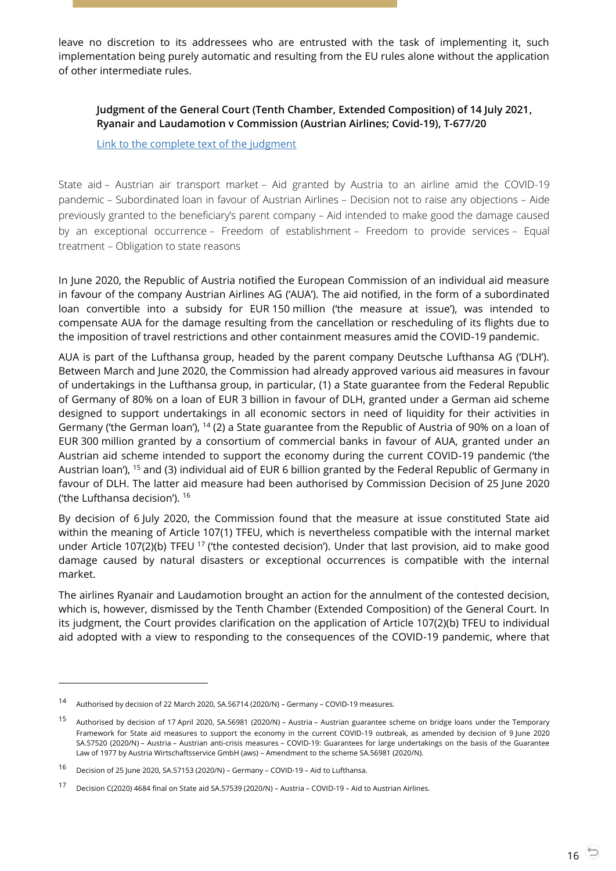leave no discretion to its addressees who are entrusted with the task of implementing it, such implementation being purely automatic and resulting from the EU rules alone without the application of other intermediate rules.

<span id="page-15-0"></span>**Judgment of the General Court (Tenth Chamber, Extended Composition) of 14 July 2021, Ryanair and Laudamotion v Commission (Austrian Airlines; Covid-19), T-677/20**

[Link to the complete text of the judgment](https://curia.europa.eu/juris/document/document.jsf?text=&docid=244115&pageIndex=0&doclang=EN&mode=lst&dir=&occ=first&part=1&cid=3505303)

State aid – Austrian air transport market – Aid granted by Austria to an airline amid the COVID-19 pandemic – Subordinated loan in favour of Austrian Airlines – Decision not to raise any objections – Aide previously granted to the beneficiary's parent company – Aid intended to make good the damage caused by an exceptional occurrence – Freedom of establishment – Freedom to provide services – Equal treatment – Obligation to state reasons

In June 2020, the Republic of Austria notified the European Commission of an individual aid measure in favour of the company Austrian Airlines AG ('AUA'). The aid notified, in the form of a subordinated loan convertible into a subsidy for EUR 150 million ('the measure at issue'), was intended to compensate AUA for the damage resulting from the cancellation or rescheduling of its flights due to the imposition of travel restrictions and other containment measures amid the COVID-19 pandemic.

AUA is part of the Lufthansa group, headed by the parent company Deutsche Lufthansa AG ('DLH'). Between March and June 2020, the Commission had already approved various aid measures in favour of undertakings in the Lufthansa group, in particular, (1) a State guarantee from the Federal Republic of Germany of 80% on a loan of EUR 3 billion in favour of DLH, granted under a German aid scheme designed to support undertakings in all economic sectors in need of liquidity for their activities in Germany ('the German loan'), <sup>14</sup> (2) a State guarantee from the Republic of Austria of 90% on a loan of EUR 300 million granted by a consortium of commercial banks in favour of AUA, granted under an Austrian aid scheme intended to support the economy during the current COVID-19 pandemic ('the Austrian loan'), <sup>15</sup> and (3) individual aid of EUR 6 billion granted by the Federal Republic of Germany in favour of DLH. The latter aid measure had been authorised by Commission Decision of 25 June 2020 ('the Lufthansa decision'). <sup>16</sup>

By decision of 6 July 2020, the Commission found that the measure at issue constituted State aid within the meaning of Article 107(1) TFEU, which is nevertheless compatible with the internal market under Article 107(2)(b) TFEU <sup>17</sup> ('the contested decision'). Under that last provision, aid to make good damage caused by natural disasters or exceptional occurrences is compatible with the internal market.

The airlines Ryanair and Laudamotion brought an action for the annulment of the contested decision, which is, however, dismissed by the Tenth Chamber (Extended Composition) of the General Court. In its judgment, the Court provides clarification on the application of Article 107(2)(b) TFEU to individual aid adopted with a view to responding to the consequences of the COVID-19 pandemic, where that

<sup>14</sup> Authorised by decision of 22 March 2020, SA.56714 (2020/N) – Germany – COVID-19 measures.

<sup>15</sup> Authorised by decision of 17 April 2020, SA.56981 (2020/N) – Austria – Austrian guarantee scheme on bridge loans under the Temporary Framework for State aid measures to support the economy in the current COVID-19 outbreak, as amended by decision of 9 June 2020 SA.57520 (2020/N) – Austria – Austrian anti-crisis measures – COVID-19: Guarantees for large undertakings on the basis of the Guarantee Law of 1977 by Austria Wirtschaftsservice GmbH (aws) – Amendment to the scheme SA.56981 (2020/N).

<sup>16</sup> Decision of 25 June 2020, SA.57153 (2020/N) – Germany – COVID-19 – Aid to Lufthansa.

<sup>17</sup> Decision C(2020) 4684 final on State aid SA.57539 (2020/N) – Austria – COVID-19 – Aid to Austrian Airlines.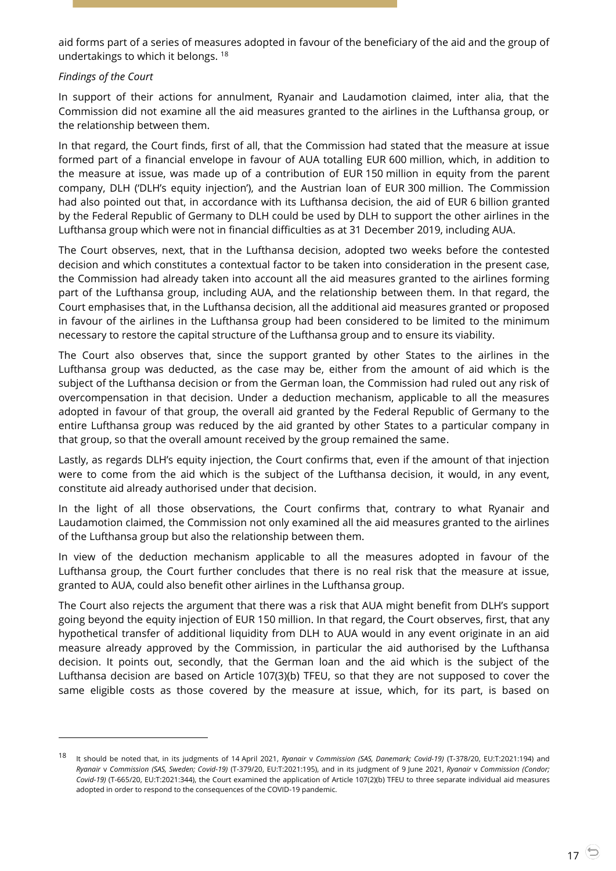aid forms part of a series of measures adopted in favour of the beneficiary of the aid and the group of undertakings to which it belongs. <sup>18</sup>

## *Findings of the Court*

-

In support of their actions for annulment, Ryanair and Laudamotion claimed, inter alia, that the Commission did not examine all the aid measures granted to the airlines in the Lufthansa group, or the relationship between them.

In that regard, the Court finds, first of all, that the Commission had stated that the measure at issue formed part of a financial envelope in favour of AUA totalling EUR 600 million, which, in addition to the measure at issue, was made up of a contribution of EUR 150 million in equity from the parent company, DLH ('DLH's equity injection'), and the Austrian loan of EUR 300 million. The Commission had also pointed out that, in accordance with its Lufthansa decision, the aid of EUR 6 billion granted by the Federal Republic of Germany to DLH could be used by DLH to support the other airlines in the Lufthansa group which were not in financial difficulties as at 31 December 2019, including AUA.

The Court observes, next, that in the Lufthansa decision, adopted two weeks before the contested decision and which constitutes a contextual factor to be taken into consideration in the present case, the Commission had already taken into account all the aid measures granted to the airlines forming part of the Lufthansa group, including AUA, and the relationship between them. In that regard, the Court emphasises that, in the Lufthansa decision, all the additional aid measures granted or proposed in favour of the airlines in the Lufthansa group had been considered to be limited to the minimum necessary to restore the capital structure of the Lufthansa group and to ensure its viability.

The Court also observes that, since the support granted by other States to the airlines in the Lufthansa group was deducted, as the case may be, either from the amount of aid which is the subject of the Lufthansa decision or from the German loan, the Commission had ruled out any risk of overcompensation in that decision. Under a deduction mechanism, applicable to all the measures adopted in favour of that group, the overall aid granted by the Federal Republic of Germany to the entire Lufthansa group was reduced by the aid granted by other States to a particular company in that group, so that the overall amount received by the group remained the same.

Lastly, as regards DLH's equity injection, the Court confirms that, even if the amount of that injection were to come from the aid which is the subject of the Lufthansa decision, it would, in any event, constitute aid already authorised under that decision.

In the light of all those observations, the Court confirms that, contrary to what Ryanair and Laudamotion claimed, the Commission not only examined all the aid measures granted to the airlines of the Lufthansa group but also the relationship between them.

In view of the deduction mechanism applicable to all the measures adopted in favour of the Lufthansa group, the Court further concludes that there is no real risk that the measure at issue, granted to AUA, could also benefit other airlines in the Lufthansa group.

The Court also rejects the argument that there was a risk that AUA might benefit from DLH's support going beyond the equity injection of EUR 150 million. In that regard, the Court observes, first, that any hypothetical transfer of additional liquidity from DLH to AUA would in any event originate in an aid measure already approved by the Commission, in particular the aid authorised by the Lufthansa decision. It points out, secondly, that the German loan and the aid which is the subject of the Lufthansa decision are based on Article 107(3)(b) TFEU, so that they are not supposed to cover the same eligible costs as those covered by the measure at issue, which, for its part, is based on

<sup>18</sup> It should be noted that, in its judgments of 14 April 2021, *Ryanair* <sup>v</sup>*Commission (SAS, Danemark; Covid-19)* (T-378/20, EU:T:2021:194) and *Ryanair* v *Commission (SAS, Sweden; Covid-19)* (T-379/20, EU:T:2021:195), and in its judgment of 9 June 2021, *Ryanair* v *Commission (Condor; Covid-19)* (T-665/20, EU:T:2021:344), the Court examined the application of Article 107(2)(b) TFEU to three separate individual aid measures adopted in order to respond to the consequences of the COVID-19 pandemic.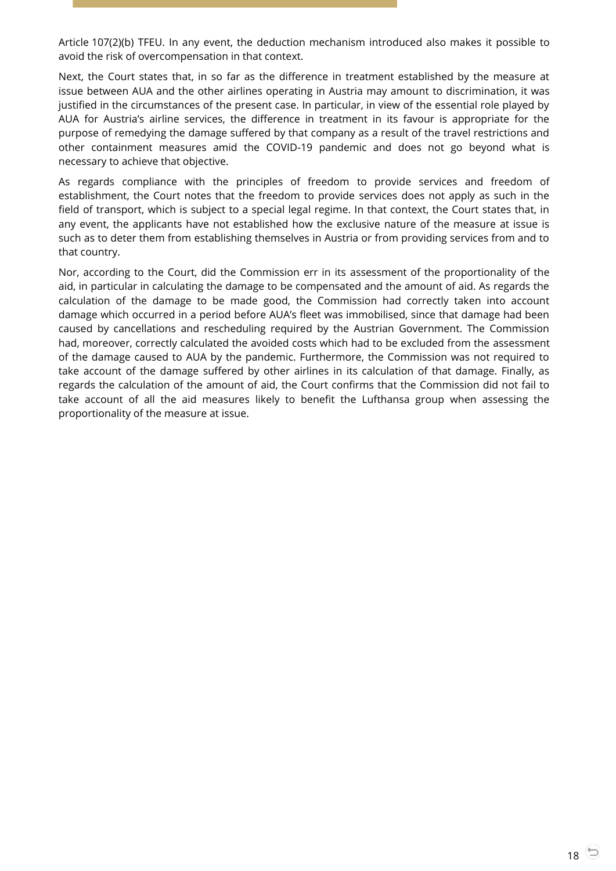Article 107(2)(b) TFEU. In any event, the deduction mechanism introduced also makes it possible to avoid the risk of overcompensation in that context.

Next, the Court states that, in so far as the difference in treatment established by the measure at issue between AUA and the other airlines operating in Austria may amount to discrimination, it was justified in the circumstances of the present case. In particular, in view of the essential role played by AUA for Austria's airline services, the difference in treatment in its favour is appropriate for the purpose of remedying the damage suffered by that company as a result of the travel restrictions and other containment measures amid the COVID-19 pandemic and does not go beyond what is necessary to achieve that objective.

As regards compliance with the principles of freedom to provide services and freedom of establishment, the Court notes that the freedom to provide services does not apply as such in the field of transport, which is subject to a special legal regime. In that context, the Court states that, in any event, the applicants have not established how the exclusive nature of the measure at issue is such as to deter them from establishing themselves in Austria or from providing services from and to that country.

Nor, according to the Court, did the Commission err in its assessment of the proportionality of the aid, in particular in calculating the damage to be compensated and the amount of aid. As regards the calculation of the damage to be made good, the Commission had correctly taken into account damage which occurred in a period before AUA's fleet was immobilised, since that damage had been caused by cancellations and rescheduling required by the Austrian Government. The Commission had, moreover, correctly calculated the avoided costs which had to be excluded from the assessment of the damage caused to AUA by the pandemic. Furthermore, the Commission was not required to take account of the damage suffered by other airlines in its calculation of that damage. Finally, as regards the calculation of the amount of aid, the Court confirms that the Commission did not fail to take account of all the aid measures likely to benefit the Lufthansa group when assessing the proportionality of the measure at issue.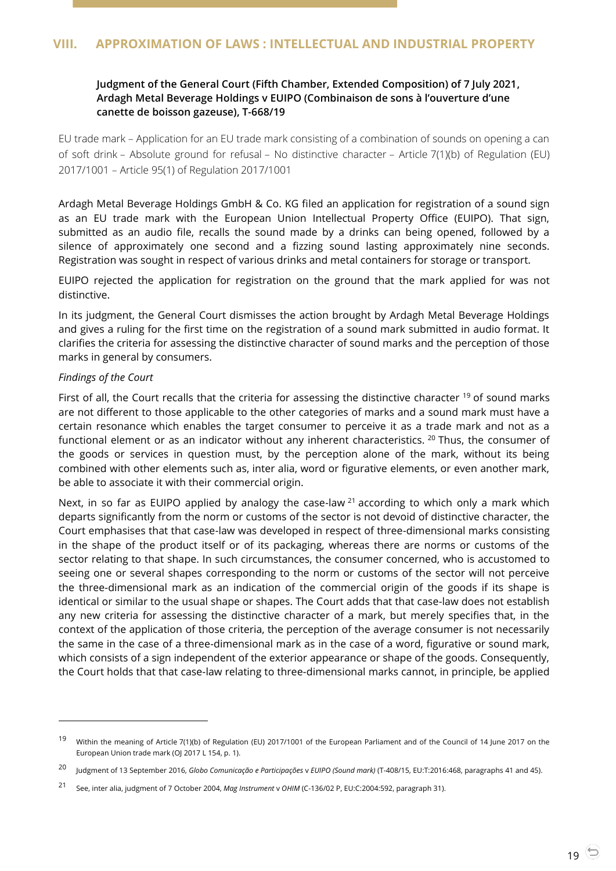# <span id="page-18-1"></span><span id="page-18-0"></span>**Judgment of the General Court (Fifth Chamber, Extended Composition) of 7 July 2021, Ardagh Metal Beverage Holdings v EUIPO (Combinaison de sons à l'ouverture d'une canette de boisson gazeuse), T-668/19**

EU trade mark – Application for an EU trade mark consisting of a combination of sounds on opening a can of soft drink – Absolute ground for refusal – No distinctive character – Article 7(1)(b) of Regulation (EU) 2017/1001 – Article 95(1) of Regulation 2017/1001

Ardagh Metal Beverage Holdings GmbH & Co. KG filed an application for registration of a sound sign as an EU trade mark with the European Union Intellectual Property Office (EUIPO). That sign, submitted as an audio file, recalls the sound made by a drinks can being opened, followed by a silence of approximately one second and a fizzing sound lasting approximately nine seconds. Registration was sought in respect of various drinks and metal containers for storage or transport.

EUIPO rejected the application for registration on the ground that the mark applied for was not distinctive.

In its judgment, the General Court dismisses the action brought by Ardagh Metal Beverage Holdings and gives a ruling for the first time on the registration of a sound mark submitted in audio format. It clarifies the criteria for assessing the distinctive character of sound marks and the perception of those marks in general by consumers.

## *Findings of the Court*

 $\overline{a}$ 

First of all, the Court recalls that the criteria for assessing the distinctive character  $19$  of sound marks are not different to those applicable to the other categories of marks and a sound mark must have a certain resonance which enables the target consumer to perceive it as a trade mark and not as a functional element or as an indicator without any inherent characteristics. <sup>20</sup> Thus, the consumer of the goods or services in question must, by the perception alone of the mark, without its being combined with other elements such as, inter alia, word or figurative elements, or even another mark, be able to associate it with their commercial origin.

Next, in so far as EUIPO applied by analogy the case-law <sup>21</sup> according to which only a mark which departs significantly from the norm or customs of the sector is not devoid of distinctive character, the Court emphasises that that case-law was developed in respect of three-dimensional marks consisting in the shape of the product itself or of its packaging, whereas there are norms or customs of the sector relating to that shape. In such circumstances, the consumer concerned, who is accustomed to seeing one or several shapes corresponding to the norm or customs of the sector will not perceive the three-dimensional mark as an indication of the commercial origin of the goods if its shape is identical or similar to the usual shape or shapes. The Court adds that that case-law does not establish any new criteria for assessing the distinctive character of a mark, but merely specifies that, in the context of the application of those criteria, the perception of the average consumer is not necessarily the same in the case of a three-dimensional mark as in the case of a word, figurative or sound mark, which consists of a sign independent of the exterior appearance or shape of the goods. Consequently, the Court holds that that case-law relating to three-dimensional marks cannot, in principle, be applied

<sup>&</sup>lt;sup>19</sup> Within the meaning of Article 7(1)(b) of Regulation (EU) 2017/1001 of the European Parliament and of the Council of 14 June 2017 on the European Union trade mark (OJ 2017 L 154, p. 1).

<sup>20</sup> Judgment of 13 September 2016, *Globo Comunicação e Participações* <sup>v</sup>*EUIPO (Sound mark)* (T-408/15, EU:T:2016:468, paragraphs 41 and 45).

<sup>21</sup> See, inter alia, judgment of 7 October 2004, *Mag Instrument* <sup>v</sup>*OHIM* (C-136/02 P, EU:C:2004:592, paragraph 31).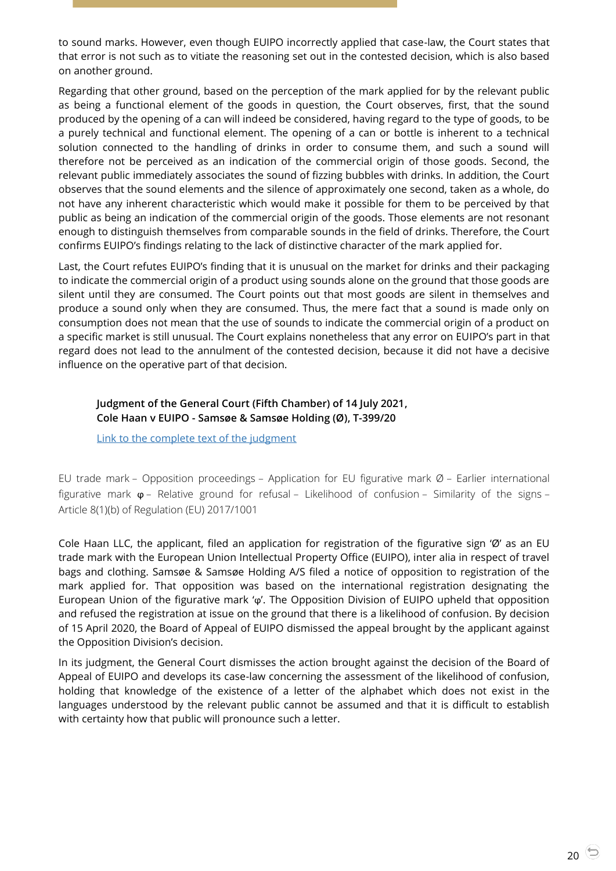to sound marks. However, even though EUIPO incorrectly applied that case-law, the Court states that that error is not such as to vitiate the reasoning set out in the contested decision, which is also based on another ground.

Regarding that other ground, based on the perception of the mark applied for by the relevant public as being a functional element of the goods in question, the Court observes, first, that the sound produced by the opening of a can will indeed be considered, having regard to the type of goods, to be a purely technical and functional element. The opening of a can or bottle is inherent to a technical solution connected to the handling of drinks in order to consume them, and such a sound will therefore not be perceived as an indication of the commercial origin of those goods. Second, the relevant public immediately associates the sound of fizzing bubbles with drinks. In addition, the Court observes that the sound elements and the silence of approximately one second, taken as a whole, do not have any inherent characteristic which would make it possible for them to be perceived by that public as being an indication of the commercial origin of the goods. Those elements are not resonant enough to distinguish themselves from comparable sounds in the field of drinks. Therefore, the Court confirms EUIPO's findings relating to the lack of distinctive character of the mark applied for.

Last, the Court refutes EUIPO's finding that it is unusual on the market for drinks and their packaging to indicate the commercial origin of a product using sounds alone on the ground that those goods are silent until they are consumed. The Court points out that most goods are silent in themselves and produce a sound only when they are consumed. Thus, the mere fact that a sound is made only on consumption does not mean that the use of sounds to indicate the commercial origin of a product on a specific market is still unusual. The Court explains nonetheless that any error on EUIPO's part in that regard does not lead to the annulment of the contested decision, because it did not have a decisive influence on the operative part of that decision.

# <span id="page-19-0"></span>**Judgment of the General Court (Fifth Chamber) of 14 July 2021, Cole Haan v EUIPO - Samsøe & Samsøe Holding (Ø), T-399/20**

[Link to the complete text of the judgment](https://curia.europa.eu/juris/document/document.jsf?text=&docid=244145&pageIndex=0&doclang=en&mode=lst&dir=&occ=first&part=1&cid=3509928)

EU trade mark – Opposition proceedings – Application for EU figurative mark Ø – Earlier international figurative mark ϕ – Relative ground for refusal – Likelihood of confusion – Similarity of the signs – Article 8(1)(b) of Regulation (EU) 2017/1001

Cole Haan LLC, the applicant, filed an application for registration of the figurative sign 'Ø' as an EU trade mark with the European Union Intellectual Property Office (EUIPO), inter alia in respect of travel bags and clothing. Samsøe & Samsøe Holding A/S filed a notice of opposition to registration of the mark applied for. That opposition was based on the international registration designating the European Union of the figurative mark 'ϕ'. The Opposition Division of EUIPO upheld that opposition and refused the registration at issue on the ground that there is a likelihood of confusion. By decision of 15 April 2020, the Board of Appeal of EUIPO dismissed the appeal brought by the applicant against the Opposition Division's decision.

In its judgment, the General Court dismisses the action brought against the decision of the Board of Appeal of EUIPO and develops its case-law concerning the assessment of the likelihood of confusion, holding that knowledge of the existence of a letter of the alphabet which does not exist in the languages understood by the relevant public cannot be assumed and that it is difficult to establish with certainty how that public will pronounce such a letter.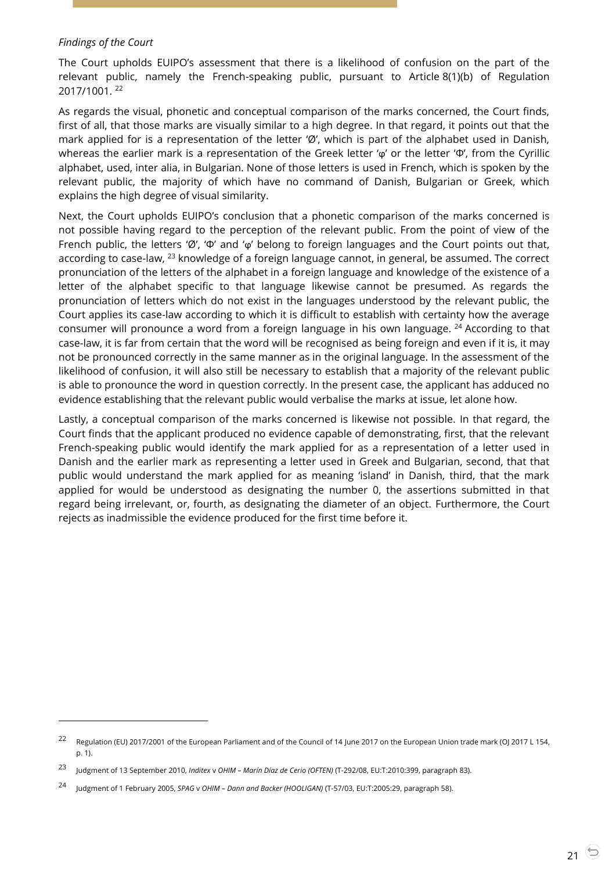#### *Findings of the Court*

 $\overline{a}$ 

The Court upholds EUIPO's assessment that there is a likelihood of confusion on the part of the relevant public, namely the French-speaking public, pursuant to Article 8(1)(b) of Regulation 2017/1001. <sup>22</sup>

As regards the visual, phonetic and conceptual comparison of the marks concerned, the Court finds, first of all, that those marks are visually similar to a high degree. In that regard, it points out that the mark applied for is a representation of the letter 'Ø', which is part of the alphabet used in Danish, whereas the earlier mark is a representation of the Greek letter 'ϕ' or the letter 'Φ', from the Cyrillic alphabet, used, inter alia, in Bulgarian. None of those letters is used in French, which is spoken by the relevant public, the majority of which have no command of Danish, Bulgarian or Greek, which explains the high degree of visual similarity.

Next, the Court upholds EUIPO's conclusion that a phonetic comparison of the marks concerned is not possible having regard to the perception of the relevant public. From the point of view of the French public, the letters 'Ø', 'Φ' and 'ϕ' belong to foreign languages and the Court points out that, according to case-law, <sup>23</sup> knowledge of a foreign language cannot, in general, be assumed. The correct pronunciation of the letters of the alphabet in a foreign language and knowledge of the existence of a letter of the alphabet specific to that language likewise cannot be presumed. As regards the pronunciation of letters which do not exist in the languages understood by the relevant public, the Court applies its case-law according to which it is difficult to establish with certainty how the average consumer will pronounce a word from a foreign language in his own language.  $24$  According to that case-law, it is far from certain that the word will be recognised as being foreign and even if it is, it may not be pronounced correctly in the same manner as in the original language. In the assessment of the likelihood of confusion, it will also still be necessary to establish that a majority of the relevant public is able to pronounce the word in question correctly. In the present case, the applicant has adduced no evidence establishing that the relevant public would verbalise the marks at issue, let alone how.

Lastly, a conceptual comparison of the marks concerned is likewise not possible. In that regard, the Court finds that the applicant produced no evidence capable of demonstrating, first, that the relevant French-speaking public would identify the mark applied for as a representation of a letter used in Danish and the earlier mark as representing a letter used in Greek and Bulgarian, second, that that public would understand the mark applied for as meaning 'island' in Danish, third, that the mark applied for would be understood as designating the number 0, the assertions submitted in that regard being irrelevant, or, fourth, as designating the diameter of an object. Furthermore, the Court rejects as inadmissible the evidence produced for the first time before it.

<sup>22</sup> Regulation (EU) 2017/2001 of the European Parliament and of the Council of 14 June 2017 on the European Union trade mark (OJ 2017 L 154, p. 1).

<sup>23</sup> Judgment of 13 September 2010, *Inditex* <sup>v</sup>*OHIM – Marín Díaz de Cerio (OFTEN)* (T-292/08, EU:T:2010:399, paragraph 83).

<sup>24</sup> Judgment of 1 February 2005, *SPAG* <sup>v</sup>*OHIM – Dann and Backer (HOOLIGAN)* (T-57/03, EU:T:2005:29, paragraph 58).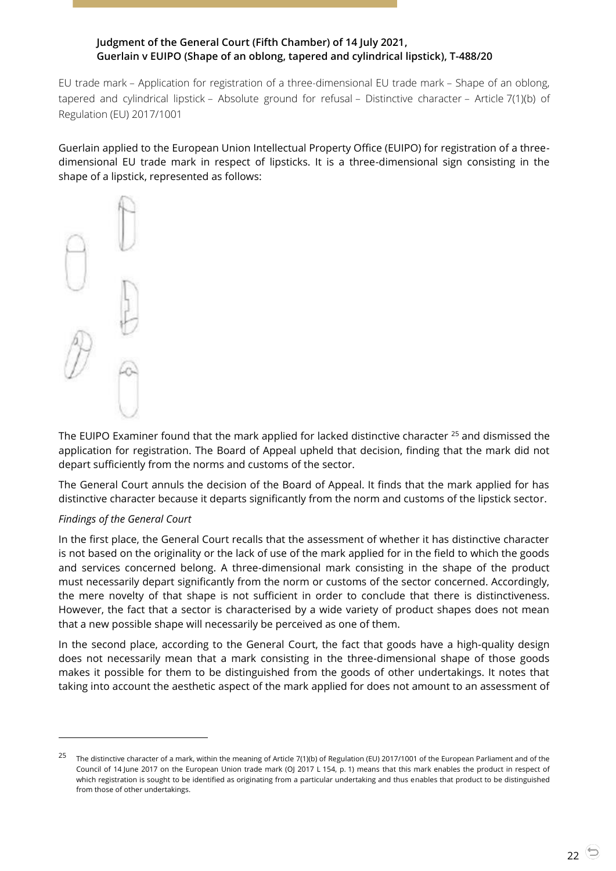# <span id="page-21-0"></span>**Judgment of the General Court (Fifth Chamber) of 14 July 2021, Guerlain v EUIPO (Shape of an oblong, tapered and cylindrical lipstick), T-488/20**

EU trade mark – Application for registration of a three-dimensional EU trade mark – Shape of an oblong, tapered and cylindrical lipstick – Absolute ground for refusal – Distinctive character – Article 7(1)(b) of Regulation (EU) 2017/1001

Guerlain applied to the European Union Intellectual Property Office (EUIPO) for registration of a threedimensional EU trade mark in respect of lipsticks. It is a three-dimensional sign consisting in the shape of a lipstick, represented as follows:



The EUIPO Examiner found that the mark applied for lacked distinctive character <sup>25</sup> and dismissed the application for registration. The Board of Appeal upheld that decision, finding that the mark did not depart sufficiently from the norms and customs of the sector.

The General Court annuls the decision of the Board of Appeal. It finds that the mark applied for has distinctive character because it departs significantly from the norm and customs of the lipstick sector.

#### *Findings of the General Court*

-

In the first place, the General Court recalls that the assessment of whether it has distinctive character is not based on the originality or the lack of use of the mark applied for in the field to which the goods and services concerned belong. A three-dimensional mark consisting in the shape of the product must necessarily depart significantly from the norm or customs of the sector concerned. Accordingly, the mere novelty of that shape is not sufficient in order to conclude that there is distinctiveness. However, the fact that a sector is characterised by a wide variety of product shapes does not mean that a new possible shape will necessarily be perceived as one of them.

In the second place, according to the General Court, the fact that goods have a high-quality design does not necessarily mean that a mark consisting in the three-dimensional shape of those goods makes it possible for them to be distinguished from the goods of other undertakings. It notes that taking into account the aesthetic aspect of the mark applied for does not amount to an assessment of

<sup>&</sup>lt;sup>25</sup> The distinctive character of a mark, within the meaning of Article 7(1)(b) of Regulation (EU) 2017/1001 of the European Parliament and of the Council of 14 June 2017 on the European Union trade mark (OJ 2017 L 154, p. 1) means that this mark enables the product in respect of which registration is sought to be identified as originating from a particular undertaking and thus enables that product to be distinguished from those of other undertakings.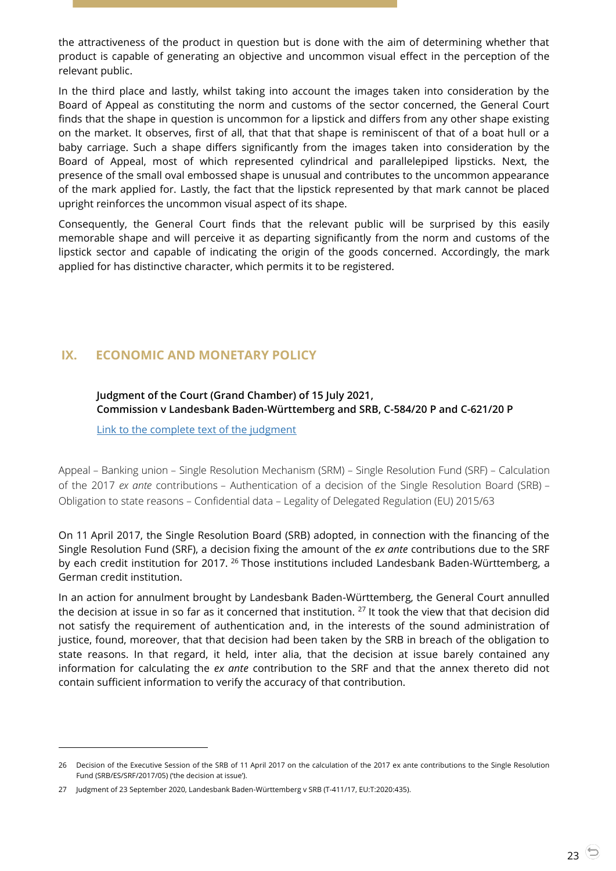the attractiveness of the product in question but is done with the aim of determining whether that product is capable of generating an objective and uncommon visual effect in the perception of the relevant public.

In the third place and lastly, whilst taking into account the images taken into consideration by the Board of Appeal as constituting the norm and customs of the sector concerned, the General Court finds that the shape in question is uncommon for a lipstick and differs from any other shape existing on the market. It observes, first of all, that that that shape is reminiscent of that of a boat hull or a baby carriage. Such a shape differs significantly from the images taken into consideration by the Board of Appeal, most of which represented cylindrical and parallelepiped lipsticks. Next, the presence of the small oval embossed shape is unusual and contributes to the uncommon appearance of the mark applied for. Lastly, the fact that the lipstick represented by that mark cannot be placed upright reinforces the uncommon visual aspect of its shape.

Consequently, the General Court finds that the relevant public will be surprised by this easily memorable shape and will perceive it as departing significantly from the norm and customs of the lipstick sector and capable of indicating the origin of the goods concerned. Accordingly, the mark applied for has distinctive character, which permits it to be registered.

# <span id="page-22-1"></span><span id="page-22-0"></span>**IX. ECONOMIC AND MONETARY POLICY**

## **Judgment of the Court (Grand Chamber) of 15 July 2021, Commission v Landesbank Baden-Württemberg and SRB, C-584/20 P and C-621/20 P**

[Link to the complete text of the judgment](https://curia.europa.eu/juris/document/document.jsf?text=&docid=244197&pageIndex=0&doclang=en&mode=lst&dir=&occ=first&part=1&cid=3513156)

Appeal – Banking union – Single Resolution Mechanism (SRM) – Single Resolution Fund (SRF) – Calculation of the 2017 *ex ante* contributions – Authentication of a decision of the Single Resolution Board (SRB) – Obligation to state reasons – Confidential data – Legality of Delegated Regulation (EU) 2015/63

On 11 April 2017, the Single Resolution Board (SRB) adopted, in connection with the financing of the Single Resolution Fund (SRF), a decision fixing the amount of the *ex ante* contributions due to the SRF by each credit institution for 2017. <sup>26</sup> Those institutions included Landesbank Baden-Württemberg, a German credit institution.

In an action for annulment brought by Landesbank Baden-Württemberg, the General Court annulled the decision at issue in so far as it concerned that institution. <sup>27</sup> It took the view that that decision did not satisfy the requirement of authentication and, in the interests of the sound administration of justice, found, moreover, that that decision had been taken by the SRB in breach of the obligation to state reasons. In that regard, it held, inter alia, that the decision at issue barely contained any information for calculating the *ex ante* contribution to the SRF and that the annex thereto did not contain sufficient information to verify the accuracy of that contribution.

<sup>26</sup> Decision of the Executive Session of the SRB of 11 April 2017 on the calculation of the 2017 ex ante contributions to the Single Resolution Fund (SRB/ES/SRF/2017/05) ('the decision at issue').

<sup>27</sup> Judgment of 23 September 2020, Landesbank Baden-Württemberg v SRB (T-411/17, EU:T:2020:435).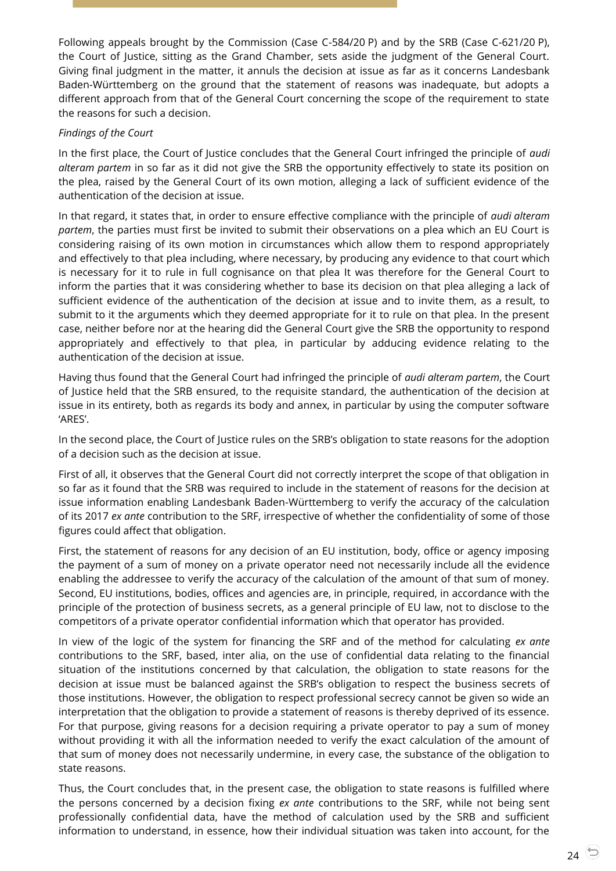Following appeals brought by the Commission (Case C-584/20 P) and by the SRB (Case C-621/20 P), the Court of Justice, sitting as the Grand Chamber, sets aside the judgment of the General Court. Giving final judgment in the matter, it annuls the decision at issue as far as it concerns Landesbank Baden-Württemberg on the ground that the statement of reasons was inadequate, but adopts a different approach from that of the General Court concerning the scope of the requirement to state the reasons for such a decision.

## *Findings of the Court*

In the first place, the Court of Justice concludes that the General Court infringed the principle of *audi alteram partem* in so far as it did not give the SRB the opportunity effectively to state its position on the plea, raised by the General Court of its own motion, alleging a lack of sufficient evidence of the authentication of the decision at issue.

In that regard, it states that, in order to ensure effective compliance with the principle of *audi alteram partem*, the parties must first be invited to submit their observations on a plea which an EU Court is considering raising of its own motion in circumstances which allow them to respond appropriately and effectively to that plea including, where necessary, by producing any evidence to that court which is necessary for it to rule in full cognisance on that plea It was therefore for the General Court to inform the parties that it was considering whether to base its decision on that plea alleging a lack of sufficient evidence of the authentication of the decision at issue and to invite them, as a result, to submit to it the arguments which they deemed appropriate for it to rule on that plea. In the present case, neither before nor at the hearing did the General Court give the SRB the opportunity to respond appropriately and effectively to that plea, in particular by adducing evidence relating to the authentication of the decision at issue.

Having thus found that the General Court had infringed the principle of *audi alteram partem*, the Court of Justice held that the SRB ensured, to the requisite standard, the authentication of the decision at issue in its entirety, both as regards its body and annex, in particular by using the computer software 'ARES'.

In the second place, the Court of Justice rules on the SRB's obligation to state reasons for the adoption of a decision such as the decision at issue.

First of all, it observes that the General Court did not correctly interpret the scope of that obligation in so far as it found that the SRB was required to include in the statement of reasons for the decision at issue information enabling Landesbank Baden-Württemberg to verify the accuracy of the calculation of its 2017 *ex ante* contribution to the SRF, irrespective of whether the confidentiality of some of those figures could affect that obligation.

First, the statement of reasons for any decision of an EU institution, body, office or agency imposing the payment of a sum of money on a private operator need not necessarily include all the evidence enabling the addressee to verify the accuracy of the calculation of the amount of that sum of money. Second, EU institutions, bodies, offices and agencies are, in principle, required, in accordance with the principle of the protection of business secrets, as a general principle of EU law, not to disclose to the competitors of a private operator confidential information which that operator has provided.

In view of the logic of the system for financing the SRF and of the method for calculating *ex ante* contributions to the SRF, based, inter alia, on the use of confidential data relating to the financial situation of the institutions concerned by that calculation, the obligation to state reasons for the decision at issue must be balanced against the SRB's obligation to respect the business secrets of those institutions. However, the obligation to respect professional secrecy cannot be given so wide an interpretation that the obligation to provide a statement of reasons is thereby deprived of its essence. For that purpose, giving reasons for a decision requiring a private operator to pay a sum of money without providing it with all the information needed to verify the exact calculation of the amount of that sum of money does not necessarily undermine, in every case, the substance of the obligation to state reasons.

Thus, the Court concludes that, in the present case, the obligation to state reasons is fulfilled where the persons concerned by a decision fixing *ex ante* contributions to the SRF, while not being sent professionally confidential data, have the method of calculation used by the SRB and sufficient information to understand, in essence, how their individual situation was taken into account, for the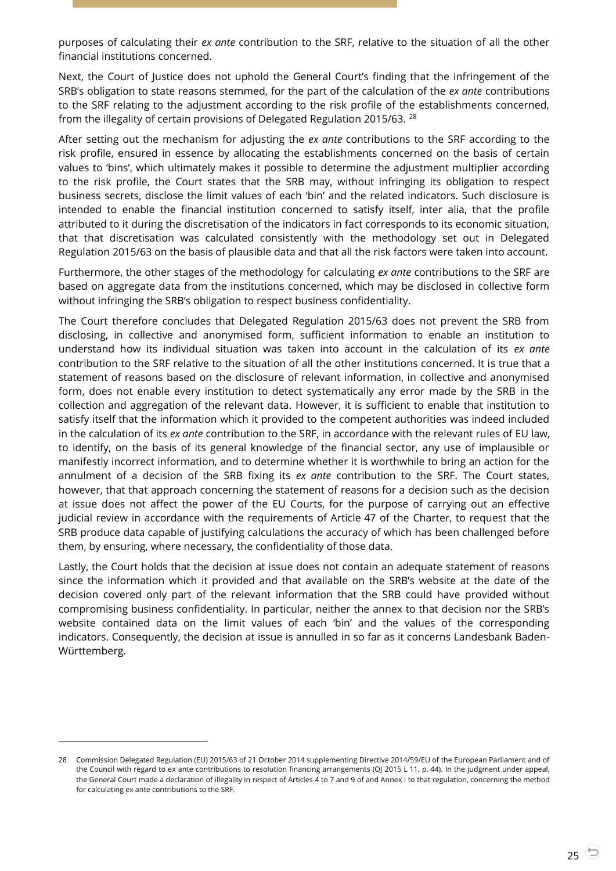purposes of calculating their *ex ante* contribution to the SRF, relative to the situation of all the other financial institutions concerned.

Next, the Court of Justice does not uphold the General Court's finding that the infringement of the SRB's obligation to state reasons stemmed, for the part of the calculation of the *ex ante* contributions to the SRF relating to the adjustment according to the risk profile of the establishments concerned, from the illegality of certain provisions of Delegated Regulation 2015/63. <sup>28</sup>

After setting out the mechanism for adjusting the *ex ante* contributions to the SRF according to the risk profile, ensured in essence by allocating the establishments concerned on the basis of certain values to 'bins', which ultimately makes it possible to determine the adjustment multiplier according to the risk profile, the Court states that the SRB may, without infringing its obligation to respect business secrets, disclose the limit values of each 'bin' and the related indicators. Such disclosure is intended to enable the financial institution concerned to satisfy itself, inter alia, that the profile attributed to it during the discretisation of the indicators in fact corresponds to its economic situation, that that discretisation was calculated consistently with the methodology set out in Delegated Regulation 2015/63 on the basis of plausible data and that all the risk factors were taken into account.

Furthermore, the other stages of the methodology for calculating *ex ante* contributions to the SRF are based on aggregate data from the institutions concerned, which may be disclosed in collective form without infringing the SRB's obligation to respect business confidentiality.

The Court therefore concludes that Delegated Regulation 2015/63 does not prevent the SRB from disclosing, in collective and anonymised form, sufficient information to enable an institution to understand how its individual situation was taken into account in the calculation of its *ex ante* contribution to the SRF relative to the situation of all the other institutions concerned. It is true that a statement of reasons based on the disclosure of relevant information, in collective and anonymised form, does not enable every institution to detect systematically any error made by the SRB in the collection and aggregation of the relevant data. However, it is sufficient to enable that institution to satisfy itself that the information which it provided to the competent authorities was indeed included in the calculation of its *ex ante* contribution to the SRF, in accordance with the relevant rules of EU law, to identify, on the basis of its general knowledge of the financial sector, any use of implausible or manifestly incorrect information, and to determine whether it is worthwhile to bring an action for the annulment of a decision of the SRB fixing its *ex ante* contribution to the SRF. The Court states, however, that that approach concerning the statement of reasons for a decision such as the decision at issue does not affect the power of the EU Courts, for the purpose of carrying out an effective judicial review in accordance with the requirements of Article 47 of the Charter, to request that the SRB produce data capable of justifying calculations the accuracy of which has been challenged before them, by ensuring, where necessary, the confidentiality of those data.

Lastly, the Court holds that the decision at issue does not contain an adequate statement of reasons since the information which it provided and that available on the SRB's website at the date of the decision covered only part of the relevant information that the SRB could have provided without compromising business confidentiality. In particular, neither the annex to that decision nor the SRB's website contained data on the limit values of each 'bin' and the values of the corresponding indicators. Consequently, the decision at issue is annulled in so far as it concerns Landesbank Baden-Württemberg.

-

<sup>28</sup> Commission Delegated Regulation (EU) 2015/63 of 21 October 2014 supplementing Directive 2014/59/EU of the European Parliament and of the Council with regard to ex ante contributions to resolution financing arrangements (OJ 2015 L 11, p. 44). In the judgment under appeal, the General Court made a declaration of illegality in respect of Articles 4 to 7 and 9 of and Annex I to that regulation, concerning the method for calculating ex ante contributions to the SRF.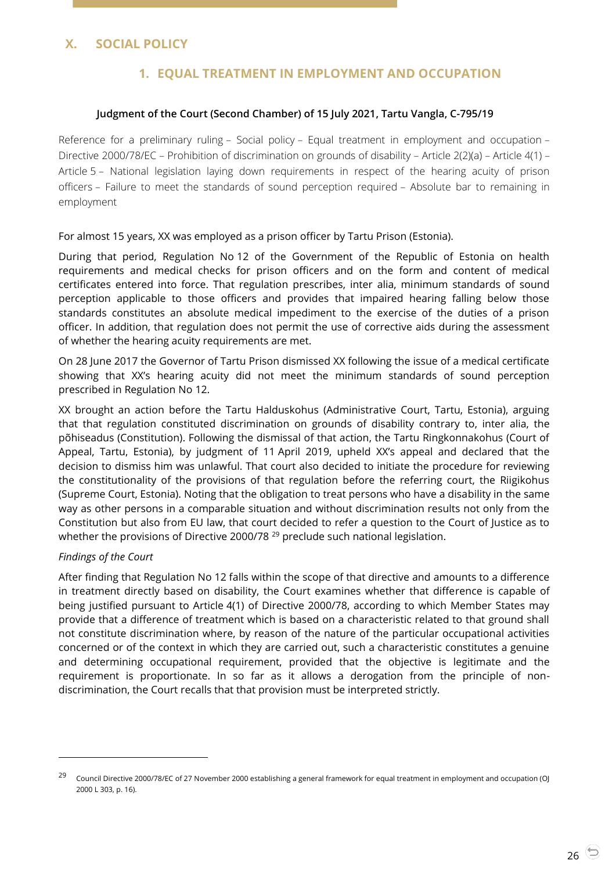# <span id="page-25-2"></span><span id="page-25-1"></span><span id="page-25-0"></span>**X. SOCIAL POLICY**

# **1. EQUAL TREATMENT IN EMPLOYMENT AND OCCUPATION**

#### **Judgment of the Court (Second Chamber) of 15 July 2021, Tartu Vangla, C-795/19**

Reference for a preliminary ruling – Social policy – Equal treatment in employment and occupation – Directive 2000/78/EC – Prohibition of discrimination on grounds of disability – Article 2(2)(a) – Article 4(1) – Article 5 – National legislation laying down requirements in respect of the hearing acuity of prison officers – Failure to meet the standards of sound perception required – Absolute bar to remaining in employment

For almost 15 years, XX was employed as a prison officer by Tartu Prison (Estonia).

During that period, Regulation No 12 of the Government of the Republic of Estonia on health requirements and medical checks for prison officers and on the form and content of medical certificates entered into force. That regulation prescribes, inter alia, minimum standards of sound perception applicable to those officers and provides that impaired hearing falling below those standards constitutes an absolute medical impediment to the exercise of the duties of a prison officer. In addition, that regulation does not permit the use of corrective aids during the assessment of whether the hearing acuity requirements are met.

On 28 June 2017 the Governor of Tartu Prison dismissed XX following the issue of a medical certificate showing that XX's hearing acuity did not meet the minimum standards of sound perception prescribed in Regulation No 12.

XX brought an action before the Tartu Halduskohus (Administrative Court, Tartu, Estonia), arguing that that regulation constituted discrimination on grounds of disability contrary to, inter alia, the põhiseadus (Constitution). Following the dismissal of that action, the Tartu Ringkonnakohus (Court of Appeal, Tartu, Estonia), by judgment of 11 April 2019, upheld XX's appeal and declared that the decision to dismiss him was unlawful. That court also decided to initiate the procedure for reviewing the constitutionality of the provisions of that regulation before the referring court, the Riigikohus (Supreme Court, Estonia). Noting that the obligation to treat persons who have a disability in the same way as other persons in a comparable situation and without discrimination results not only from the Constitution but also from EU law, that court decided to refer a question to the Court of Justice as to whether the provisions of Directive 2000/78<sup>29</sup> preclude such national legislation.

#### *Findings of the Court*

-

After finding that Regulation No 12 falls within the scope of that directive and amounts to a difference in treatment directly based on disability, the Court examines whether that difference is capable of being justified pursuant to Article 4(1) of Directive 2000/78, according to which Member States may provide that a difference of treatment which is based on a characteristic related to that ground shall not constitute discrimination where, by reason of the nature of the particular occupational activities concerned or of the context in which they are carried out, such a characteristic constitutes a genuine and determining occupational requirement, provided that the objective is legitimate and the requirement is proportionate. In so far as it allows a derogation from the principle of nondiscrimination, the Court recalls that that provision must be interpreted strictly.

<sup>29</sup> Council Directive 2000/78/EC of 27 November 2000 establishing a general framework for equal treatment in employment and occupation (OJ 2000 L 303, p. 16).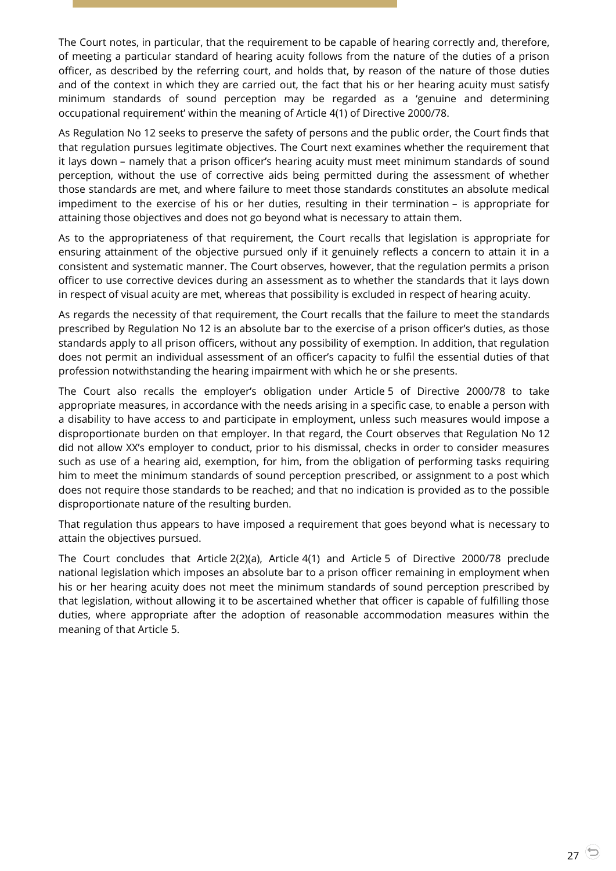The Court notes, in particular, that the requirement to be capable of hearing correctly and, therefore, of meeting a particular standard of hearing acuity follows from the nature of the duties of a prison officer, as described by the referring court, and holds that, by reason of the nature of those duties and of the context in which they are carried out, the fact that his or her hearing acuity must satisfy minimum standards of sound perception may be regarded as a 'genuine and determining occupational requirement' within the meaning of Article 4(1) of Directive 2000/78.

As Regulation No 12 seeks to preserve the safety of persons and the public order, the Court finds that that regulation pursues legitimate objectives. The Court next examines whether the requirement that it lays down – namely that a prison officer's hearing acuity must meet minimum standards of sound perception, without the use of corrective aids being permitted during the assessment of whether those standards are met, and where failure to meet those standards constitutes an absolute medical impediment to the exercise of his or her duties, resulting in their termination – is appropriate for attaining those objectives and does not go beyond what is necessary to attain them.

As to the appropriateness of that requirement, the Court recalls that legislation is appropriate for ensuring attainment of the objective pursued only if it genuinely reflects a concern to attain it in a consistent and systematic manner. The Court observes, however, that the regulation permits a prison officer to use corrective devices during an assessment as to whether the standards that it lays down in respect of visual acuity are met, whereas that possibility is excluded in respect of hearing acuity.

As regards the necessity of that requirement, the Court recalls that the failure to meet the standards prescribed by Regulation No 12 is an absolute bar to the exercise of a prison officer's duties, as those standards apply to all prison officers, without any possibility of exemption. In addition, that regulation does not permit an individual assessment of an officer's capacity to fulfil the essential duties of that profession notwithstanding the hearing impairment with which he or she presents.

The Court also recalls the employer's obligation under Article 5 of Directive 2000/78 to take appropriate measures, in accordance with the needs arising in a specific case, to enable a person with a disability to have access to and participate in employment, unless such measures would impose a disproportionate burden on that employer. In that regard, the Court observes that Regulation No 12 did not allow XX's employer to conduct, prior to his dismissal, checks in order to consider measures such as use of a hearing aid, exemption, for him, from the obligation of performing tasks requiring him to meet the minimum standards of sound perception prescribed, or assignment to a post which does not require those standards to be reached; and that no indication is provided as to the possible disproportionate nature of the resulting burden.

That regulation thus appears to have imposed a requirement that goes beyond what is necessary to attain the objectives pursued.

The Court concludes that Article 2(2)(a), Article 4(1) and Article 5 of Directive 2000/78 preclude national legislation which imposes an absolute bar to a prison officer remaining in employment when his or her hearing acuity does not meet the minimum standards of sound perception prescribed by that legislation, without allowing it to be ascertained whether that officer is capable of fulfilling those duties, where appropriate after the adoption of reasonable accommodation measures within the meaning of that Article 5.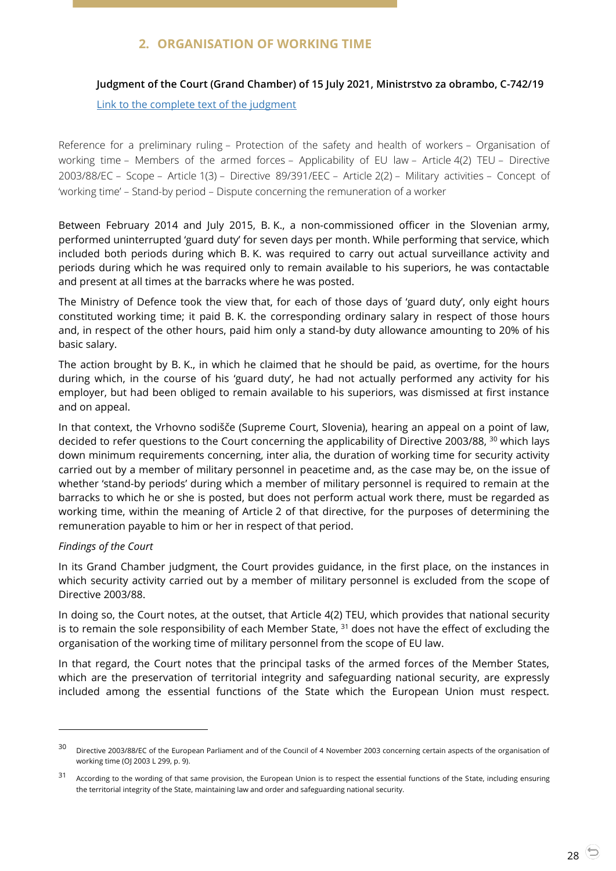# **2. ORGANISATION OF WORKING TIME**

# <span id="page-27-1"></span><span id="page-27-0"></span>**Judgment of the Court (Grand Chamber) of 15 July 2021, Ministrstvo za obrambo, C-742/19**

[Link to the complete text of the judgment](https://curia.europa.eu/juris/document/document.jsf?text=&docid=244183&pageIndex=0&doclang=EN&mode=lst&dir=&occ=first&part=1&cid=3518994)

Reference for a preliminary ruling – Protection of the safety and health of workers – Organisation of working time – Members of the armed forces – Applicability of EU law – Article 4(2) TEU – Directive 2003/88/EC – Scope – Article 1(3) – Directive 89/391/EEC – Article 2(2) – Military activities – Concept of 'working time' – Stand-by period – Dispute concerning the remuneration of a worker

Between February 2014 and July 2015, B. K., a non-commissioned officer in the Slovenian army, performed uninterrupted 'guard duty' for seven days per month. While performing that service, which included both periods during which B. K. was required to carry out actual surveillance activity and periods during which he was required only to remain available to his superiors, he was contactable and present at all times at the barracks where he was posted.

The Ministry of Defence took the view that, for each of those days of 'guard duty', only eight hours constituted working time; it paid B. K. the corresponding ordinary salary in respect of those hours and, in respect of the other hours, paid him only a stand-by duty allowance amounting to 20% of his basic salary.

The action brought by B. K., in which he claimed that he should be paid, as overtime, for the hours during which, in the course of his 'guard duty', he had not actually performed any activity for his employer, but had been obliged to remain available to his superiors, was dismissed at first instance and on appeal.

In that context, the Vrhovno sodišče (Supreme Court, Slovenia), hearing an appeal on a point of law, decided to refer questions to the Court concerning the applicability of Directive 2003/88, <sup>30</sup> which lays down minimum requirements concerning, inter alia, the duration of working time for security activity carried out by a member of military personnel in peacetime and, as the case may be, on the issue of whether 'stand-by periods' during which a member of military personnel is required to remain at the barracks to which he or she is posted, but does not perform actual work there, must be regarded as working time, within the meaning of Article 2 of that directive, for the purposes of determining the remuneration payable to him or her in respect of that period.

## *Findings of the Court*

 $\overline{a}$ 

In its Grand Chamber judgment, the Court provides guidance, in the first place, on the instances in which security activity carried out by a member of military personnel is excluded from the scope of Directive 2003/88.

In doing so, the Court notes, at the outset, that Article 4(2) TEU, which provides that national security is to remain the sole responsibility of each Member State,  $31$  does not have the effect of excluding the organisation of the working time of military personnel from the scope of EU law.

In that regard, the Court notes that the principal tasks of the armed forces of the Member States, which are the preservation of territorial integrity and safeguarding national security, are expressly included among the essential functions of the State which the European Union must respect.

<sup>&</sup>lt;sup>30</sup> Directive 2003/88/EC of the European Parliament and of the Council of 4 November 2003 concerning certain aspects of the organisation of working time (OJ 2003 L 299, p. 9).

<sup>31</sup> According to the wording of that same provision, the European Union is to respect the essential functions of the State, including ensuring the territorial integrity of the State, maintaining law and order and safeguarding national security.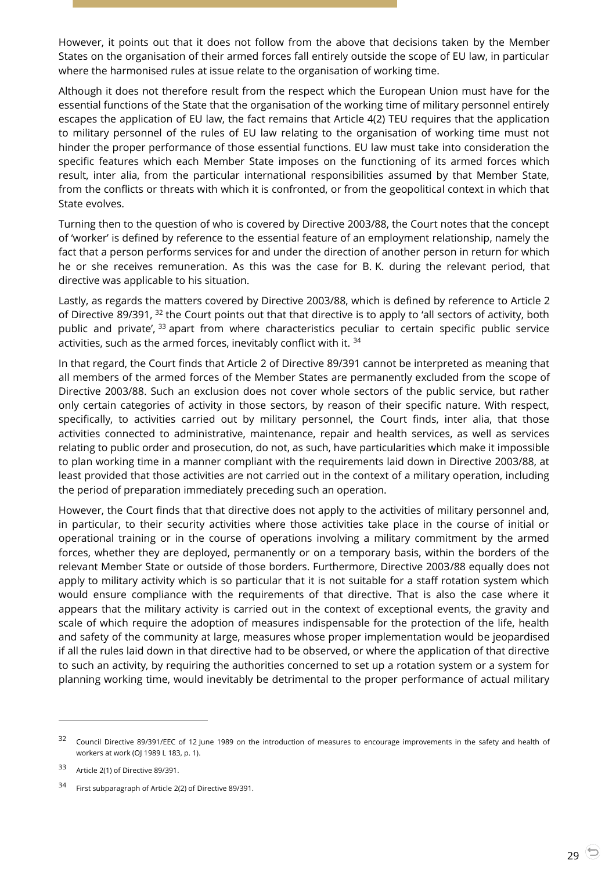However, it points out that it does not follow from the above that decisions taken by the Member States on the organisation of their armed forces fall entirely outside the scope of EU law, in particular where the harmonised rules at issue relate to the organisation of working time.

Although it does not therefore result from the respect which the European Union must have for the essential functions of the State that the organisation of the working time of military personnel entirely escapes the application of EU law, the fact remains that Article 4(2) TEU requires that the application to military personnel of the rules of EU law relating to the organisation of working time must not hinder the proper performance of those essential functions. EU law must take into consideration the specific features which each Member State imposes on the functioning of its armed forces which result, inter alia, from the particular international responsibilities assumed by that Member State, from the conflicts or threats with which it is confronted, or from the geopolitical context in which that State evolves.

Turning then to the question of who is covered by Directive 2003/88, the Court notes that the concept of 'worker' is defined by reference to the essential feature of an employment relationship, namely the fact that a person performs services for and under the direction of another person in return for which he or she receives remuneration. As this was the case for B. K. during the relevant period, that directive was applicable to his situation.

Lastly, as regards the matters covered by Directive 2003/88, which is defined by reference to Article 2 of Directive 89/391, <sup>32</sup> the Court points out that that directive is to apply to 'all sectors of activity, both public and private',  $33$  apart from where characteristics peculiar to certain specific public service activities, such as the armed forces, inevitably conflict with it. <sup>34</sup>

In that regard, the Court finds that Article 2 of Directive 89/391 cannot be interpreted as meaning that all members of the armed forces of the Member States are permanently excluded from the scope of Directive 2003/88. Such an exclusion does not cover whole sectors of the public service, but rather only certain categories of activity in those sectors, by reason of their specific nature. With respect, specifically, to activities carried out by military personnel, the Court finds, inter alia, that those activities connected to administrative, maintenance, repair and health services, as well as services relating to public order and prosecution, do not, as such, have particularities which make it impossible to plan working time in a manner compliant with the requirements laid down in Directive 2003/88, at least provided that those activities are not carried out in the context of a military operation, including the period of preparation immediately preceding such an operation.

However, the Court finds that that directive does not apply to the activities of military personnel and, in particular, to their security activities where those activities take place in the course of initial or operational training or in the course of operations involving a military commitment by the armed forces, whether they are deployed, permanently or on a temporary basis, within the borders of the relevant Member State or outside of those borders. Furthermore, Directive 2003/88 equally does not apply to military activity which is so particular that it is not suitable for a staff rotation system which would ensure compliance with the requirements of that directive. That is also the case where it appears that the military activity is carried out in the context of exceptional events, the gravity and scale of which require the adoption of measures indispensable for the protection of the life, health and safety of the community at large, measures whose proper implementation would be jeopardised if all the rules laid down in that directive had to be observed, or where the application of that directive to such an activity, by requiring the authorities concerned to set up a rotation system or a system for planning working time, would inevitably be detrimental to the proper performance of actual military

 $32$  Council Directive 89/391/EEC of 12 June 1989 on the introduction of measures to encourage improvements in the safety and health of workers at work (OJ 1989 L 183, p. 1).

<sup>33</sup> Article 2(1) of Directive 89/391.

<sup>34</sup> First subparagraph of Article 2(2) of Directive 89/391.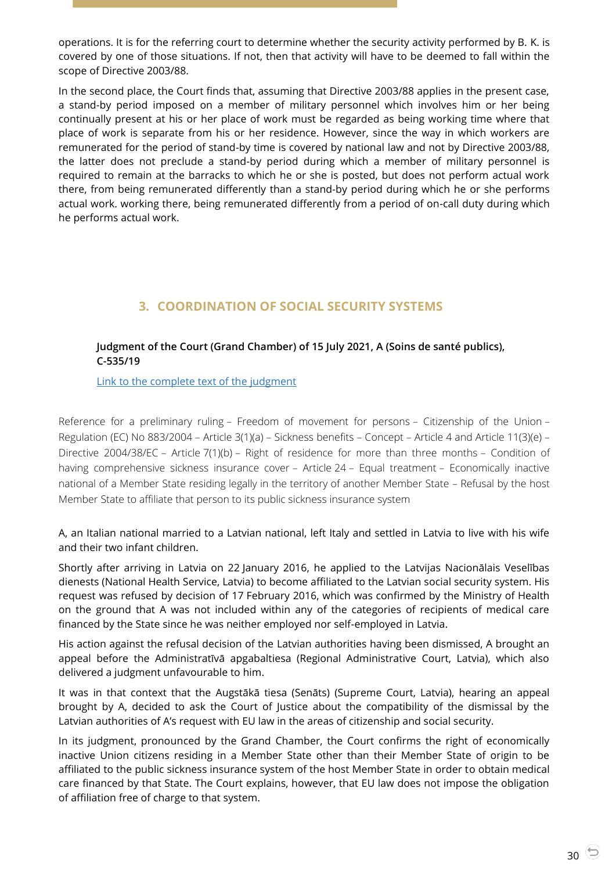operations. It is for the referring court to determine whether the security activity performed by B. K. is covered by one of those situations. If not, then that activity will have to be deemed to fall within the scope of Directive 2003/88.

In the second place, the Court finds that, assuming that Directive 2003/88 applies in the present case, a stand-by period imposed on a member of military personnel which involves him or her being continually present at his or her place of work must be regarded as being working time where that place of work is separate from his or her residence. However, since the way in which workers are remunerated for the period of stand-by time is covered by national law and not by Directive 2003/88, the latter does not preclude a stand-by period during which a member of military personnel is required to remain at the barracks to which he or she is posted, but does not perform actual work there, from being remunerated differently than a stand-by period during which he or she performs actual work. working there, being remunerated differently from a period of on-call duty during which he performs actual work.

# **3. COORDINATION OF SOCIAL SECURITY SYSTEMS**

## <span id="page-29-1"></span><span id="page-29-0"></span>**Judgment of the Court (Grand Chamber) of 15 July 2021, A (Soins de santé publics), C-535/19**

[Link to the complete text of the judgment](https://curia.europa.eu/juris/document/document.jsf?text=&docid=244182&pageIndex=0&doclang=EN&mode=lst&dir=&occ=first&part=1&cid=3520351)

Reference for a preliminary ruling – Freedom of movement for persons – Citizenship of the Union – Regulation (EC) No 883/2004 – Article 3(1)(a) – Sickness benefits – Concept – Article 4 and Article 11(3)(e) – Directive 2004/38/EC – Article 7(1)(b) – Right of residence for more than three months – Condition of having comprehensive sickness insurance cover – Article 24 – Equal treatment – Economically inactive national of a Member State residing legally in the territory of another Member State – Refusal by the host Member State to affiliate that person to its public sickness insurance system

A, an Italian national married to a Latvian national, left Italy and settled in Latvia to live with his wife and their two infant children.

Shortly after arriving in Latvia on 22 January 2016, he applied to the Latvijas Nacionālais Veselības dienests (National Health Service, Latvia) to become affiliated to the Latvian social security system. His request was refused by decision of 17 February 2016, which was confirmed by the Ministry of Health on the ground that A was not included within any of the categories of recipients of medical care financed by the State since he was neither employed nor self-employed in Latvia.

His action against the refusal decision of the Latvian authorities having been dismissed, A brought an appeal before the Administratīvā apgabaltiesa (Regional Administrative Court, Latvia), which also delivered a judgment unfavourable to him.

It was in that context that the Augstākā tiesa (Senāts) (Supreme Court, Latvia), hearing an appeal brought by A, decided to ask the Court of Justice about the compatibility of the dismissal by the Latvian authorities of A's request with EU law in the areas of citizenship and social security.

In its judgment, pronounced by the Grand Chamber, the Court confirms the right of economically inactive Union citizens residing in a Member State other than their Member State of origin to be affiliated to the public sickness insurance system of the host Member State in order to obtain medical care financed by that State. The Court explains, however, that EU law does not impose the obligation of affiliation free of charge to that system.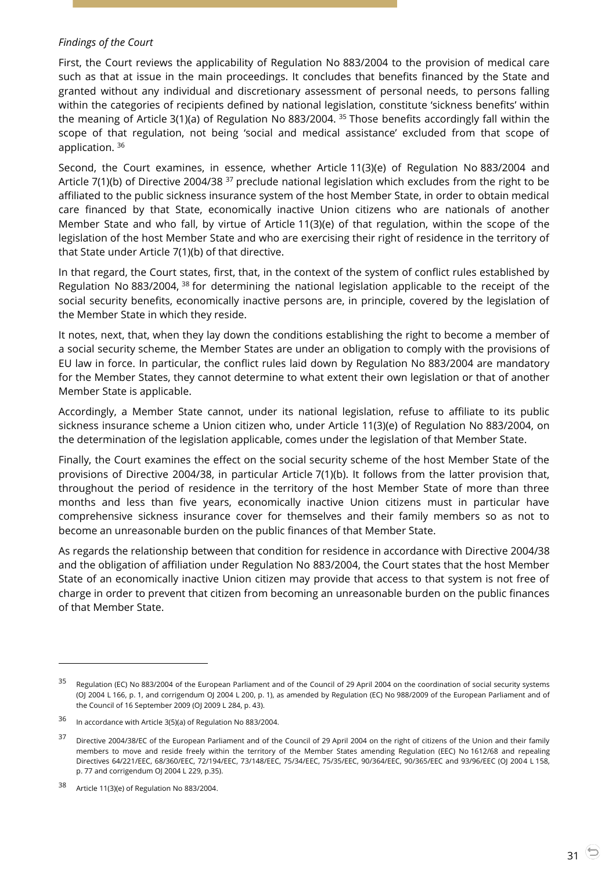#### *Findings of the Court*

First, the Court reviews the applicability of Regulation No 883/2004 to the provision of medical care such as that at issue in the main proceedings. It concludes that benefits financed by the State and granted without any individual and discretionary assessment of personal needs, to persons falling within the categories of recipients defined by national legislation, constitute 'sickness benefits' within the meaning of Article 3(1)(a) of Regulation No 883/2004. <sup>35</sup> Those benefits accordingly fall within the scope of that regulation, not being 'social and medical assistance' excluded from that scope of application. <sup>36</sup>

Second, the Court examines, in essence, whether Article 11(3)(e) of Regulation No 883/2004 and Article 7(1)(b) of Directive 2004/38  $37$  preclude national legislation which excludes from the right to be affiliated to the public sickness insurance system of the host Member State, in order to obtain medical care financed by that State, economically inactive Union citizens who are nationals of another Member State and who fall, by virtue of Article 11(3)(e) of that regulation, within the scope of the legislation of the host Member State and who are exercising their right of residence in the territory of that State under Article 7(1)(b) of that directive.

In that regard, the Court states, first, that, in the context of the system of conflict rules established by Regulation No 883/2004,  $38$  for determining the national legislation applicable to the receipt of the social security benefits, economically inactive persons are, in principle, covered by the legislation of the Member State in which they reside.

It notes, next, that, when they lay down the conditions establishing the right to become a member of a social security scheme, the Member States are under an obligation to comply with the provisions of EU law in force. In particular, the conflict rules laid down by Regulation No 883/2004 are mandatory for the Member States, they cannot determine to what extent their own legislation or that of another Member State is applicable.

Accordingly, a Member State cannot, under its national legislation, refuse to affiliate to its public sickness insurance scheme a Union citizen who, under Article 11(3)(e) of Regulation No 883/2004, on the determination of the legislation applicable, comes under the legislation of that Member State.

Finally, the Court examines the effect on the social security scheme of the host Member State of the provisions of Directive 2004/38, in particular Article 7(1)(b). It follows from the latter provision that, throughout the period of residence in the territory of the host Member State of more than three months and less than five years, economically inactive Union citizens must in particular have comprehensive sickness insurance cover for themselves and their family members so as not to become an unreasonable burden on the public finances of that Member State.

As regards the relationship between that condition for residence in accordance with Directive 2004/38 and the obligation of affiliation under Regulation No 883/2004, the Court states that the host Member State of an economically inactive Union citizen may provide that access to that system is not free of charge in order to prevent that citizen from becoming an unreasonable burden on the public finances of that Member State.

<sup>&</sup>lt;sup>35</sup> Regulation (EC) No 883/2004 of the European Parliament and of the Council of 29 April 2004 on the coordination of social security systems (OJ 2004 L 166, p. 1, and corrigendum OJ 2004 L 200, p. 1), as amended by Regulation (EC) No 988/2009 of the European Parliament and of the Council of 16 September 2009 (OJ 2009 L 284, p. 43).

<sup>36</sup> In accordance with Article 3(5)(a) of Regulation No 883/2004.

<sup>&</sup>lt;sup>37</sup> Directive 2004/38/EC of the European Parliament and of the Council of 29 April 2004 on the right of citizens of the Union and their family members to move and reside freely within the territory of the Member States amending Regulation (EEC) No 1612/68 and repealing Directives 64/221/EEC, 68/360/EEC, 72/194/EEC, 73/148/EEC, 75/34/EEC, 75/35/EEC, 90/364/EEC, 90/365/EEC and 93/96/EEC (OJ 2004 L 158, p. 77 and corrigendum OJ 2004 L 229, p.35).

<sup>38</sup> Article 11(3)(e) of Regulation No 883/2004.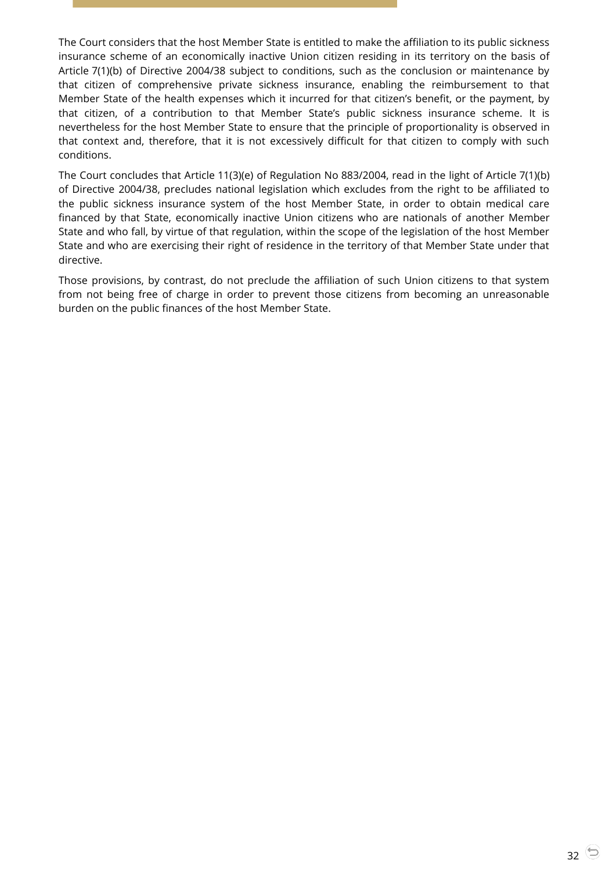The Court considers that the host Member State is entitled to make the affiliation to its public sickness insurance scheme of an economically inactive Union citizen residing in its territory on the basis of Article 7(1)(b) of Directive 2004/38 subject to conditions, such as the conclusion or maintenance by that citizen of comprehensive private sickness insurance, enabling the reimbursement to that Member State of the health expenses which it incurred for that citizen's benefit, or the payment, by that citizen, of a contribution to that Member State's public sickness insurance scheme. It is nevertheless for the host Member State to ensure that the principle of proportionality is observed in that context and, therefore, that it is not excessively difficult for that citizen to comply with such conditions.

The Court concludes that Article 11(3)(e) of Regulation No 883/2004, read in the light of Article 7(1)(b) of Directive 2004/38, precludes national legislation which excludes from the right to be affiliated to the public sickness insurance system of the host Member State, in order to obtain medical care financed by that State, economically inactive Union citizens who are nationals of another Member State and who fall, by virtue of that regulation, within the scope of the legislation of the host Member State and who are exercising their right of residence in the territory of that Member State under that directive.

Those provisions, by contrast, do not preclude the affiliation of such Union citizens to that system from not being free of charge in order to prevent those citizens from becoming an unreasonable burden on the public finances of the host Member State.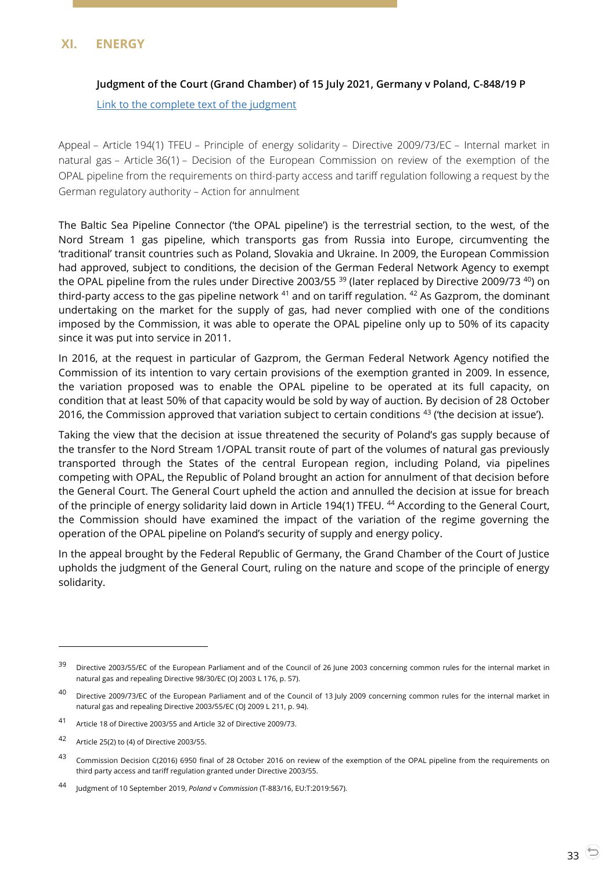# <span id="page-32-1"></span><span id="page-32-0"></span>**XI. ENERGY**

## **Judgment of the Court (Grand Chamber) of 15 July 2021, Germany v Poland, C-848/19 P**

[Link to the complete text of the judgment](https://curia.europa.eu/juris/document/document.jsf?text=&docid=244187&pageIndex=0&doclang=EN&mode=lst&dir=&occ=first&part=1&cid=3521824)

Appeal – Article 194(1) TFEU – Principle of energy solidarity – Directive 2009/73/EC – Internal market in natural gas – Article 36(1) – Decision of the European Commission on review of the exemption of the OPAL pipeline from the requirements on third-party access and tariff regulation following a request by the German regulatory authority – Action for annulment

The Baltic Sea Pipeline Connector ('the OPAL pipeline') is the terrestrial section, to the west, of the Nord Stream 1 gas pipeline, which transports gas from Russia into Europe, circumventing the 'traditional' transit countries such as Poland, Slovakia and Ukraine. In 2009, the European Commission had approved, subject to conditions, the decision of the German Federal Network Agency to exempt the OPAL pipeline from the rules under Directive 2003/55 <sup>39</sup> (later replaced by Directive 2009/73 <sup>40</sup>) on third-party access to the gas pipeline network  $41$  and on tariff regulation.  $42$  As Gazprom, the dominant undertaking on the market for the supply of gas, had never complied with one of the conditions imposed by the Commission, it was able to operate the OPAL pipeline only up to 50% of its capacity since it was put into service in 2011.

In 2016, at the request in particular of Gazprom, the German Federal Network Agency notified the Commission of its intention to vary certain provisions of the exemption granted in 2009. In essence, the variation proposed was to enable the OPAL pipeline to be operated at its full capacity, on condition that at least 50% of that capacity would be sold by way of auction. By decision of 28 October 2016, the Commission approved that variation subject to certain conditions  $43$  (the decision at issue').

Taking the view that the decision at issue threatened the security of Poland's gas supply because of the transfer to the Nord Stream 1/OPAL transit route of part of the volumes of natural gas previously transported through the States of the central European region, including Poland, via pipelines competing with OPAL, the Republic of Poland brought an action for annulment of that decision before the General Court. The General Court upheld the action and annulled the decision at issue for breach of the principle of energy solidarity laid down in Article 194(1) TFEU. <sup>44</sup> According to the General Court, the Commission should have examined the impact of the variation of the regime governing the operation of the OPAL pipeline on Poland's security of supply and energy policy.

In the appeal brought by the Federal Republic of Germany, the Grand Chamber of the Court of Justice upholds the judgment of the General Court, ruling on the nature and scope of the principle of energy solidarity.

-

Directive 2003/55/EC of the European Parliament and of the Council of 26 June 2003 concerning common rules for the internal market in natural gas and repealing Directive 98/30/EC (OJ 2003 L 176, p. 57).

<sup>40</sup> Directive 2009/73/EC of the European Parliament and of the Council of 13 July 2009 concerning common rules for the internal market in natural gas and repealing Directive 2003/55/EC (OJ 2009 L 211, p. 94).

<sup>41</sup> Article 18 of Directive 2003/55 and Article 32 of Directive 2009/73.

<sup>42</sup> Article 25(2) to (4) of Directive 2003/55.

<sup>43</sup> Commission Decision C(2016) 6950 final of 28 October 2016 on review of the exemption of the OPAL pipeline from the requirements on third party access and tariff regulation granted under Directive 2003/55.

<sup>44</sup> Judgment of 10 September 2019, *Poland* <sup>v</sup>*Commission* (T-883/16, EU:T:2019:567).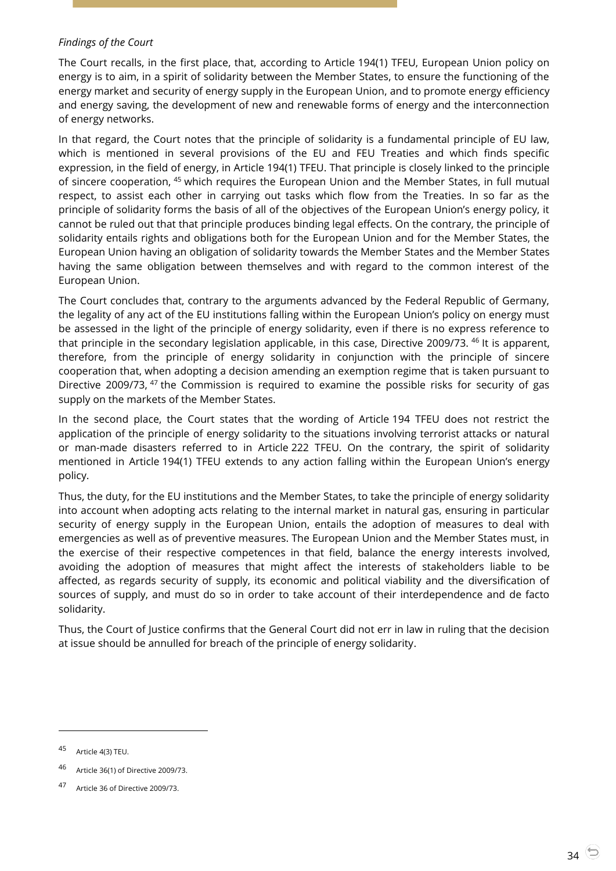## *Findings of the Court*

The Court recalls, in the first place, that, according to Article 194(1) TFEU, European Union policy on energy is to aim, in a spirit of solidarity between the Member States, to ensure the functioning of the energy market and security of energy supply in the European Union, and to promote energy efficiency and energy saving, the development of new and renewable forms of energy and the interconnection of energy networks.

In that regard, the Court notes that the principle of solidarity is a fundamental principle of EU law, which is mentioned in several provisions of the EU and FEU Treaties and which finds specific expression, in the field of energy, in Article 194(1) TFEU. That principle is closely linked to the principle of sincere cooperation, <sup>45</sup> which requires the European Union and the Member States, in full mutual respect, to assist each other in carrying out tasks which flow from the Treaties. In so far as the principle of solidarity forms the basis of all of the objectives of the European Union's energy policy, it cannot be ruled out that that principle produces binding legal effects. On the contrary, the principle of solidarity entails rights and obligations both for the European Union and for the Member States, the European Union having an obligation of solidarity towards the Member States and the Member States having the same obligation between themselves and with regard to the common interest of the European Union.

The Court concludes that, contrary to the arguments advanced by the Federal Republic of Germany, the legality of any act of the EU institutions falling within the European Union's policy on energy must be assessed in the light of the principle of energy solidarity, even if there is no express reference to that principle in the secondary legislation applicable, in this case, Directive 2009/73. <sup>46</sup> It is apparent, therefore, from the principle of energy solidarity in conjunction with the principle of sincere cooperation that, when adopting a decision amending an exemption regime that is taken pursuant to Directive 2009/73, <sup>47</sup> the Commission is required to examine the possible risks for security of gas supply on the markets of the Member States.

In the second place, the Court states that the wording of Article 194 TFEU does not restrict the application of the principle of energy solidarity to the situations involving terrorist attacks or natural or man-made disasters referred to in Article 222 TFEU. On the contrary, the spirit of solidarity mentioned in Article 194(1) TFEU extends to any action falling within the European Union's energy policy.

Thus, the duty, for the EU institutions and the Member States, to take the principle of energy solidarity into account when adopting acts relating to the internal market in natural gas, ensuring in particular security of energy supply in the European Union, entails the adoption of measures to deal with emergencies as well as of preventive measures. The European Union and the Member States must, in the exercise of their respective competences in that field, balance the energy interests involved, avoiding the adoption of measures that might affect the interests of stakeholders liable to be affected, as regards security of supply, its economic and political viability and the diversification of sources of supply, and must do so in order to take account of their interdependence and de facto solidarity.

Thus, the Court of Justice confirms that the General Court did not err in law in ruling that the decision at issue should be annulled for breach of the principle of energy solidarity.

<sup>45</sup> Article 4(3) TEU.

<sup>46</sup> Article 36(1) of Directive 2009/73.

<sup>47</sup> Article 36 of Directive 2009/73.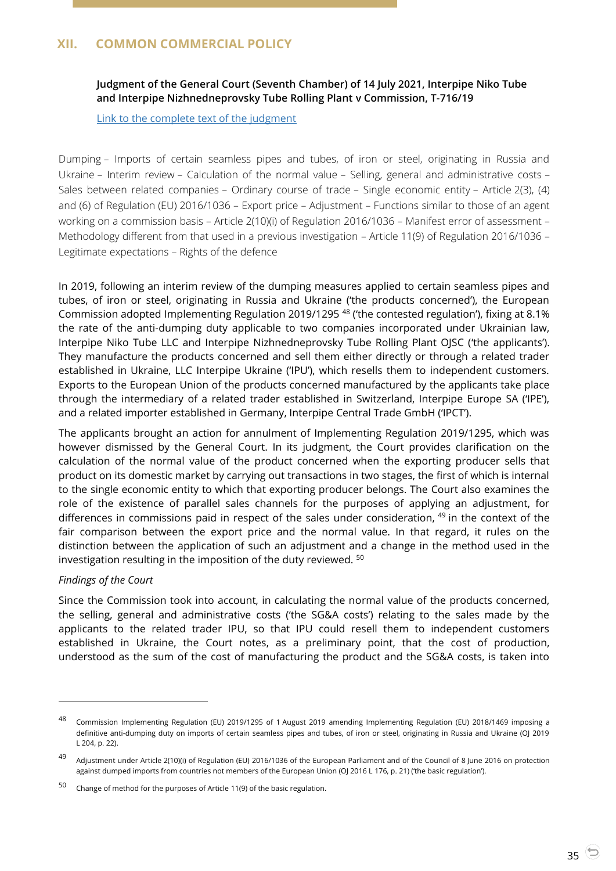# <span id="page-34-1"></span><span id="page-34-0"></span>**XII. COMMON COMMERCIAL POLICY**

# **Judgment of the General Court (Seventh Chamber) of 14 July 2021, Interpipe Niko Tube and Interpipe Nizhnedneprovsky Tube Rolling Plant v Commission, T-716/19**

[Link to the complete text of the judgment](https://curia.europa.eu/juris/document/document.jsf?text=&docid=244114&pageIndex=0&doclang=EN&mode=lst&dir=&occ=first&part=1&cid=3524067)

Dumping – Imports of certain seamless pipes and tubes, of iron or steel, originating in Russia and Ukraine – Interim review – Calculation of the normal value – Selling, general and administrative costs – Sales between related companies – Ordinary course of trade – Single economic entity – Article 2(3), (4) and (6) of Regulation (EU) 2016/1036 – Export price – Adjustment – Functions similar to those of an agent working on a commission basis – Article 2(10)(i) of Regulation 2016/1036 – Manifest error of assessment – Methodology different from that used in a previous investigation – Article 11(9) of Regulation 2016/1036 – Legitimate expectations – Rights of the defence

In 2019, following an interim review of the dumping measures applied to certain seamless pipes and tubes, of iron or steel, originating in Russia and Ukraine ('the products concerned'), the European Commission adopted Implementing Regulation 2019/1295 <sup>48</sup> ('the contested regulation'), fixing at 8.1% the rate of the anti-dumping duty applicable to two companies incorporated under Ukrainian law, Interpipe Niko Tube LLC and Interpipe Nizhnedneprovsky Tube Rolling Plant OJSC ('the applicants'). They manufacture the products concerned and sell them either directly or through a related trader established in Ukraine, LLC Interpipe Ukraine ('IPU'), which resells them to independent customers. Exports to the European Union of the products concerned manufactured by the applicants take place through the intermediary of a related trader established in Switzerland, Interpipe Europe SA ('IPE'), and a related importer established in Germany, Interpipe Central Trade GmbH ('IPCT').

The applicants brought an action for annulment of Implementing Regulation 2019/1295, which was however dismissed by the General Court. In its judgment, the Court provides clarification on the calculation of the normal value of the product concerned when the exporting producer sells that product on its domestic market by carrying out transactions in two stages, the first of which is internal to the single economic entity to which that exporting producer belongs. The Court also examines the role of the existence of parallel sales channels for the purposes of applying an adjustment, for differences in commissions paid in respect of the sales under consideration, <sup>49</sup> in the context of the fair comparison between the export price and the normal value. In that regard, it rules on the distinction between the application of such an adjustment and a change in the method used in the investigation resulting in the imposition of the duty reviewed. <sup>50</sup>

#### *Findings of the Court*

-

Since the Commission took into account, in calculating the normal value of the products concerned, the selling, general and administrative costs ('the SG&A costs') relating to the sales made by the applicants to the related trader IPU, so that IPU could resell them to independent customers established in Ukraine, the Court notes, as a preliminary point, that the cost of production, understood as the sum of the cost of manufacturing the product and the SG&A costs, is taken into

<sup>48</sup> Commission Implementing Regulation (EU) 2019/1295 of 1 August 2019 amending Implementing Regulation (EU) 2018/1469 imposing a definitive anti-dumping duty on imports of certain seamless pipes and tubes, of iron or steel, originating in Russia and Ukraine (OJ 2019 L 204, p. 22).

<sup>&</sup>lt;sup>49</sup> Adjustment under Article 2(10)(i) of Regulation (EU) 2016/1036 of the European Parliament and of the Council of 8 June 2016 on protection against dumped imports from countries not members of the European Union (OJ 2016 L 176, p. 21) ('the basic regulation').

<sup>50</sup> Change of method for the purposes of Article 11(9) of the basic regulation.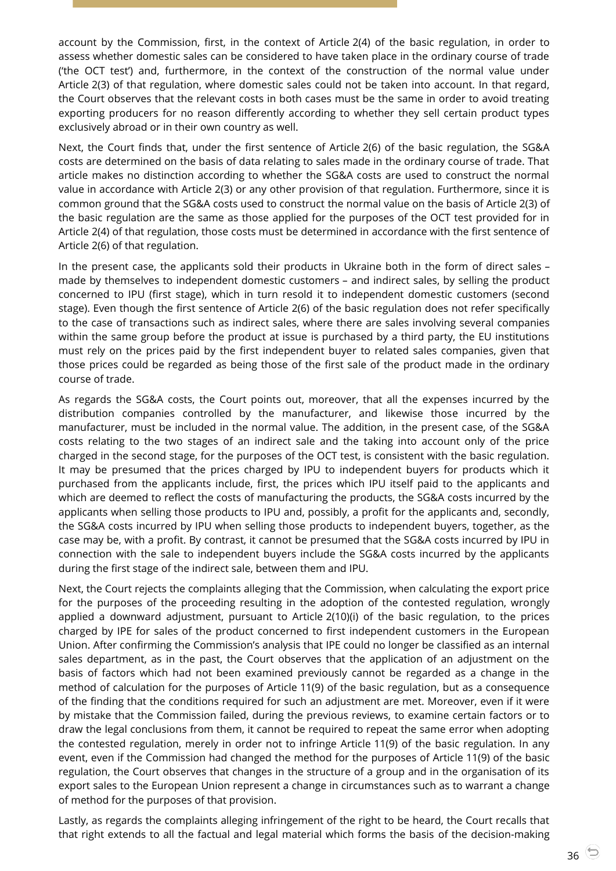account by the Commission, first, in the context of Article 2(4) of the basic regulation, in order to assess whether domestic sales can be considered to have taken place in the ordinary course of trade ('the OCT test') and, furthermore, in the context of the construction of the normal value under Article 2(3) of that regulation, where domestic sales could not be taken into account. In that regard, the Court observes that the relevant costs in both cases must be the same in order to avoid treating exporting producers for no reason differently according to whether they sell certain product types exclusively abroad or in their own country as well.

Next, the Court finds that, under the first sentence of Article 2(6) of the basic regulation, the SG&A costs are determined on the basis of data relating to sales made in the ordinary course of trade. That article makes no distinction according to whether the SG&A costs are used to construct the normal value in accordance with Article 2(3) or any other provision of that regulation. Furthermore, since it is common ground that the SG&A costs used to construct the normal value on the basis of Article 2(3) of the basic regulation are the same as those applied for the purposes of the OCT test provided for in Article 2(4) of that regulation, those costs must be determined in accordance with the first sentence of Article 2(6) of that regulation.

In the present case, the applicants sold their products in Ukraine both in the form of direct sales – made by themselves to independent domestic customers – and indirect sales, by selling the product concerned to IPU (first stage), which in turn resold it to independent domestic customers (second stage). Even though the first sentence of Article 2(6) of the basic regulation does not refer specifically to the case of transactions such as indirect sales, where there are sales involving several companies within the same group before the product at issue is purchased by a third party, the EU institutions must rely on the prices paid by the first independent buyer to related sales companies, given that those prices could be regarded as being those of the first sale of the product made in the ordinary course of trade.

As regards the SG&A costs, the Court points out, moreover, that all the expenses incurred by the distribution companies controlled by the manufacturer, and likewise those incurred by the manufacturer, must be included in the normal value. The addition, in the present case, of the SG&A costs relating to the two stages of an indirect sale and the taking into account only of the price charged in the second stage, for the purposes of the OCT test, is consistent with the basic regulation. It may be presumed that the prices charged by IPU to independent buyers for products which it purchased from the applicants include, first, the prices which IPU itself paid to the applicants and which are deemed to reflect the costs of manufacturing the products, the SG&A costs incurred by the applicants when selling those products to IPU and, possibly, a profit for the applicants and, secondly, the SG&A costs incurred by IPU when selling those products to independent buyers, together, as the case may be, with a profit. By contrast, it cannot be presumed that the SG&A costs incurred by IPU in connection with the sale to independent buyers include the SG&A costs incurred by the applicants during the first stage of the indirect sale, between them and IPU.

Next, the Court rejects the complaints alleging that the Commission, when calculating the export price for the purposes of the proceeding resulting in the adoption of the contested regulation, wrongly applied a downward adjustment, pursuant to Article 2(10)(i) of the basic regulation, to the prices charged by IPE for sales of the product concerned to first independent customers in the European Union. After confirming the Commission's analysis that IPE could no longer be classified as an internal sales department, as in the past, the Court observes that the application of an adjustment on the basis of factors which had not been examined previously cannot be regarded as a change in the method of calculation for the purposes of Article 11(9) of the basic regulation, but as a consequence of the finding that the conditions required for such an adjustment are met. Moreover, even if it were by mistake that the Commission failed, during the previous reviews, to examine certain factors or to draw the legal conclusions from them, it cannot be required to repeat the same error when adopting the contested regulation, merely in order not to infringe Article 11(9) of the basic regulation. In any event, even if the Commission had changed the method for the purposes of Article 11(9) of the basic regulation, the Court observes that changes in the structure of a group and in the organisation of its export sales to the European Union represent a change in circumstances such as to warrant a change of method for the purposes of that provision.

Lastly, as regards the complaints alleging infringement of the right to be heard, the Court recalls that that right extends to all the factual and legal material which forms the basis of the decision-making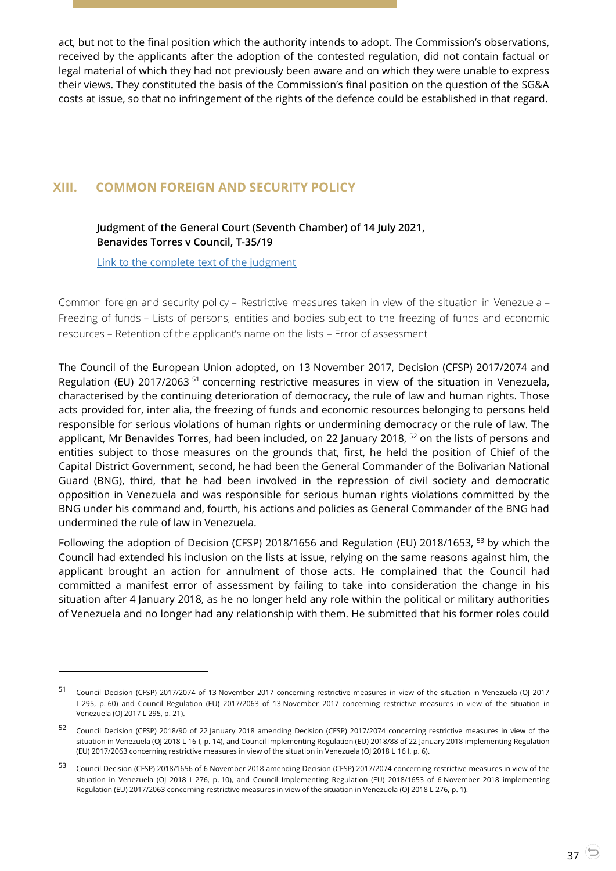act, but not to the final position which the authority intends to adopt. The Commission's observations, received by the applicants after the adoption of the contested regulation, did not contain factual or legal material of which they had not previously been aware and on which they were unable to express their views. They constituted the basis of the Commission's final position on the question of the SG&A costs at issue, so that no infringement of the rights of the defence could be established in that regard.

# <span id="page-36-1"></span><span id="page-36-0"></span>**XIII. COMMON FOREIGN AND SECURITY POLICY**

# **Judgment of the General Court (Seventh Chamber) of 14 July 2021, Benavides Torres v Council, T-35/19**

[Link to the complete text of the judgment](https://curia.europa.eu/juris/document/document.jsf?text=&docid=244127&pageIndex=0&doclang=EN&mode=lst&dir=&occ=first&part=1&cid=3525322)

 $\overline{a}$ 

Common foreign and security policy – Restrictive measures taken in view of the situation in Venezuela – Freezing of funds – Lists of persons, entities and bodies subject to the freezing of funds and economic resources – Retention of the applicant's name on the lists – Error of assessment

The Council of the European Union adopted, on 13 November 2017, Decision (CFSP) 2017/2074 and Regulation (EU) 2017/2063<sup>51</sup> concerning restrictive measures in view of the situation in Venezuela, characterised by the continuing deterioration of democracy, the rule of law and human rights. Those acts provided for, inter alia, the freezing of funds and economic resources belonging to persons held responsible for serious violations of human rights or undermining democracy or the rule of law. The applicant, Mr Benavides Torres, had been included, on 22 January 2018,  $52$  on the lists of persons and entities subject to those measures on the grounds that, first, he held the position of Chief of the Capital District Government, second, he had been the General Commander of the Bolivarian National Guard (BNG), third, that he had been involved in the repression of civil society and democratic opposition in Venezuela and was responsible for serious human rights violations committed by the BNG under his command and, fourth, his actions and policies as General Commander of the BNG had undermined the rule of law in Venezuela.

Following the adoption of Decision (CFSP) 2018/1656 and Regulation (EU) 2018/1653, <sup>53</sup> by which the Council had extended his inclusion on the lists at issue, relying on the same reasons against him, the applicant brought an action for annulment of those acts. He complained that the Council had committed a manifest error of assessment by failing to take into consideration the change in his situation after 4 January 2018, as he no longer held any role within the political or military authorities of Venezuela and no longer had any relationship with them. He submitted that his former roles could

<sup>51</sup> Council Decision (CFSP) 2017/2074 of 13 November 2017 concerning restrictive measures in view of the situation in Venezuela (OJ 2017 L 295, p. 60) and Council Regulation (EU) 2017/2063 of 13 November 2017 concerning restrictive measures in view of the situation in Venezuela (OJ 2017 L 295, p. 21).

<sup>52</sup> Council Decision (CFSP) 2018/90 of 22 January 2018 amending Decision (CFSP) 2017/2074 concerning restrictive measures in view of the situation in Venezuela (OJ 2018 L 16 I, p. 14), and Council Implementing Regulation (EU) 2018/88 of 22 January 2018 implementing Regulation (EU) 2017/2063 concerning restrictive measures in view of the situation in Venezuela (OJ 2018 L 16 I, p. 6).

<sup>53</sup> Council Decision (CFSP) 2018/1656 of 6 November 2018 amending Decision (CFSP) 2017/2074 concerning restrictive measures in view of the situation in Venezuela (OJ 2018 L 276, p. 10), and Council Implementing Regulation (EU) 2018/1653 of 6 November 2018 implementing Regulation (EU) 2017/2063 concerning restrictive measures in view of the situation in Venezuela (OJ 2018 L 276, p. 1).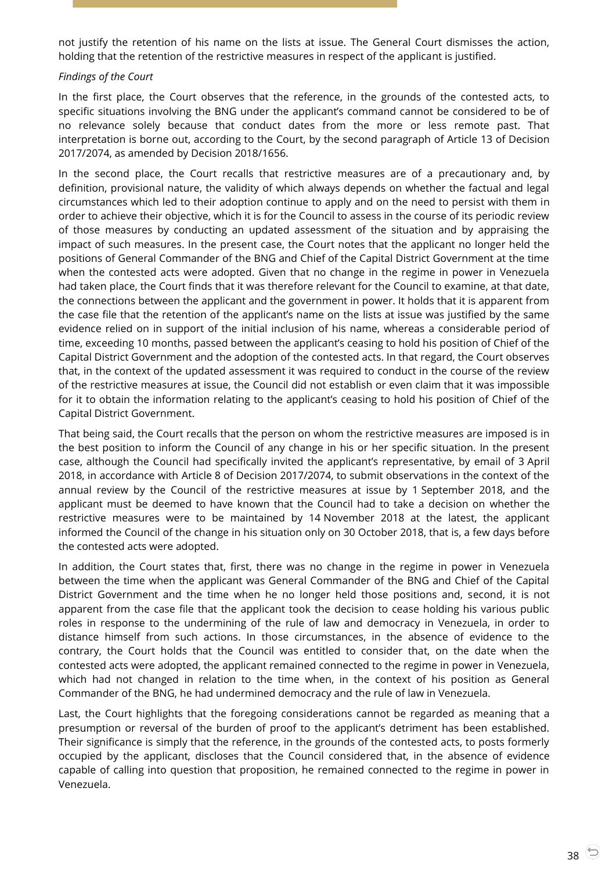not justify the retention of his name on the lists at issue. The General Court dismisses the action, holding that the retention of the restrictive measures in respect of the applicant is justified.

#### *Findings of the Court*

In the first place, the Court observes that the reference, in the grounds of the contested acts, to specific situations involving the BNG under the applicant's command cannot be considered to be of no relevance solely because that conduct dates from the more or less remote past. That interpretation is borne out, according to the Court, by the second paragraph of Article 13 of Decision 2017/2074, as amended by Decision 2018/1656.

In the second place, the Court recalls that restrictive measures are of a precautionary and, by definition, provisional nature, the validity of which always depends on whether the factual and legal circumstances which led to their adoption continue to apply and on the need to persist with them in order to achieve their objective, which it is for the Council to assess in the course of its periodic review of those measures by conducting an updated assessment of the situation and by appraising the impact of such measures. In the present case, the Court notes that the applicant no longer held the positions of General Commander of the BNG and Chief of the Capital District Government at the time when the contested acts were adopted. Given that no change in the regime in power in Venezuela had taken place, the Court finds that it was therefore relevant for the Council to examine, at that date, the connections between the applicant and the government in power. It holds that it is apparent from the case file that the retention of the applicant's name on the lists at issue was justified by the same evidence relied on in support of the initial inclusion of his name, whereas a considerable period of time, exceeding 10 months, passed between the applicant's ceasing to hold his position of Chief of the Capital District Government and the adoption of the contested acts. In that regard, the Court observes that, in the context of the updated assessment it was required to conduct in the course of the review of the restrictive measures at issue, the Council did not establish or even claim that it was impossible for it to obtain the information relating to the applicant's ceasing to hold his position of Chief of the Capital District Government.

That being said, the Court recalls that the person on whom the restrictive measures are imposed is in the best position to inform the Council of any change in his or her specific situation. In the present case, although the Council had specifically invited the applicant's representative, by email of 3 April 2018, in accordance with Article 8 of Decision 2017/2074, to submit observations in the context of the annual review by the Council of the restrictive measures at issue by 1 September 2018, and the applicant must be deemed to have known that the Council had to take a decision on whether the restrictive measures were to be maintained by 14 November 2018 at the latest, the applicant informed the Council of the change in his situation only on 30 October 2018, that is, a few days before the contested acts were adopted.

In addition, the Court states that, first, there was no change in the regime in power in Venezuela between the time when the applicant was General Commander of the BNG and Chief of the Capital District Government and the time when he no longer held those positions and, second, it is not apparent from the case file that the applicant took the decision to cease holding his various public roles in response to the undermining of the rule of law and democracy in Venezuela, in order to distance himself from such actions. In those circumstances, in the absence of evidence to the contrary, the Court holds that the Council was entitled to consider that, on the date when the contested acts were adopted, the applicant remained connected to the regime in power in Venezuela, which had not changed in relation to the time when, in the context of his position as General Commander of the BNG, he had undermined democracy and the rule of law in Venezuela.

Last, the Court highlights that the foregoing considerations cannot be regarded as meaning that a presumption or reversal of the burden of proof to the applicant's detriment has been established. Their significance is simply that the reference, in the grounds of the contested acts, to posts formerly occupied by the applicant, discloses that the Council considered that, in the absence of evidence capable of calling into question that proposition, he remained connected to the regime in power in Venezuela.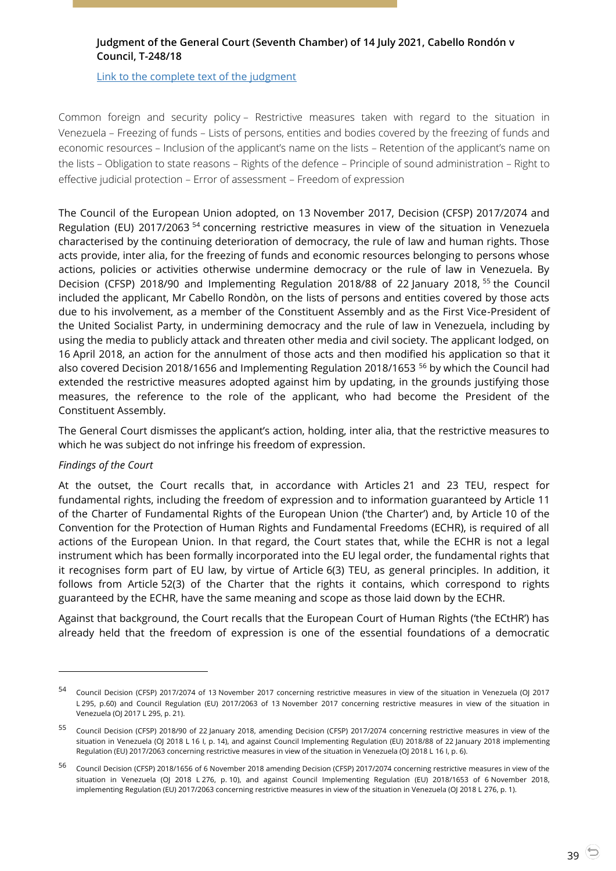# <span id="page-38-0"></span>**Judgment of the General Court (Seventh Chamber) of 14 July 2021, Cabello Rondón v Council, T-248/18**

[Link to the complete text of the judgment](https://curia.europa.eu/juris/document/document.jsf?text=&docid=244119&pageIndex=0&doclang=en&mode=lst&dir=&occ=first&part=1&cid=3525967)

Common foreign and security policy – Restrictive measures taken with regard to the situation in Venezuela – Freezing of funds – Lists of persons, entities and bodies covered by the freezing of funds and economic resources – Inclusion of the applicant's name on the lists – Retention of the applicant's name on the lists – Obligation to state reasons – Rights of the defence – Principle of sound administration – Right to effective judicial protection – Error of assessment – Freedom of expression

The Council of the European Union adopted, on 13 November 2017, Decision (CFSP) 2017/2074 and Regulation (EU) 2017/2063 <sup>54</sup> concerning restrictive measures in view of the situation in Venezuela characterised by the continuing deterioration of democracy, the rule of law and human rights. Those acts provide, inter alia, for the freezing of funds and economic resources belonging to persons whose actions, policies or activities otherwise undermine democracy or the rule of law in Venezuela. By Decision (CFSP) 2018/90 and Implementing Regulation 2018/88 of 22 January 2018, <sup>55</sup> the Council included the applicant, Mr Cabello Rondòn, on the lists of persons and entities covered by those acts due to his involvement, as a member of the Constituent Assembly and as the First Vice-President of the United Socialist Party, in undermining democracy and the rule of law in Venezuela, including by using the media to publicly attack and threaten other media and civil society. The applicant lodged, on 16 April 2018, an action for the annulment of those acts and then modified his application so that it also covered Decision 2018/1656 and Implementing Regulation 2018/1653 <sup>56</sup> by which the Council had extended the restrictive measures adopted against him by updating, in the grounds justifying those measures, the reference to the role of the applicant, who had become the President of the Constituent Assembly.

The General Court dismisses the applicant's action, holding, inter alia, that the restrictive measures to which he was subject do not infringe his freedom of expression.

#### *Findings of the Court*

 $\overline{a}$ 

At the outset, the Court recalls that, in accordance with Articles 21 and 23 TEU, respect for fundamental rights, including the freedom of expression and to information guaranteed by Article 11 of the Charter of Fundamental Rights of the European Union ('the Charter') and, by Article 10 of the Convention for the Protection of Human Rights and Fundamental Freedoms (ECHR), is required of all actions of the European Union. In that regard, the Court states that, while the ECHR is not a legal instrument which has been formally incorporated into the EU legal order, the fundamental rights that it recognises form part of EU law, by virtue of Article 6(3) TEU, as general principles. In addition, it follows from Article 52(3) of the Charter that the rights it contains, which correspond to rights guaranteed by the ECHR, have the same meaning and scope as those laid down by the ECHR.

Against that background, the Court recalls that the European Court of Human Rights ('the ECtHR') has already held that the freedom of expression is one of the essential foundations of a democratic

<sup>54</sup> Council Decision (CFSP) 2017/2074 of 13 November 2017 concerning restrictive measures in view of the situation in Venezuela (OJ 2017 L 295, p.60) and Council Regulation (EU) 2017/2063 of 13 November 2017 concerning restrictive measures in view of the situation in Venezuela (OJ 2017 L 295, p. 21).

<sup>55</sup> Council Decision (CFSP) 2018/90 of 22 January 2018, amending Decision (CFSP) 2017/2074 concerning restrictive measures in view of the situation in Venezuela (OJ 2018 L 16 I, p. 14), and against Council Implementing Regulation (EU) 2018/88 of 22 January 2018 implementing Regulation (EU) 2017/2063 concerning restrictive measures in view of the situation in Venezuela (OJ 2018 L 16 I, p. 6).

<sup>56</sup> Council Decision (CFSP) 2018/1656 of 6 November 2018 amending Decision (CFSP) 2017/2074 concerning restrictive measures in view of the situation in Venezuela (OJ 2018 L 276, p. 10), and against Council Implementing Regulation (EU) 2018/1653 of 6 November 2018, implementing Regulation (EU) 2017/2063 concerning restrictive measures in view of the situation in Venezuela (OJ 2018 L 276, p. 1).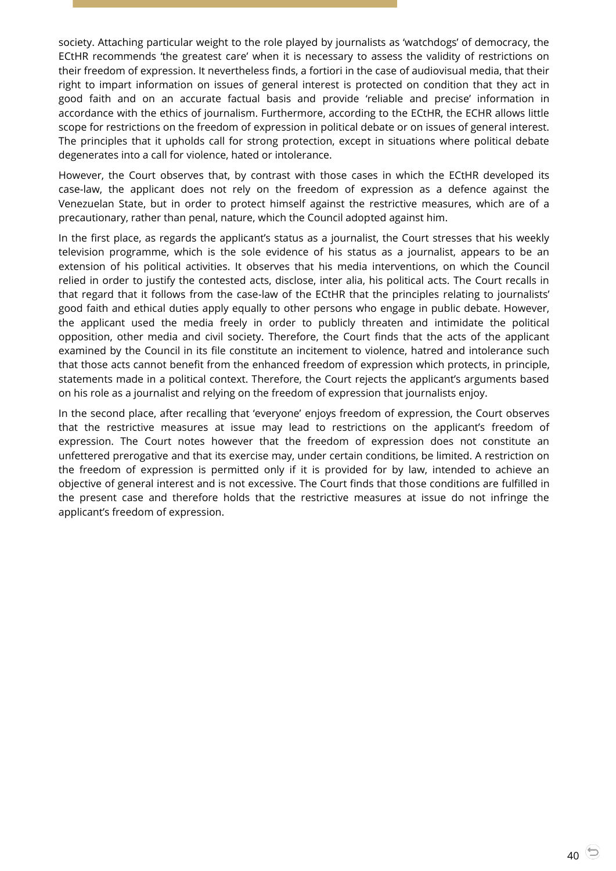society. Attaching particular weight to the role played by journalists as 'watchdogs' of democracy, the ECtHR recommends 'the greatest care' when it is necessary to assess the validity of restrictions on their freedom of expression. It nevertheless finds, a fortiori in the case of audiovisual media, that their right to impart information on issues of general interest is protected on condition that they act in good faith and on an accurate factual basis and provide 'reliable and precise' information in accordance with the ethics of journalism. Furthermore, according to the ECtHR, the ECHR allows little scope for restrictions on the freedom of expression in political debate or on issues of general interest. The principles that it upholds call for strong protection, except in situations where political debate degenerates into a call for violence, hated or intolerance.

However, the Court observes that, by contrast with those cases in which the ECtHR developed its case-law, the applicant does not rely on the freedom of expression as a defence against the Venezuelan State, but in order to protect himself against the restrictive measures, which are of a precautionary, rather than penal, nature, which the Council adopted against him.

In the first place, as regards the applicant's status as a journalist, the Court stresses that his weekly television programme, which is the sole evidence of his status as a journalist, appears to be an extension of his political activities. It observes that his media interventions, on which the Council relied in order to justify the contested acts, disclose, inter alia, his political acts. The Court recalls in that regard that it follows from the case-law of the ECtHR that the principles relating to journalists' good faith and ethical duties apply equally to other persons who engage in public debate. However, the applicant used the media freely in order to publicly threaten and intimidate the political opposition, other media and civil society. Therefore, the Court finds that the acts of the applicant examined by the Council in its file constitute an incitement to violence, hatred and intolerance such that those acts cannot benefit from the enhanced freedom of expression which protects, in principle, statements made in a political context. Therefore, the Court rejects the applicant's arguments based on his role as a journalist and relying on the freedom of expression that journalists enjoy.

In the second place, after recalling that 'everyone' enjoys freedom of expression, the Court observes that the restrictive measures at issue may lead to restrictions on the applicant's freedom of expression. The Court notes however that the freedom of expression does not constitute an unfettered prerogative and that its exercise may, under certain conditions, be limited. A restriction on the freedom of expression is permitted only if it is provided for by law, intended to achieve an objective of general interest and is not excessive. The Court finds that those conditions are fulfilled in the present case and therefore holds that the restrictive measures at issue do not infringe the applicant's freedom of expression.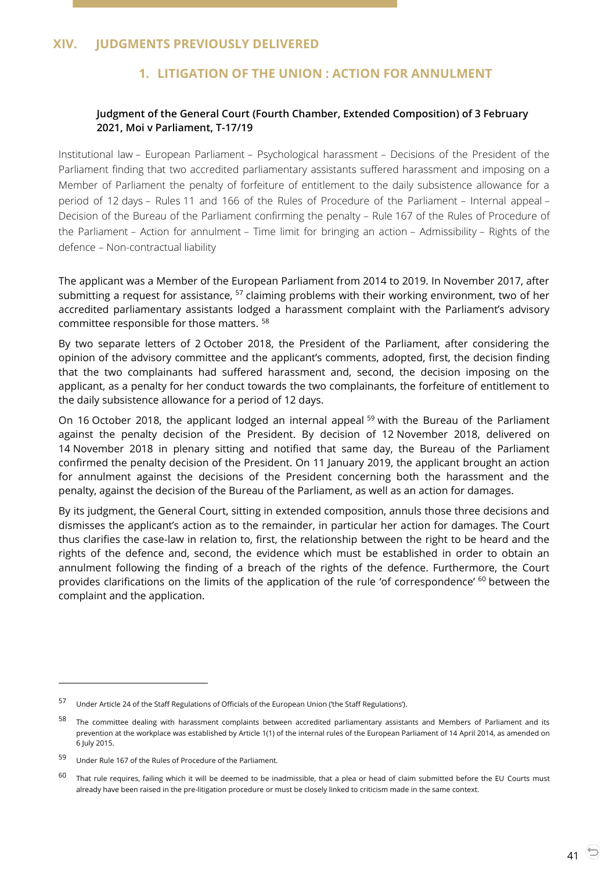# <span id="page-40-2"></span><span id="page-40-1"></span><span id="page-40-0"></span>**XIV. JUDGMENTS PREVIOUSLY DELIVERED**

# **1. LITIGATION OF THE UNION : ACTION FOR ANNULMENT**

## **Judgment of the General Court (Fourth Chamber, Extended Composition) of 3 February 2021, Moi v Parliament, T-17/19**

Institutional law – European Parliament – Psychological harassment – Decisions of the President of the Parliament finding that two accredited parliamentary assistants suffered harassment and imposing on a Member of Parliament the penalty of forfeiture of entitlement to the daily subsistence allowance for a period of 12 days – Rules 11 and 166 of the Rules of Procedure of the Parliament – Internal appeal – Decision of the Bureau of the Parliament confirming the penalty – Rule 167 of the Rules of Procedure of the Parliament – Action for annulment – Time limit for bringing an action – Admissibility – Rights of the defence – Non-contractual liability

The applicant was a Member of the European Parliament from 2014 to 2019. In November 2017, after submitting a request for assistance,  $57$  claiming problems with their working environment, two of her accredited parliamentary assistants lodged a harassment complaint with the Parliament's advisory committee responsible for those matters. <sup>58</sup>

By two separate letters of 2 October 2018, the President of the Parliament, after considering the opinion of the advisory committee and the applicant's comments, adopted, first, the decision finding that the two complainants had suffered harassment and, second, the decision imposing on the applicant, as a penalty for her conduct towards the two complainants, the forfeiture of entitlement to the daily subsistence allowance for a period of 12 days.

On 16 October 2018, the applicant lodged an internal appeal <sup>59</sup> with the Bureau of the Parliament against the penalty decision of the President. By decision of 12 November 2018, delivered on 14 November 2018 in plenary sitting and notified that same day, the Bureau of the Parliament confirmed the penalty decision of the President. On 11 January 2019, the applicant brought an action for annulment against the decisions of the President concerning both the harassment and the penalty, against the decision of the Bureau of the Parliament, as well as an action for damages.

By its judgment, the General Court, sitting in extended composition, annuls those three decisions and dismisses the applicant's action as to the remainder, in particular her action for damages. The Court thus clarifies the case-law in relation to, first, the relationship between the right to be heard and the rights of the defence and, second, the evidence which must be established in order to obtain an annulment following the finding of a breach of the rights of the defence. Furthermore, the Court provides clarifications on the limits of the application of the rule 'of correspondence' <sup>60</sup> between the complaint and the application.

<sup>57</sup> Under Article 24 of the Staff Regulations of Officials of the European Union ('the Staff Regulations').

<sup>58</sup> The committee dealing with harassment complaints between accredited parliamentary assistants and Members of Parliament and its prevention at the workplace was established by Article 1(1) of the internal rules of the European Parliament of 14 April 2014, as amended on 6 July 2015.

<sup>59</sup> Under Rule 167 of the Rules of Procedure of the Parliament.

 $60$  That rule requires, failing which it will be deemed to be inadmissible, that a plea or head of claim submitted before the EU Courts must already have been raised in the pre-litigation procedure or must be closely linked to criticism made in the same context.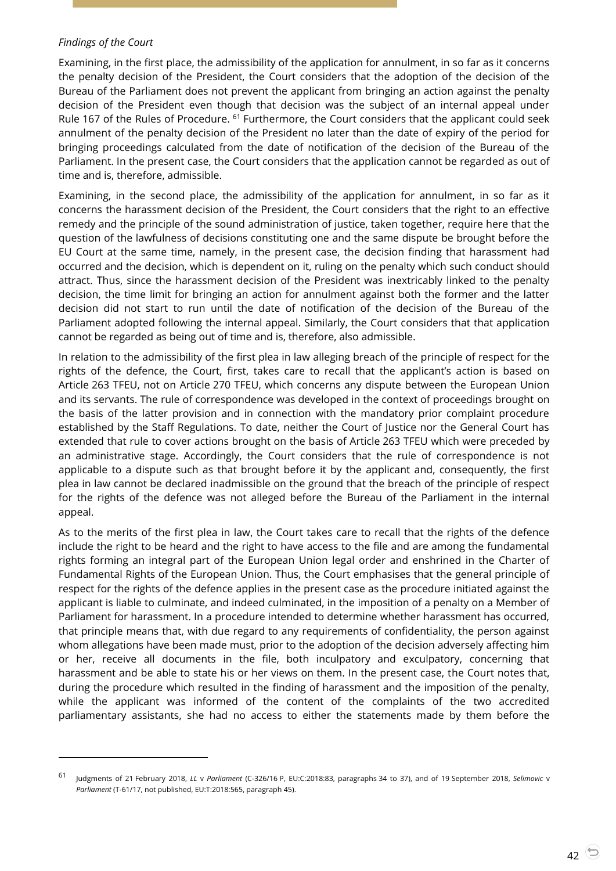#### *Findings of the Court*

-

Examining, in the first place, the admissibility of the application for annulment, in so far as it concerns the penalty decision of the President, the Court considers that the adoption of the decision of the Bureau of the Parliament does not prevent the applicant from bringing an action against the penalty decision of the President even though that decision was the subject of an internal appeal under Rule 167 of the Rules of Procedure. <sup>61</sup> Furthermore, the Court considers that the applicant could seek annulment of the penalty decision of the President no later than the date of expiry of the period for bringing proceedings calculated from the date of notification of the decision of the Bureau of the Parliament. In the present case, the Court considers that the application cannot be regarded as out of time and is, therefore, admissible.

Examining, in the second place, the admissibility of the application for annulment, in so far as it concerns the harassment decision of the President, the Court considers that the right to an effective remedy and the principle of the sound administration of justice, taken together, require here that the question of the lawfulness of decisions constituting one and the same dispute be brought before the EU Court at the same time, namely, in the present case, the decision finding that harassment had occurred and the decision, which is dependent on it, ruling on the penalty which such conduct should attract. Thus, since the harassment decision of the President was inextricably linked to the penalty decision, the time limit for bringing an action for annulment against both the former and the latter decision did not start to run until the date of notification of the decision of the Bureau of the Parliament adopted following the internal appeal. Similarly, the Court considers that that application cannot be regarded as being out of time and is, therefore, also admissible.

In relation to the admissibility of the first plea in law alleging breach of the principle of respect for the rights of the defence, the Court, first, takes care to recall that the applicant's action is based on Article 263 TFEU, not on Article 270 TFEU, which concerns any dispute between the European Union and its servants. The rule of correspondence was developed in the context of proceedings brought on the basis of the latter provision and in connection with the mandatory prior complaint procedure established by the Staff Regulations. To date, neither the Court of Justice nor the General Court has extended that rule to cover actions brought on the basis of Article 263 TFEU which were preceded by an administrative stage. Accordingly, the Court considers that the rule of correspondence is not applicable to a dispute such as that brought before it by the applicant and, consequently, the first plea in law cannot be declared inadmissible on the ground that the breach of the principle of respect for the rights of the defence was not alleged before the Bureau of the Parliament in the internal appeal.

As to the merits of the first plea in law, the Court takes care to recall that the rights of the defence include the right to be heard and the right to have access to the file and are among the fundamental rights forming an integral part of the European Union legal order and enshrined in the Charter of Fundamental Rights of the European Union. Thus, the Court emphasises that the general principle of respect for the rights of the defence applies in the present case as the procedure initiated against the applicant is liable to culminate, and indeed culminated, in the imposition of a penalty on a Member of Parliament for harassment. In a procedure intended to determine whether harassment has occurred, that principle means that, with due regard to any requirements of confidentiality, the person against whom allegations have been made must, prior to the adoption of the decision adversely affecting him or her, receive all documents in the file, both inculpatory and exculpatory, concerning that harassment and be able to state his or her views on them. In the present case, the Court notes that, during the procedure which resulted in the finding of harassment and the imposition of the penalty, while the applicant was informed of the content of the complaints of the two accredited parliamentary assistants, she had no access to either the statements made by them before the

<sup>61</sup> Judgments of 21 February 2018, *LL* <sup>v</sup>*Parliament* (C-326/16 P, EU:C:2018:83, paragraphs 34 to 37), and of 19 September 2018, *Selimovic* <sup>v</sup> *Parliament* (T-61/17, not published, EU:T:2018:565, paragraph 45).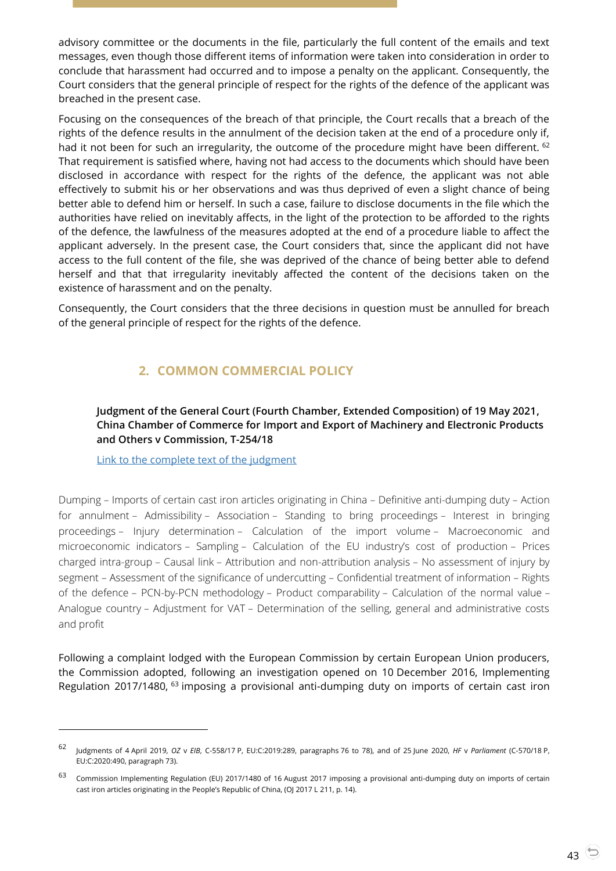advisory committee or the documents in the file, particularly the full content of the emails and text messages, even though those different items of information were taken into consideration in order to conclude that harassment had occurred and to impose a penalty on the applicant. Consequently, the Court considers that the general principle of respect for the rights of the defence of the applicant was breached in the present case.

Focusing on the consequences of the breach of that principle, the Court recalls that a breach of the rights of the defence results in the annulment of the decision taken at the end of a procedure only if, had it not been for such an irregularity, the outcome of the procedure might have been different. <sup>62</sup> That requirement is satisfied where, having not had access to the documents which should have been disclosed in accordance with respect for the rights of the defence, the applicant was not able effectively to submit his or her observations and was thus deprived of even a slight chance of being better able to defend him or herself. In such a case, failure to disclose documents in the file which the authorities have relied on inevitably affects, in the light of the protection to be afforded to the rights of the defence, the lawfulness of the measures adopted at the end of a procedure liable to affect the applicant adversely. In the present case, the Court considers that, since the applicant did not have access to the full content of the file, she was deprived of the chance of being better able to defend herself and that that irregularity inevitably affected the content of the decisions taken on the existence of harassment and on the penalty.

<span id="page-42-0"></span>Consequently, the Court considers that the three decisions in question must be annulled for breach of the general principle of respect for the rights of the defence.

# **2. COMMON COMMERCIAL POLICY**

<span id="page-42-1"></span>**Judgment of the General Court (Fourth Chamber, Extended Composition) of 19 May 2021, China Chamber of Commerce for Import and Export of Machinery and Electronic Products and Others v Commission, T-254/18**

[Link to the complete text of the judgment](https://curia.europa.eu/juris/document/document.jsf?text=&docid=241441&pageIndex=0&doclang=EN&mode=lst&dir=&occ=first&part=1&cid=3528836)

 $\overline{a}$ 

Dumping – Imports of certain cast iron articles originating in China – Definitive anti-dumping duty – Action for annulment – Admissibility – Association – Standing to bring proceedings – Interest in bringing proceedings – Injury determination – Calculation of the import volume – Macroeconomic and microeconomic indicators – Sampling – Calculation of the EU industry's cost of production – Prices charged intra-group – Causal link – Attribution and non-attribution analysis – No assessment of injury by segment – Assessment of the significance of undercutting – Confidential treatment of information – Rights of the defence – PCN-by-PCN methodology – Product comparability – Calculation of the normal value – Analogue country – Adjustment for VAT – Determination of the selling, general and administrative costs and profit

Following a complaint lodged with the European Commission by certain European Union producers, the Commission adopted, following an investigation opened on 10 December 2016, Implementing Regulation 2017/1480, <sup>63</sup> imposing a provisional anti-dumping duty on imports of certain cast iron

<sup>62</sup> Judgments of 4 April 2019, *OZ* <sup>v</sup>*EIB*, C-558/17 P, EU:C:2019:289, paragraphs 76 to 78), and of 25 June 2020, *HF* <sup>v</sup>*Parliament* (C-570/18 P, EU:C:2020:490, paragraph 73).

<sup>63</sup> Commission Implementing Regulation (EU) 2017/1480 of 16 August 2017 imposing a provisional anti-dumping duty on imports of certain cast iron articles originating in the People's Republic of China, (OJ 2017 L 211, p. 14).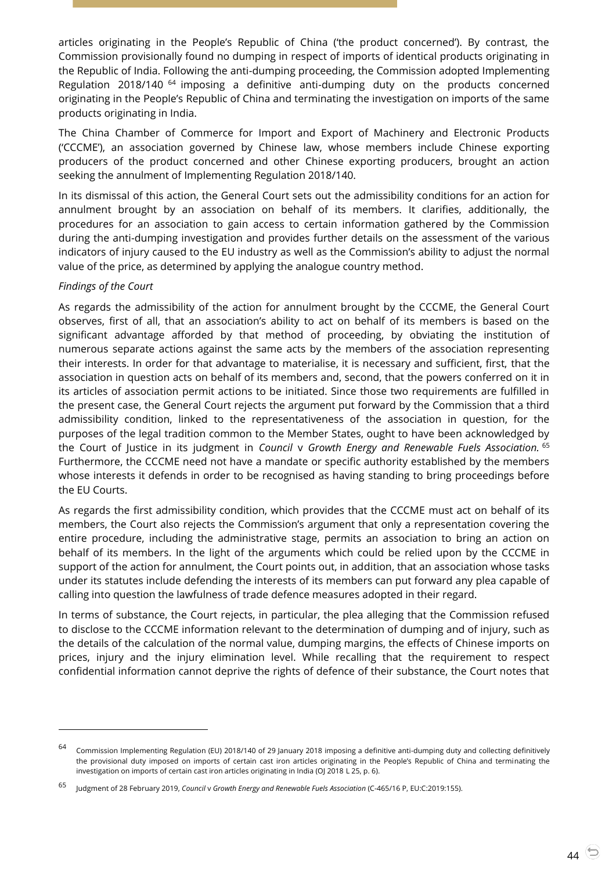articles originating in the People's Republic of China ('the product concerned'). By contrast, the Commission provisionally found no dumping in respect of imports of identical products originating in the Republic of India. Following the anti-dumping proceeding, the Commission adopted Implementing Regulation 2018/140<sup>64</sup> imposing a definitive anti-dumping duty on the products concerned originating in the People's Republic of China and terminating the investigation on imports of the same products originating in India.

The China Chamber of Commerce for Import and Export of Machinery and Electronic Products ('CCCME'), an association governed by Chinese law, whose members include Chinese exporting producers of the product concerned and other Chinese exporting producers, brought an action seeking the annulment of Implementing Regulation 2018/140.

In its dismissal of this action, the General Court sets out the admissibility conditions for an action for annulment brought by an association on behalf of its members. It clarifies, additionally, the procedures for an association to gain access to certain information gathered by the Commission during the anti-dumping investigation and provides further details on the assessment of the various indicators of injury caused to the EU industry as well as the Commission's ability to adjust the normal value of the price, as determined by applying the analogue country method.

## *Findings of the Court*

 $\overline{a}$ 

As regards the admissibility of the action for annulment brought by the CCCME, the General Court observes, first of all, that an association's ability to act on behalf of its members is based on the significant advantage afforded by that method of proceeding, by obviating the institution of numerous separate actions against the same acts by the members of the association representing their interests. In order for that advantage to materialise, it is necessary and sufficient, first, that the association in question acts on behalf of its members and, second, that the powers conferred on it in its articles of association permit actions to be initiated. Since those two requirements are fulfilled in the present case, the General Court rejects the argument put forward by the Commission that a third admissibility condition, linked to the representativeness of the association in question, for the purposes of the legal tradition common to the Member States, ought to have been acknowledged by the Court of Justice in its judgment in *Council* v *Growth Energy and Renewable Fuels Association.* <sup>65</sup> Furthermore, the CCCME need not have a mandate or specific authority established by the members whose interests it defends in order to be recognised as having standing to bring proceedings before the EU Courts.

As regards the first admissibility condition, which provides that the CCCME must act on behalf of its members, the Court also rejects the Commission's argument that only a representation covering the entire procedure, including the administrative stage, permits an association to bring an action on behalf of its members. In the light of the arguments which could be relied upon by the CCCME in support of the action for annulment, the Court points out, in addition, that an association whose tasks under its statutes include defending the interests of its members can put forward any plea capable of calling into question the lawfulness of trade defence measures adopted in their regard.

In terms of substance, the Court rejects, in particular, the plea alleging that the Commission refused to disclose to the CCCME information relevant to the determination of dumping and of injury, such as the details of the calculation of the normal value, dumping margins, the effects of Chinese imports on prices, injury and the injury elimination level. While recalling that the requirement to respect confidential information cannot deprive the rights of defence of their substance, the Court notes that

<sup>64</sup> Commission Implementing Regulation (EU) 2018/140 of 29 January 2018 imposing a definitive anti-dumping duty and collecting definitively the provisional duty imposed on imports of certain cast iron articles originating in the People's Republic of China and terminating the investigation on imports of certain cast iron articles originating in India (OJ 2018 L 25, p. 6).

<sup>65</sup> Judgment of 28 February 2019, *Council* <sup>v</sup>*Growth Energy and Renewable Fuels Association* (C-465/16 P, EU:C:2019:155).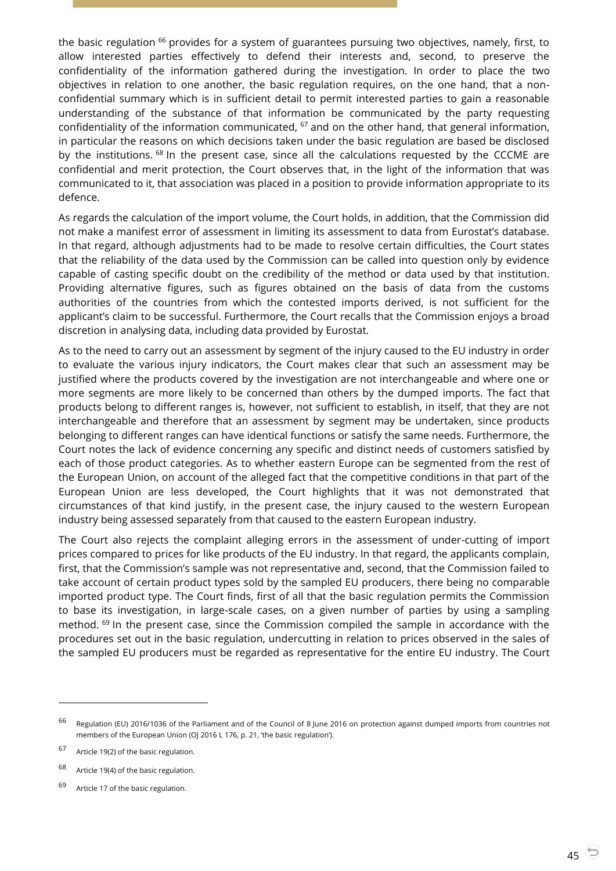the basic regulation <sup>66</sup> provides for a system of guarantees pursuing two objectives, namely, first, to allow interested parties effectively to defend their interests and, second, to preserve the confidentiality of the information gathered during the investigation. In order to place the two objectives in relation to one another, the basic regulation requires, on the one hand, that a nonconfidential summary which is in sufficient detail to permit interested parties to gain a reasonable understanding of the substance of that information be communicated by the party requesting confidentiality of the information communicated, <sup>67</sup> and on the other hand, that general information, in particular the reasons on which decisions taken under the basic regulation are based be disclosed by the institutions. <sup>68</sup> In the present case, since all the calculations requested by the CCCME are confidential and merit protection, the Court observes that, in the light of the information that was communicated to it, that association was placed in a position to provide information appropriate to its defence.

As regards the calculation of the import volume, the Court holds, in addition, that the Commission did not make a manifest error of assessment in limiting its assessment to data from Eurostat's database. In that regard, although adjustments had to be made to resolve certain difficulties, the Court states that the reliability of the data used by the Commission can be called into question only by evidence capable of casting specific doubt on the credibility of the method or data used by that institution. Providing alternative figures, such as figures obtained on the basis of data from the customs authorities of the countries from which the contested imports derived, is not sufficient for the applicant's claim to be successful. Furthermore, the Court recalls that the Commission enjoys a broad discretion in analysing data, including data provided by Eurostat.

As to the need to carry out an assessment by segment of the injury caused to the EU industry in order to evaluate the various injury indicators, the Court makes clear that such an assessment may be justified where the products covered by the investigation are not interchangeable and where one or more segments are more likely to be concerned than others by the dumped imports. The fact that products belong to different ranges is, however, not sufficient to establish, in itself, that they are not interchangeable and therefore that an assessment by segment may be undertaken, since products belonging to different ranges can have identical functions or satisfy the same needs. Furthermore, the Court notes the lack of evidence concerning any specific and distinct needs of customers satisfied by each of those product categories. As to whether eastern Europe can be segmented from the rest of the European Union, on account of the alleged fact that the competitive conditions in that part of the European Union are less developed, the Court highlights that it was not demonstrated that circumstances of that kind justify, in the present case, the injury caused to the western European industry being assessed separately from that caused to the eastern European industry.

The Court also rejects the complaint alleging errors in the assessment of under-cutting of import prices compared to prices for like products of the EU industry. In that regard, the applicants complain, first, that the Commission's sample was not representative and, second, that the Commission failed to take account of certain product types sold by the sampled EU producers, there being no comparable imported product type. The Court finds, first of all that the basic regulation permits the Commission to base its investigation, in large-scale cases, on a given number of parties by using a sampling method. <sup>69</sup> In the present case, since the Commission compiled the sample in accordance with the procedures set out in the basic regulation, undercutting in relation to prices observed in the sales of the sampled EU producers must be regarded as representative for the entire EU industry. The Court

 $^{66}$  Regulation (EU) 2016/1036 of the Parliament and of the Council of 8 June 2016 on protection against dumped imports from countries not members of the European Union (OJ 2016 L 176, p. 21, 'the basic regulation').

<sup>67</sup> Article 19(2) of the basic regulation.

<sup>68</sup> Article 19(4) of the basic regulation.

<sup>69</sup> Article 17 of the basic regulation.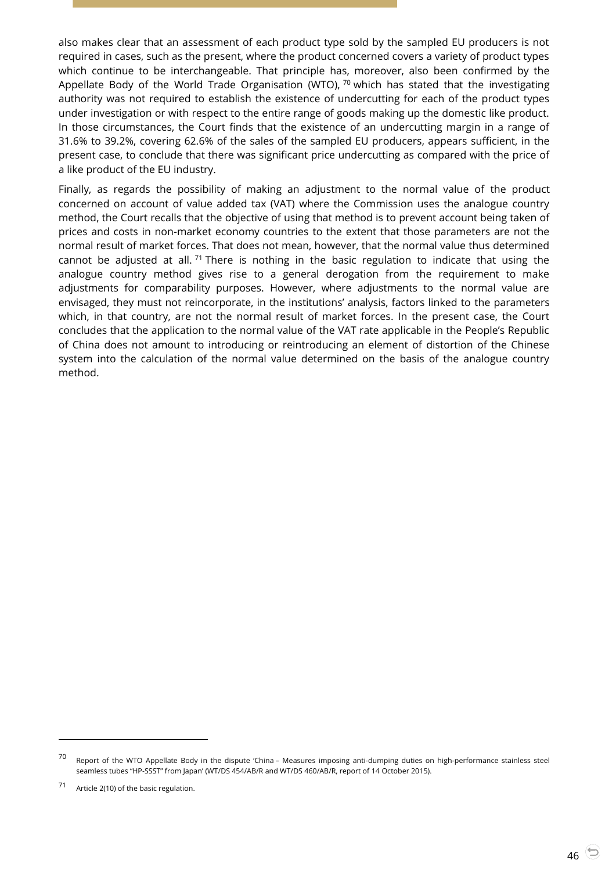also makes clear that an assessment of each product type sold by the sampled EU producers is not required in cases, such as the present, where the product concerned covers a variety of product types which continue to be interchangeable. That principle has, moreover, also been confirmed by the Appellate Body of the World Trade Organisation (WTO),  $70$  which has stated that the investigating authority was not required to establish the existence of undercutting for each of the product types under investigation or with respect to the entire range of goods making up the domestic like product. In those circumstances, the Court finds that the existence of an undercutting margin in a range of 31.6% to 39.2%, covering 62.6% of the sales of the sampled EU producers, appears sufficient, in the present case, to conclude that there was significant price undercutting as compared with the price of a like product of the EU industry.

Finally, as regards the possibility of making an adjustment to the normal value of the product concerned on account of value added tax (VAT) where the Commission uses the analogue country method, the Court recalls that the objective of using that method is to prevent account being taken of prices and costs in non-market economy countries to the extent that those parameters are not the normal result of market forces. That does not mean, however, that the normal value thus determined cannot be adjusted at all.<sup>71</sup> There is nothing in the basic regulation to indicate that using the analogue country method gives rise to a general derogation from the requirement to make adjustments for comparability purposes. However, where adjustments to the normal value are envisaged, they must not reincorporate, in the institutions' analysis, factors linked to the parameters which, in that country, are not the normal result of market forces. In the present case, the Court concludes that the application to the normal value of the VAT rate applicable in the People's Republic of China does not amount to introducing or reintroducing an element of distortion of the Chinese system into the calculation of the normal value determined on the basis of the analogue country method.

<sup>&</sup>lt;sup>70</sup> Report of the WTO Appellate Body in the dispute 'China – Measures imposing anti-dumping duties on high-performance stainless steel seamless tubes "HP-SSST" from Japan' (WT/DS 454/AB/R and WT/DS 460/AB/R, report of 14 October 2015).

<sup>71</sup> Article 2(10) of the basic regulation.